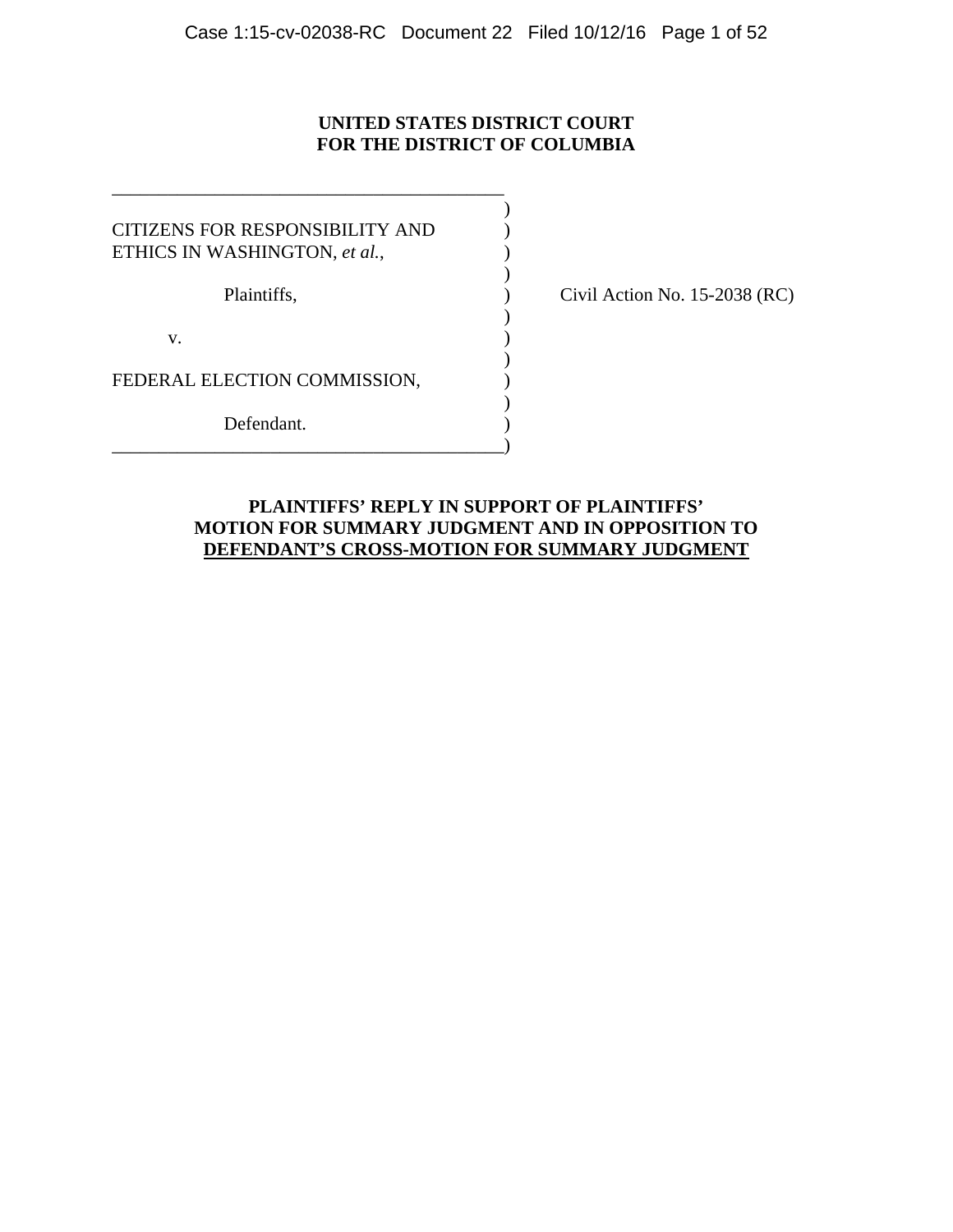# **UNITED STATES DISTRICT COURT FOR THE DISTRICT OF COLUMBIA**

 $)$ CITIZENS FOR RESPONSIBILITY AND ) ETHICS IN WASHINGTON, *et al.*,  $\overline{\phantom{a}}$ Plaintiffs,  $\qquad \qquad$  (No. 15-2038 (RC)  $)$  $\mathbf{v}$ .  $)$ FEDERAL ELECTION COMMISSION,  $)$ Defendant. \_\_\_\_\_\_\_\_\_\_\_\_\_\_\_\_\_\_\_\_\_\_\_\_\_\_\_\_\_\_\_\_\_\_\_\_\_\_\_\_\_\_)

\_\_\_\_\_\_\_\_\_\_\_\_\_\_\_\_\_\_\_\_\_\_\_\_\_\_\_\_\_\_\_\_\_\_\_\_\_\_\_\_\_\_

## **PLAINTIFFS' REPLY IN SUPPORT OF PLAINTIFFS' MOTION FOR SUMMARY JUDGMENT AND IN OPPOSITION TO DEFENDANT'S CROSS-MOTION FOR SUMMARY JUDGMENT**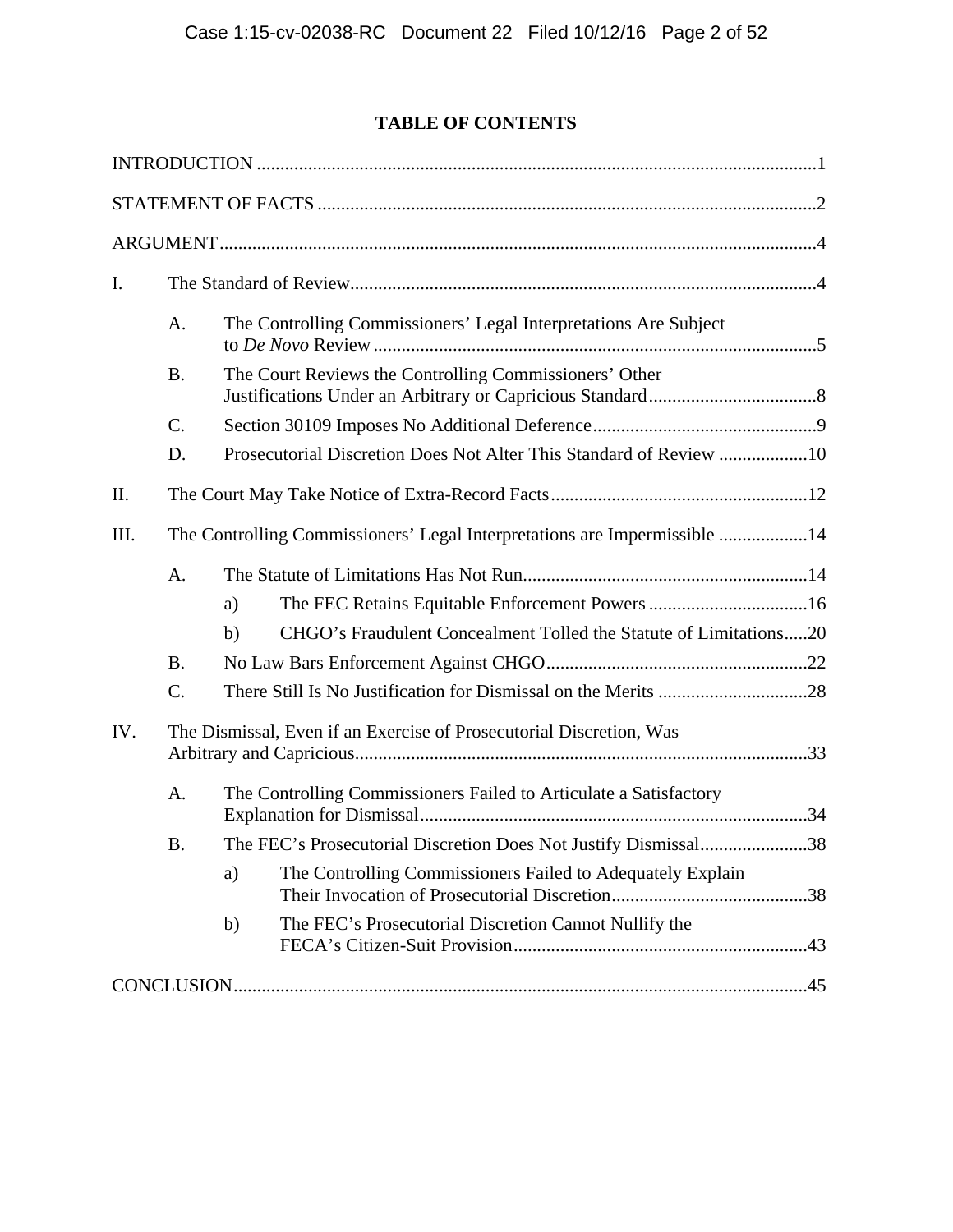# **TABLE OF CONTENTS**

| I.   |                                                                           |                                                                   |                                                                    |  |  |
|------|---------------------------------------------------------------------------|-------------------------------------------------------------------|--------------------------------------------------------------------|--|--|
|      | A.                                                                        |                                                                   | The Controlling Commissioners' Legal Interpretations Are Subject   |  |  |
|      | <b>B.</b>                                                                 |                                                                   | The Court Reviews the Controlling Commissioners' Other             |  |  |
|      | $\mathcal{C}$ .                                                           |                                                                   |                                                                    |  |  |
|      | D.                                                                        |                                                                   | Prosecutorial Discretion Does Not Alter This Standard of Review 10 |  |  |
| II.  |                                                                           |                                                                   |                                                                    |  |  |
| III. | The Controlling Commissioners' Legal Interpretations are Impermissible 14 |                                                                   |                                                                    |  |  |
|      | A.                                                                        |                                                                   |                                                                    |  |  |
|      |                                                                           | a)                                                                | The FEC Retains Equitable Enforcement Powers 16                    |  |  |
|      |                                                                           | b)                                                                | CHGO's Fraudulent Concealment Tolled the Statute of Limitations20  |  |  |
|      | <b>B.</b>                                                                 |                                                                   |                                                                    |  |  |
|      | $C$ .                                                                     |                                                                   |                                                                    |  |  |
| IV.  | The Dismissal, Even if an Exercise of Prosecutorial Discretion, Was       |                                                                   |                                                                    |  |  |
|      | A.                                                                        | The Controlling Commissioners Failed to Articulate a Satisfactory |                                                                    |  |  |
|      | Β.                                                                        |                                                                   | The FEC's Prosecutorial Discretion Does Not Justify Dismissal38    |  |  |
|      |                                                                           | a)                                                                | The Controlling Commissioners Failed to Adequately Explain         |  |  |
|      |                                                                           | $\mathbf{b}$                                                      | The FEC's Prosecutorial Discretion Cannot Nullify the              |  |  |
|      |                                                                           |                                                                   |                                                                    |  |  |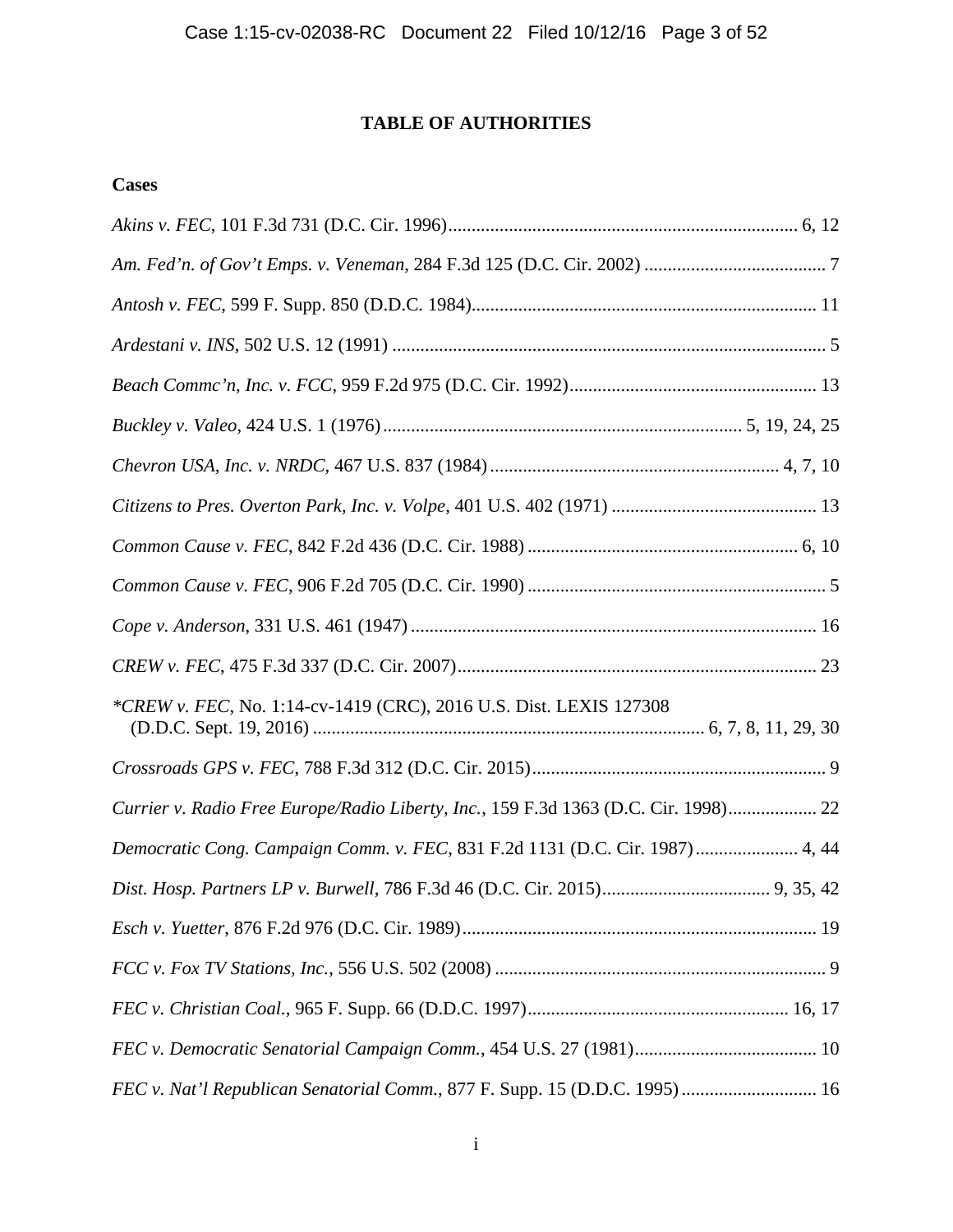# **TABLE OF AUTHORITIES**

# **Cases**

| *CREW v. FEC, No. 1:14-cv-1419 (CRC), 2016 U.S. Dist. LEXIS 127308                  |
|-------------------------------------------------------------------------------------|
|                                                                                     |
| Currier v. Radio Free Europe/Radio Liberty, Inc., 159 F.3d 1363 (D.C. Cir. 1998) 22 |
| Democratic Cong. Campaign Comm. v. FEC, 831 F.2d 1131 (D.C. Cir. 1987) 4, 44        |
|                                                                                     |
|                                                                                     |
|                                                                                     |
|                                                                                     |
|                                                                                     |
| FEC v. Nat'l Republican Senatorial Comm., 877 F. Supp. 15 (D.D.C. 1995)  16         |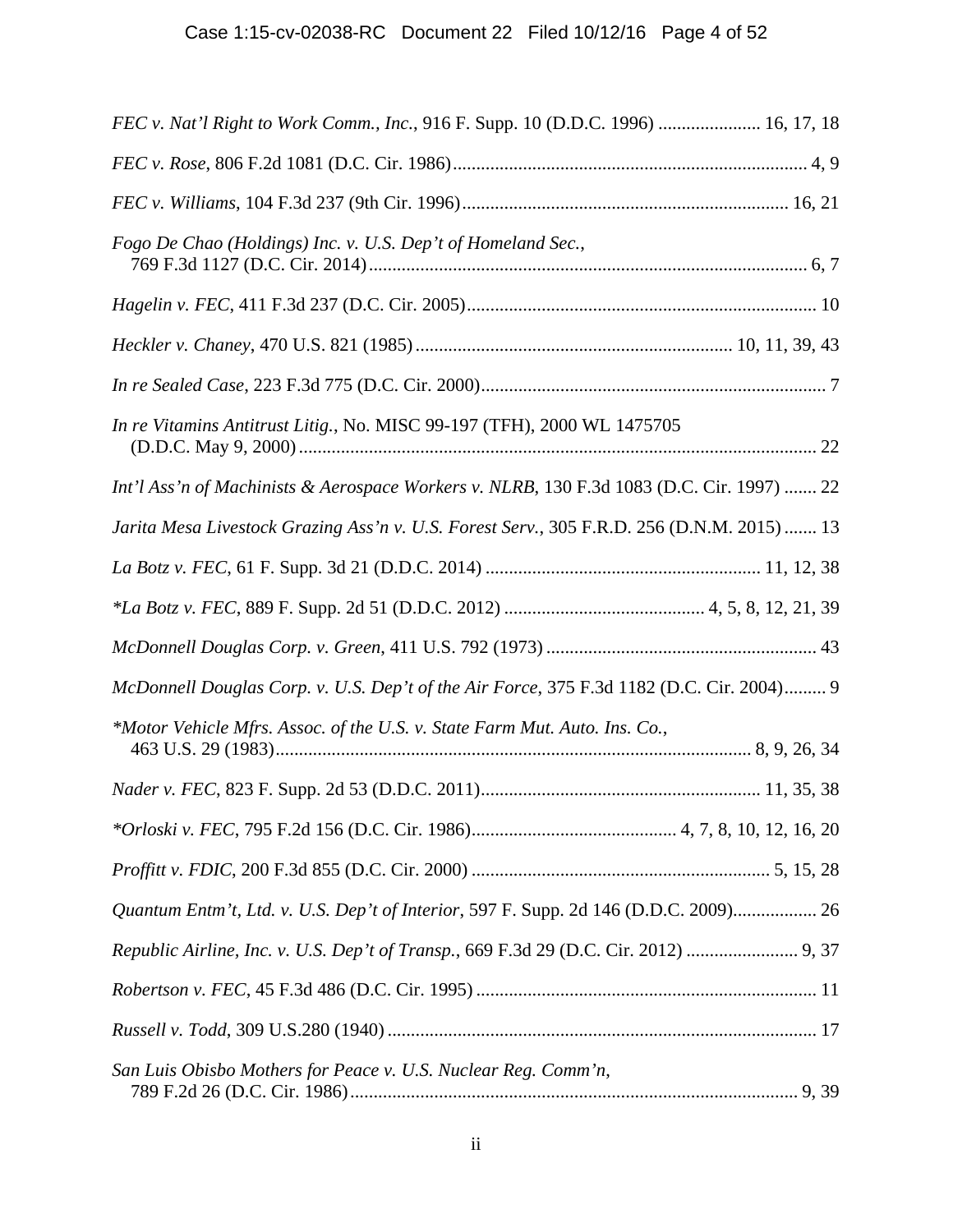| FEC v. Nat'l Right to Work Comm., Inc., 916 F. Supp. 10 (D.D.C. 1996)  16, 17, 18          |
|--------------------------------------------------------------------------------------------|
|                                                                                            |
|                                                                                            |
| Fogo De Chao (Holdings) Inc. v. U.S. Dep't of Homeland Sec.,                               |
|                                                                                            |
|                                                                                            |
|                                                                                            |
| In re Vitamins Antitrust Litig., No. MISC 99-197 (TFH), 2000 WL 1475705                    |
| Int'l Ass'n of Machinists & Aerospace Workers v. NLRB, 130 F.3d 1083 (D.C. Cir. 1997)  22  |
| Jarita Mesa Livestock Grazing Ass'n v. U.S. Forest Serv., 305 F.R.D. 256 (D.N.M. 2015)  13 |
|                                                                                            |
|                                                                                            |
|                                                                                            |
| McDonnell Douglas Corp. v. U.S. Dep't of the Air Force, 375 F.3d 1182 (D.C. Cir. 2004) 9   |
| *Motor Vehicle Mfrs. Assoc. of the U.S. v. State Farm Mut. Auto. Ins. Co.,                 |
|                                                                                            |
|                                                                                            |
|                                                                                            |
| Quantum Entm't, Ltd. v. U.S. Dep't of Interior, 597 F. Supp. 2d 146 (D.D.C. 2009) 26       |
| Republic Airline, Inc. v. U.S. Dep't of Transp., 669 F.3d 29 (D.C. Cir. 2012)  9, 37       |
|                                                                                            |
|                                                                                            |
| San Luis Obisbo Mothers for Peace v. U.S. Nuclear Reg. Comm'n,                             |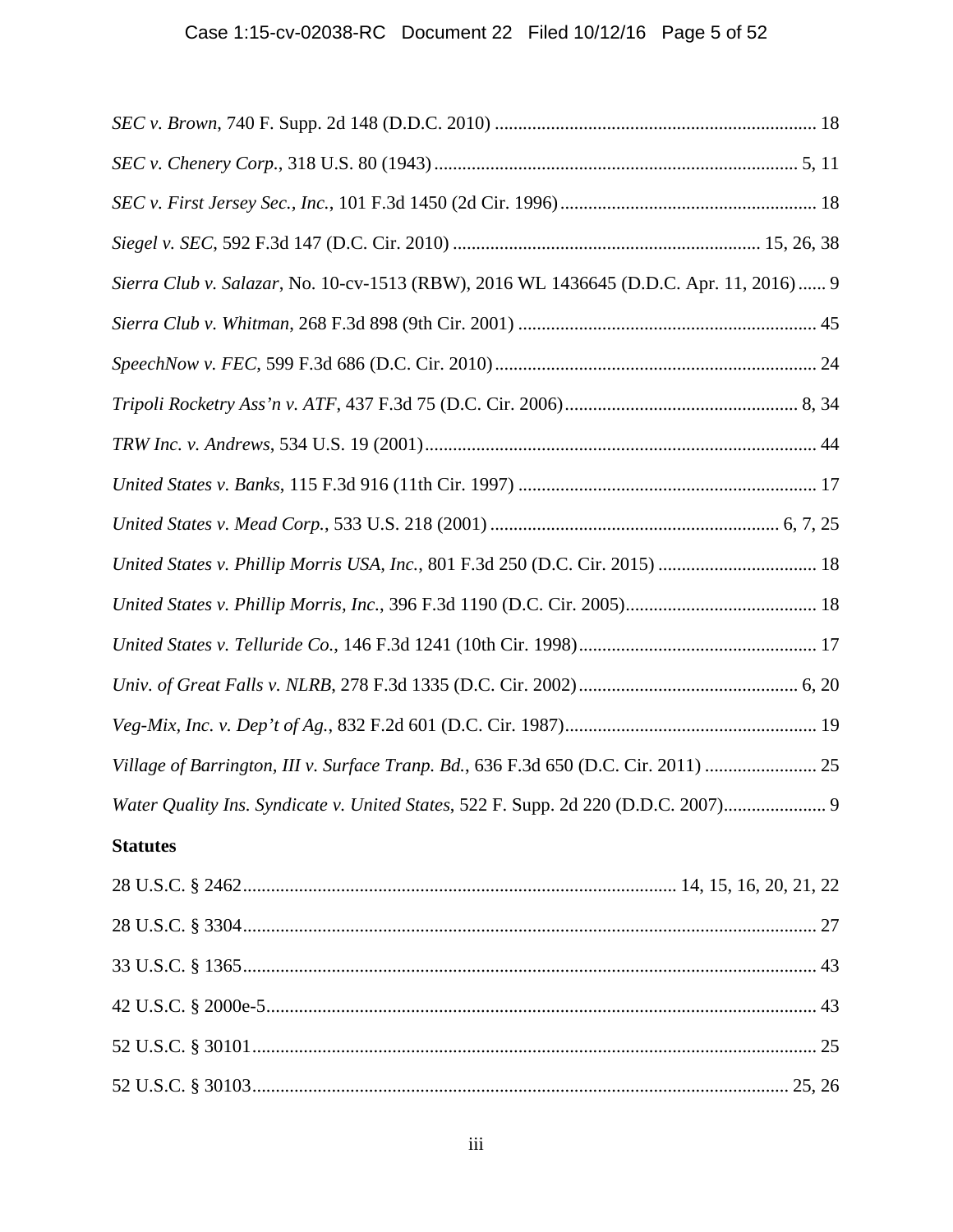| Sierra Club v. Salazar, No. 10-cv-1513 (RBW), 2016 WL 1436645 (D.D.C. Apr. 11, 2016) 9 |
|----------------------------------------------------------------------------------------|
|                                                                                        |
|                                                                                        |
|                                                                                        |
|                                                                                        |
|                                                                                        |
|                                                                                        |
| United States v. Phillip Morris USA, Inc., 801 F.3d 250 (D.C. Cir. 2015)  18           |
|                                                                                        |
|                                                                                        |
|                                                                                        |
|                                                                                        |
| Village of Barrington, III v. Surface Tranp. Bd., 636 F.3d 650 (D.C. Cir. 2011)  25    |
| Water Quality Ins. Syndicate v. United States, 522 F. Supp. 2d 220 (D.D.C. 2007)       |
| <b>Statutes</b>                                                                        |
|                                                                                        |
|                                                                                        |
|                                                                                        |
|                                                                                        |
|                                                                                        |
|                                                                                        |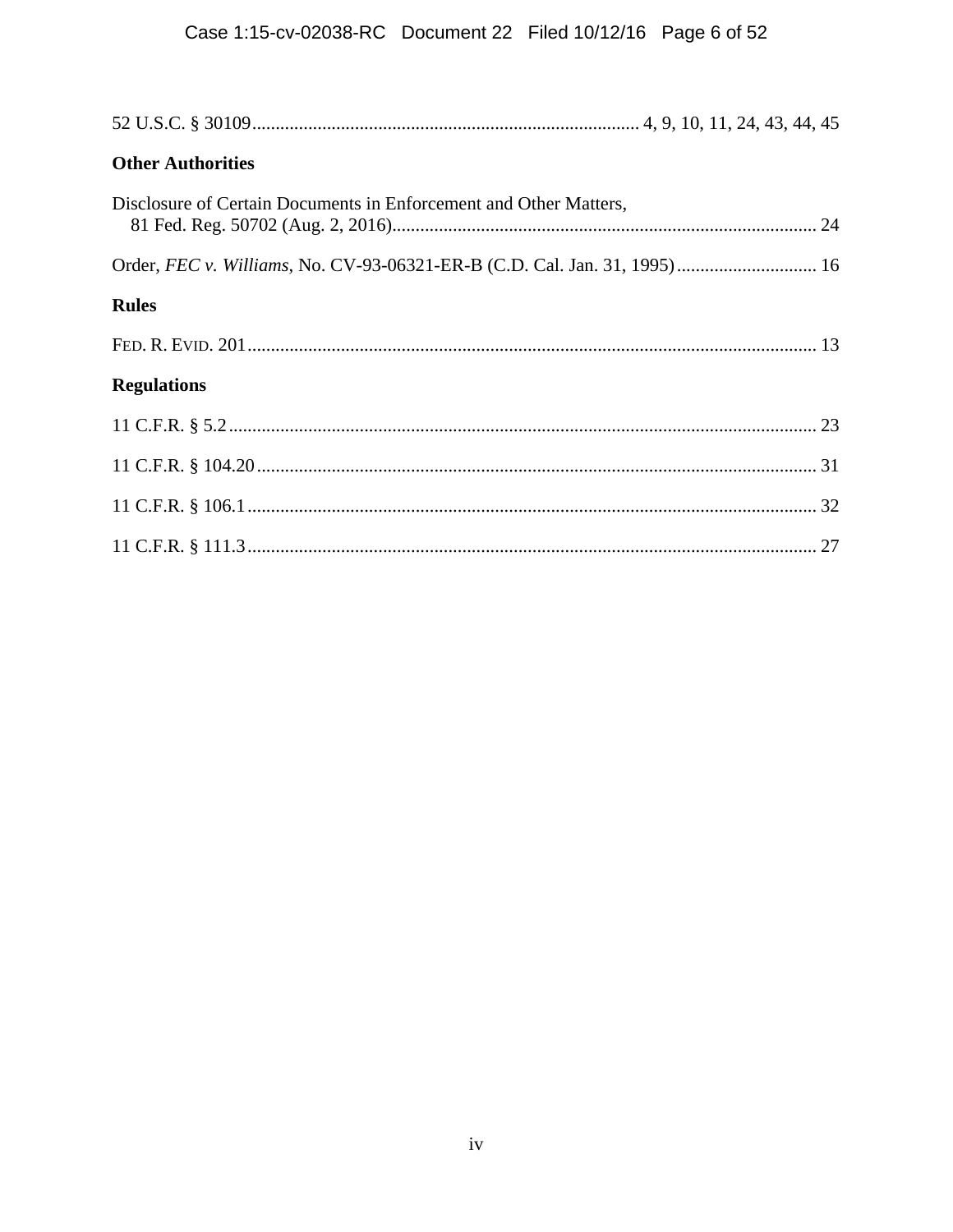| <b>Other Authorities</b>                                                  |
|---------------------------------------------------------------------------|
| Disclosure of Certain Documents in Enforcement and Other Matters,         |
| Order, FEC v. Williams, No. CV-93-06321-ER-B (C.D. Cal. Jan. 31, 1995) 16 |
| <b>Rules</b>                                                              |
|                                                                           |
| <b>Regulations</b>                                                        |
|                                                                           |
|                                                                           |
|                                                                           |
|                                                                           |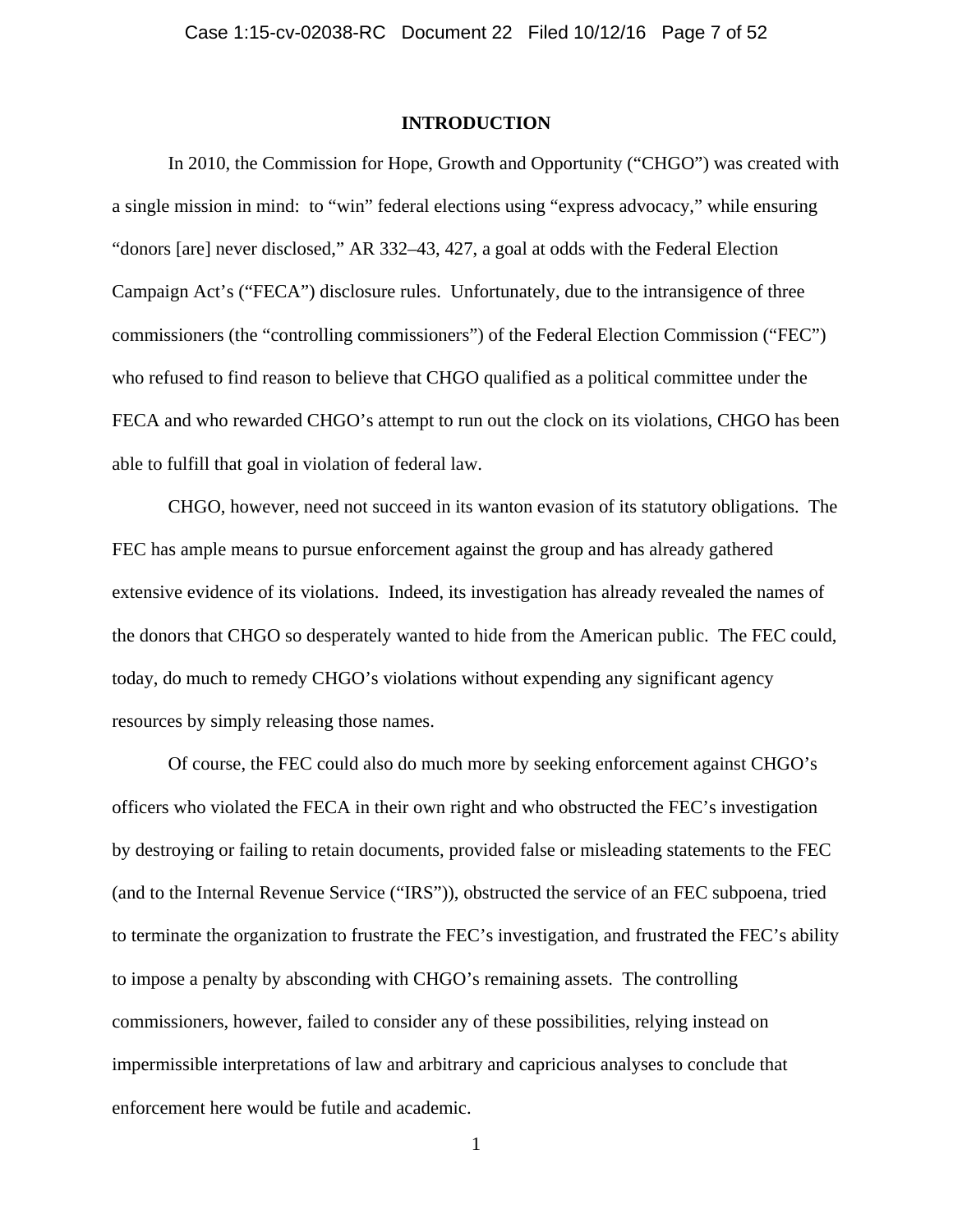### **INTRODUCTION**

In 2010, the Commission for Hope, Growth and Opportunity ("CHGO") was created with a single mission in mind: to "win" federal elections using "express advocacy," while ensuring "donors [are] never disclosed," AR 332–43, 427, a goal at odds with the Federal Election Campaign Act's ("FECA") disclosure rules. Unfortunately, due to the intransigence of three commissioners (the "controlling commissioners") of the Federal Election Commission ("FEC") who refused to find reason to believe that CHGO qualified as a political committee under the FECA and who rewarded CHGO's attempt to run out the clock on its violations, CHGO has been able to fulfill that goal in violation of federal law.

CHGO, however, need not succeed in its wanton evasion of its statutory obligations. The FEC has ample means to pursue enforcement against the group and has already gathered extensive evidence of its violations. Indeed, its investigation has already revealed the names of the donors that CHGO so desperately wanted to hide from the American public. The FEC could, today, do much to remedy CHGO's violations without expending any significant agency resources by simply releasing those names.

Of course, the FEC could also do much more by seeking enforcement against CHGO's officers who violated the FECA in their own right and who obstructed the FEC's investigation by destroying or failing to retain documents, provided false or misleading statements to the FEC (and to the Internal Revenue Service ("IRS")), obstructed the service of an FEC subpoena, tried to terminate the organization to frustrate the FEC's investigation, and frustrated the FEC's ability to impose a penalty by absconding with CHGO's remaining assets. The controlling commissioners, however, failed to consider any of these possibilities, relying instead on impermissible interpretations of law and arbitrary and capricious analyses to conclude that enforcement here would be futile and academic.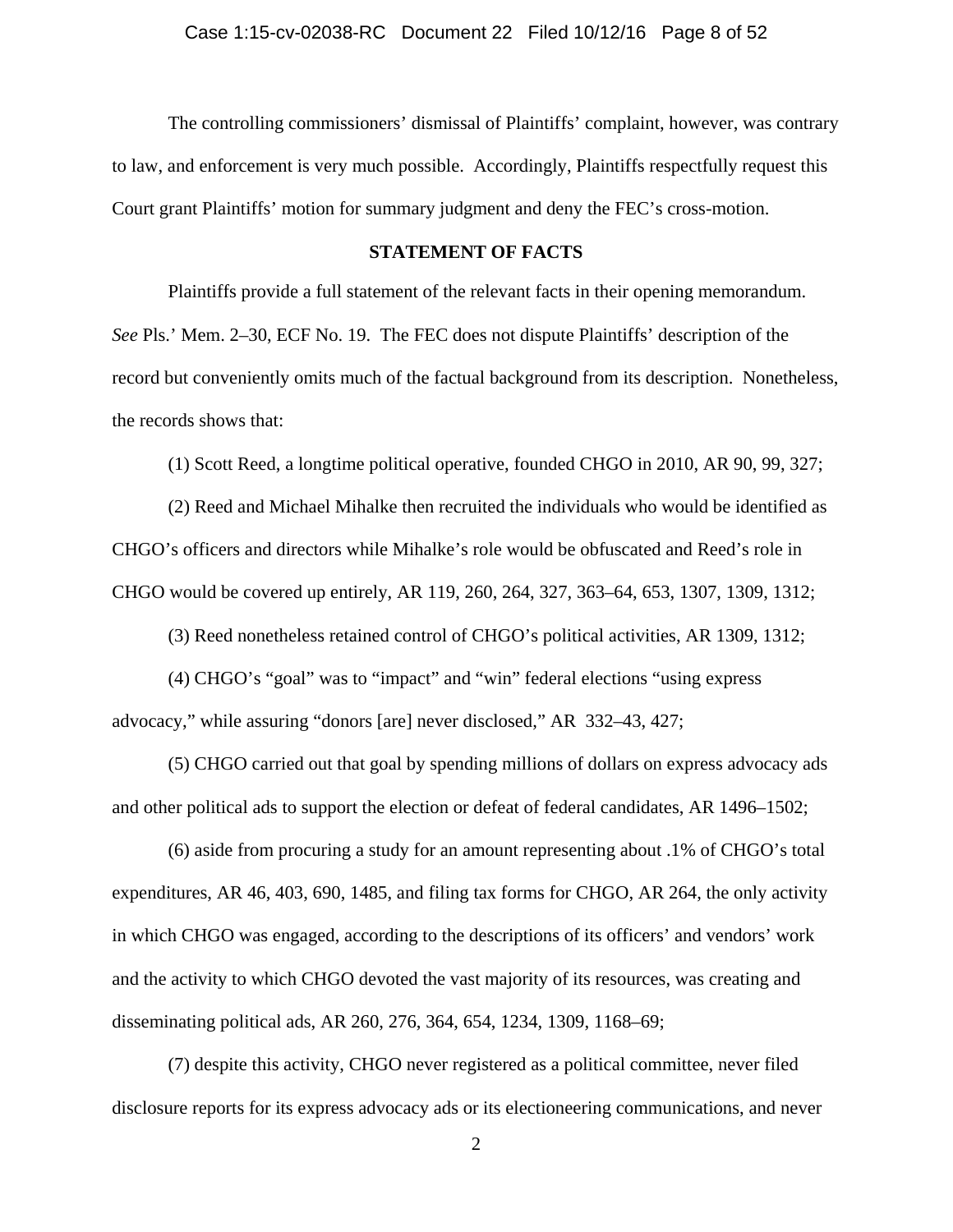The controlling commissioners' dismissal of Plaintiffs' complaint, however, was contrary to law, and enforcement is very much possible. Accordingly, Plaintiffs respectfully request this Court grant Plaintiffs' motion for summary judgment and deny the FEC's cross-motion.

## **STATEMENT OF FACTS**

 Plaintiffs provide a full statement of the relevant facts in their opening memorandum. *See* Pls.' Mem. 2–30, ECF No. 19. The FEC does not dispute Plaintiffs' description of the record but conveniently omits much of the factual background from its description. Nonetheless, the records shows that:

(1) Scott Reed, a longtime political operative, founded CHGO in 2010, AR 90, 99, 327;

(2) Reed and Michael Mihalke then recruited the individuals who would be identified as CHGO's officers and directors while Mihalke's role would be obfuscated and Reed's role in CHGO would be covered up entirely, AR 119, 260, 264, 327, 363–64, 653, 1307, 1309, 1312;

(3) Reed nonetheless retained control of CHGO's political activities, AR 1309, 1312;

(4) CHGO's "goal" was to "impact" and "win" federal elections "using express advocacy," while assuring "donors [are] never disclosed," AR 332–43, 427;

(5) CHGO carried out that goal by spending millions of dollars on express advocacy ads and other political ads to support the election or defeat of federal candidates, AR 1496–1502;

(6) aside from procuring a study for an amount representing about .1% of CHGO's total expenditures, AR 46, 403, 690, 1485, and filing tax forms for CHGO, AR 264, the only activity in which CHGO was engaged, according to the descriptions of its officers' and vendors' work and the activity to which CHGO devoted the vast majority of its resources, was creating and disseminating political ads, AR 260, 276, 364, 654, 1234, 1309, 1168–69;

(7) despite this activity, CHGO never registered as a political committee, never filed disclosure reports for its express advocacy ads or its electioneering communications, and never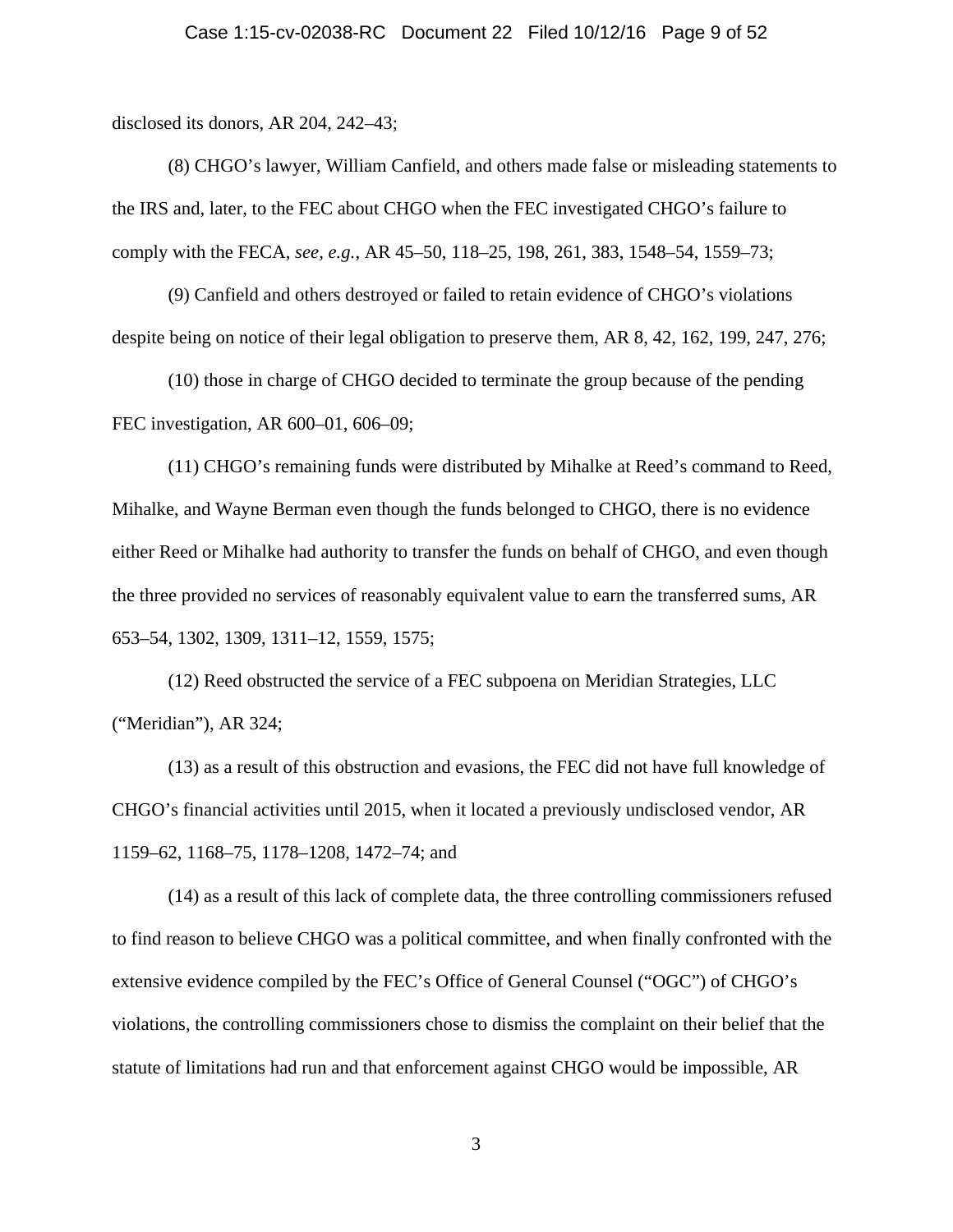disclosed its donors, AR 204, 242–43;

(8) CHGO's lawyer, William Canfield, and others made false or misleading statements to the IRS and, later, to the FEC about CHGO when the FEC investigated CHGO's failure to comply with the FECA, *see, e.g.*, AR 45–50, 118–25, 198, 261, 383, 1548–54, 1559–73;

(9) Canfield and others destroyed or failed to retain evidence of CHGO's violations despite being on notice of their legal obligation to preserve them, AR 8, 42, 162, 199, 247, 276;

(10) those in charge of CHGO decided to terminate the group because of the pending FEC investigation, AR 600–01, 606–09;

(11) CHGO's remaining funds were distributed by Mihalke at Reed's command to Reed, Mihalke, and Wayne Berman even though the funds belonged to CHGO, there is no evidence either Reed or Mihalke had authority to transfer the funds on behalf of CHGO, and even though the three provided no services of reasonably equivalent value to earn the transferred sums, AR 653–54, 1302, 1309, 1311–12, 1559, 1575;

(12) Reed obstructed the service of a FEC subpoena on Meridian Strategies, LLC ("Meridian"), AR 324;

(13) as a result of this obstruction and evasions, the FEC did not have full knowledge of CHGO's financial activities until 2015, when it located a previously undisclosed vendor, AR 1159–62, 1168–75, 1178–1208, 1472–74; and

(14) as a result of this lack of complete data, the three controlling commissioners refused to find reason to believe CHGO was a political committee, and when finally confronted with the extensive evidence compiled by the FEC's Office of General Counsel ("OGC") of CHGO's violations, the controlling commissioners chose to dismiss the complaint on their belief that the statute of limitations had run and that enforcement against CHGO would be impossible, AR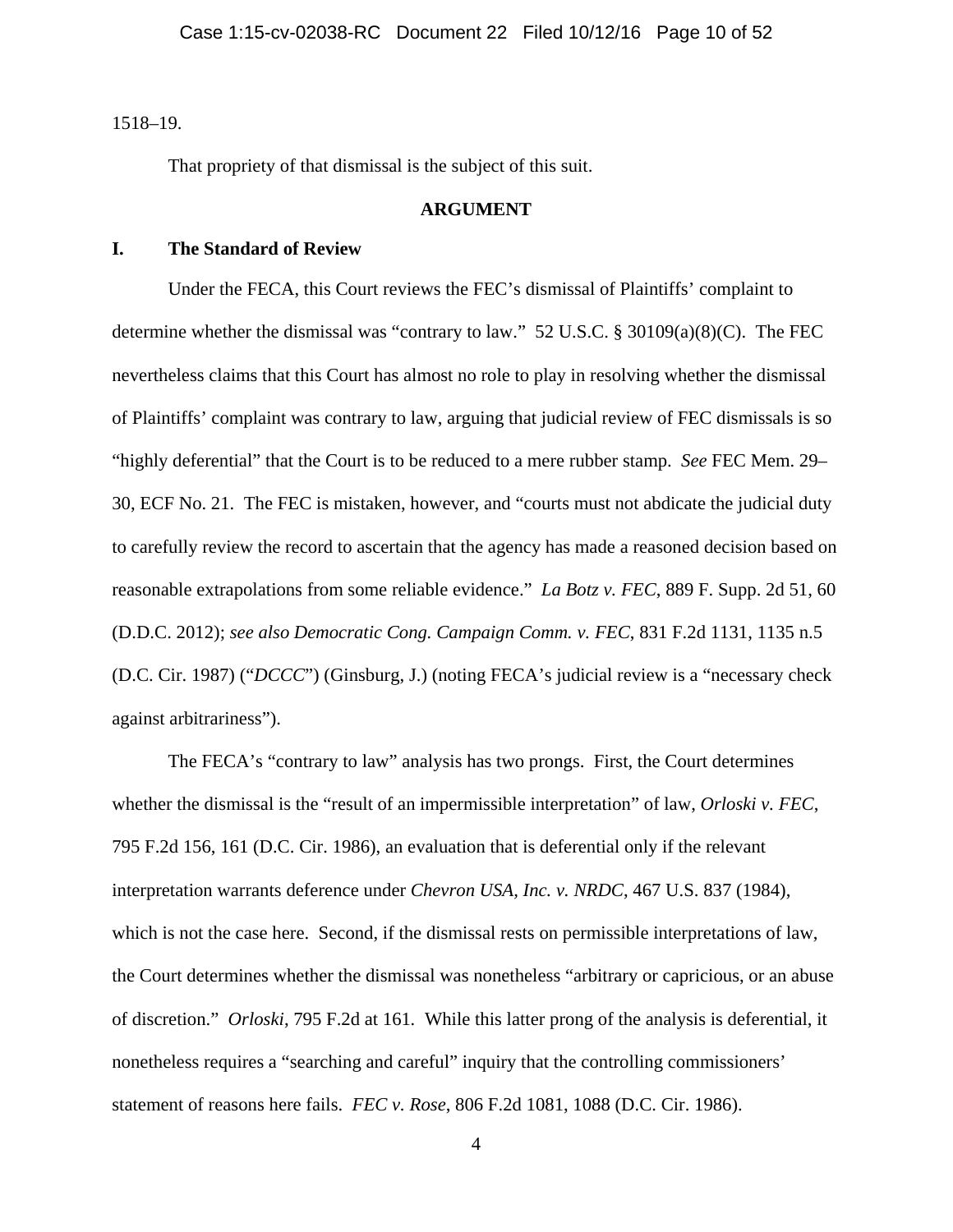1518–19.

That propriety of that dismissal is the subject of this suit.

### **ARGUMENT**

### **I. The Standard of Review**

Under the FECA, this Court reviews the FEC's dismissal of Plaintiffs' complaint to determine whether the dismissal was "contrary to law." 52 U.S.C. § 30109(a)(8)(C). The FEC nevertheless claims that this Court has almost no role to play in resolving whether the dismissal of Plaintiffs' complaint was contrary to law, arguing that judicial review of FEC dismissals is so "highly deferential" that the Court is to be reduced to a mere rubber stamp. *See* FEC Mem. 29– 30, ECF No. 21. The FEC is mistaken, however, and "courts must not abdicate the judicial duty to carefully review the record to ascertain that the agency has made a reasoned decision based on reasonable extrapolations from some reliable evidence." *La Botz v. FEC*, 889 F. Supp. 2d 51, 60 (D.D.C. 2012); *see also Democratic Cong. Campaign Comm. v. FEC*, 831 F.2d 1131, 1135 n.5 (D.C. Cir. 1987) ("*DCCC*") (Ginsburg, J.) (noting FECA's judicial review is a "necessary check against arbitrariness").

The FECA's "contrary to law" analysis has two prongs. First, the Court determines whether the dismissal is the "result of an impermissible interpretation" of law, *Orloski v. FEC*, 795 F.2d 156, 161 (D.C. Cir. 1986), an evaluation that is deferential only if the relevant interpretation warrants deference under *Chevron USA, Inc. v. NRDC*, 467 U.S. 837 (1984), which is not the case here. Second, if the dismissal rests on permissible interpretations of law, the Court determines whether the dismissal was nonetheless "arbitrary or capricious, or an abuse of discretion." *Orloski*, 795 F.2d at 161*.* While this latter prong of the analysis is deferential, it nonetheless requires a "searching and careful" inquiry that the controlling commissioners' statement of reasons here fails. *FEC v. Rose*, 806 F.2d 1081, 1088 (D.C. Cir. 1986).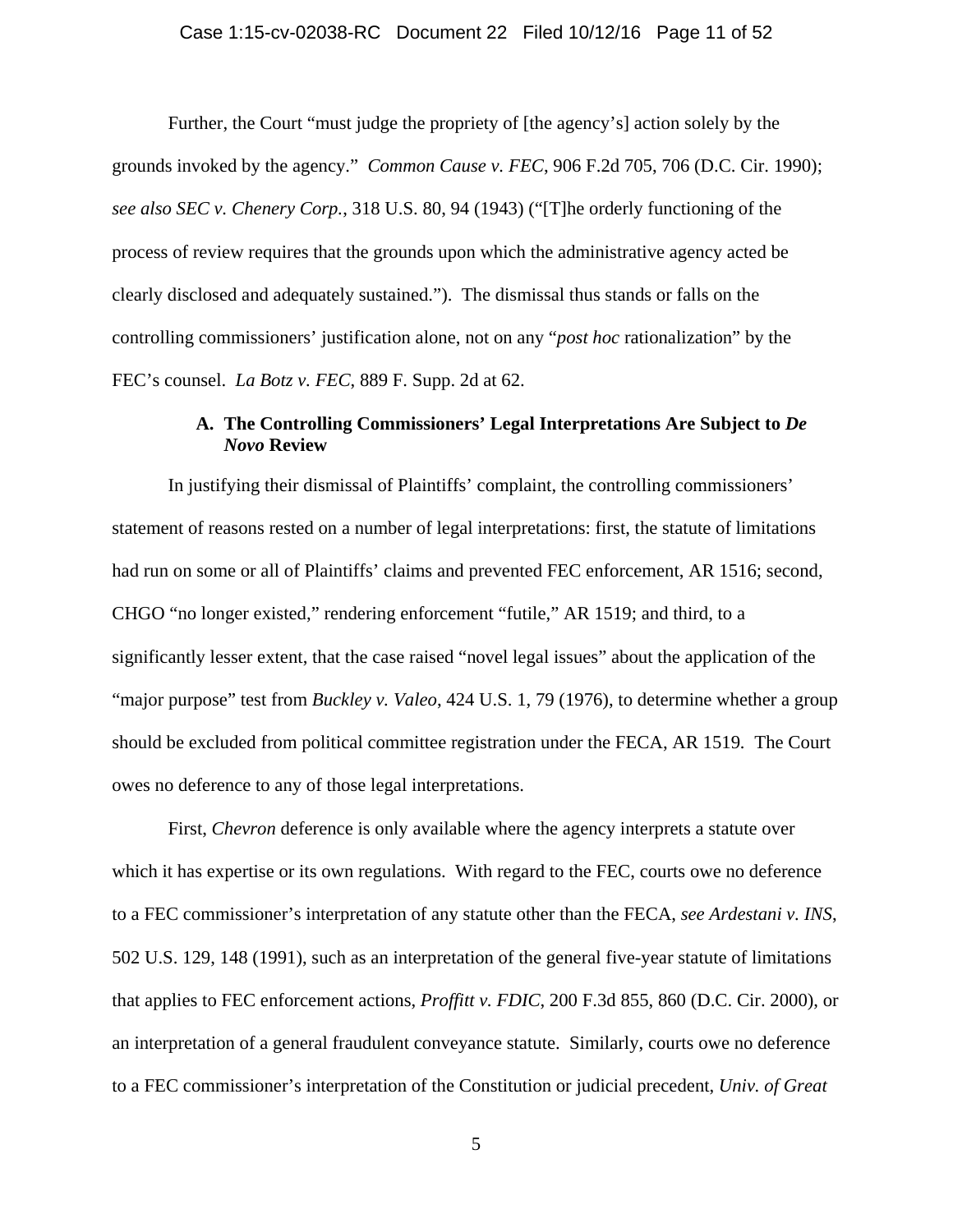Further, the Court "must judge the propriety of [the agency's] action solely by the grounds invoked by the agency." *Common Cause v. FEC*, 906 F.2d 705, 706 (D.C. Cir. 1990); *see also SEC v. Chenery Corp.*, 318 U.S. 80, 94 (1943) ("[T]he orderly functioning of the process of review requires that the grounds upon which the administrative agency acted be clearly disclosed and adequately sustained."). The dismissal thus stands or falls on the controlling commissioners' justification alone, not on any "*post hoc* rationalization" by the FEC's counsel. *La Botz v. FEC*, 889 F. Supp. 2d at 62.

# **A. The Controlling Commissioners' Legal Interpretations Are Subject to** *De Novo* **Review**

In justifying their dismissal of Plaintiffs' complaint, the controlling commissioners' statement of reasons rested on a number of legal interpretations: first, the statute of limitations had run on some or all of Plaintiffs' claims and prevented FEC enforcement, AR 1516; second, CHGO "no longer existed," rendering enforcement "futile," AR 1519; and third, to a significantly lesser extent, that the case raised "novel legal issues" about the application of the "major purpose" test from *Buckley v. Valeo*, 424 U.S. 1, 79 (1976), to determine whether a group should be excluded from political committee registration under the FECA, AR 1519*.* The Court owes no deference to any of those legal interpretations.

First, *Chevron* deference is only available where the agency interprets a statute over which it has expertise or its own regulations. With regard to the FEC, courts owe no deference to a FEC commissioner's interpretation of any statute other than the FECA, *see Ardestani v. INS*, 502 U.S. 129, 148 (1991), such as an interpretation of the general five-year statute of limitations that applies to FEC enforcement actions, *Proffitt v. FDIC*, 200 F.3d 855, 860 (D.C. Cir. 2000), or an interpretation of a general fraudulent conveyance statute. Similarly, courts owe no deference to a FEC commissioner's interpretation of the Constitution or judicial precedent, *Univ. of Great*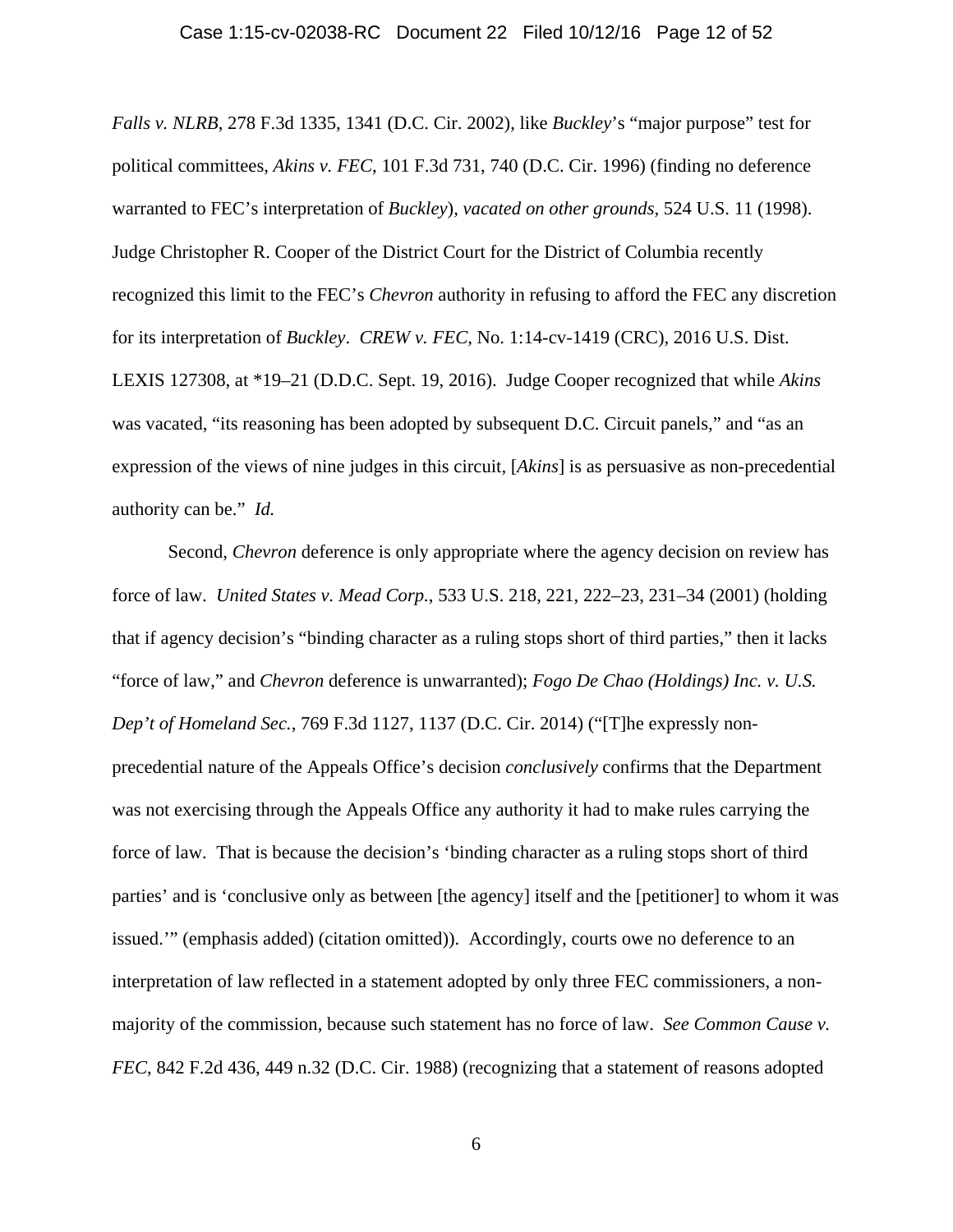*Falls v. NLRB*, 278 F.3d 1335, 1341 (D.C. Cir. 2002), like *Buckley*'s "major purpose" test for political committees, *Akins v. FEC*, 101 F.3d 731, 740 (D.C. Cir. 1996) (finding no deference warranted to FEC's interpretation of *Buckley*), *vacated on other grounds*, 524 U.S. 11 (1998). Judge Christopher R. Cooper of the District Court for the District of Columbia recently recognized this limit to the FEC's *Chevron* authority in refusing to afford the FEC any discretion for its interpretation of *Buckley*. *CREW v. FEC*, No. 1:14-cv-1419 (CRC), 2016 U.S. Dist. LEXIS 127308, at \*19–21 (D.D.C. Sept. 19, 2016). Judge Cooper recognized that while *Akins* was vacated, "its reasoning has been adopted by subsequent D.C. Circuit panels," and "as an expression of the views of nine judges in this circuit, [*Akins*] is as persuasive as non-precedential authority can be." *Id.* 

Second, *Chevron* deference is only appropriate where the agency decision on review has force of law. *United States v. Mead Corp.*, 533 U.S. 218, 221, 222–23, 231–34 (2001) (holding that if agency decision's "binding character as a ruling stops short of third parties," then it lacks "force of law," and *Chevron* deference is unwarranted); *Fogo De Chao (Holdings) Inc. v. U.S. Dep't of Homeland Sec.*, 769 F.3d 1127, 1137 (D.C. Cir. 2014) ("[T]he expressly nonprecedential nature of the Appeals Office's decision *conclusively* confirms that the Department was not exercising through the Appeals Office any authority it had to make rules carrying the force of law. That is because the decision's 'binding character as a ruling stops short of third parties' and is 'conclusive only as between [the agency] itself and the [petitioner] to whom it was issued.'" (emphasis added) (citation omitted)). Accordingly, courts owe no deference to an interpretation of law reflected in a statement adopted by only three FEC commissioners, a nonmajority of the commission, because such statement has no force of law. *See Common Cause v. FEC*, 842 F.2d 436, 449 n.32 (D.C. Cir. 1988) (recognizing that a statement of reasons adopted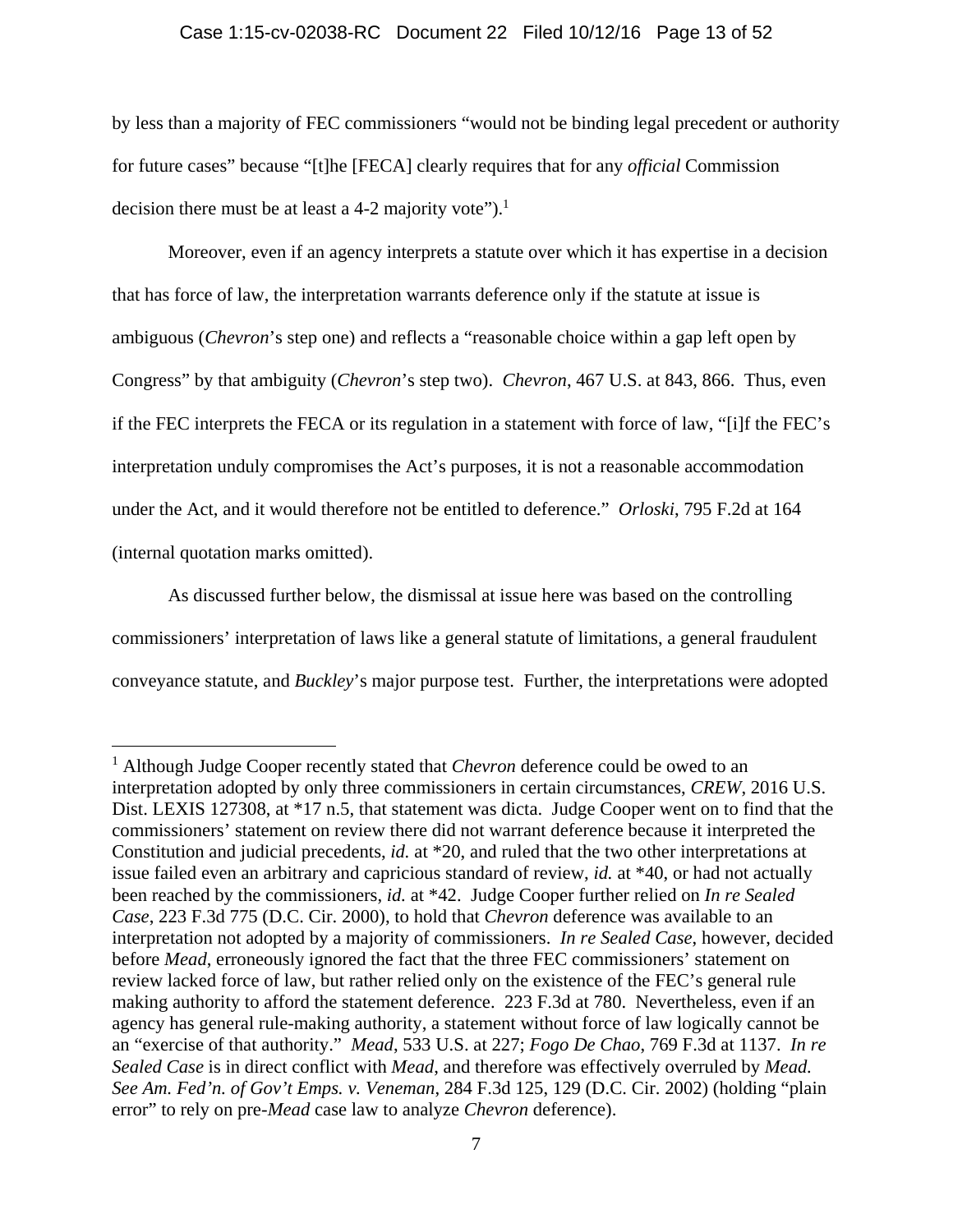#### Case 1:15-cv-02038-RC Document 22 Filed 10/12/16 Page 13 of 52

by less than a majority of FEC commissioners "would not be binding legal precedent or authority for future cases" because "[t]he [FECA] clearly requires that for any *official* Commission decision there must be at least a 4-2 majority vote").<sup>1</sup>

Moreover, even if an agency interprets a statute over which it has expertise in a decision that has force of law, the interpretation warrants deference only if the statute at issue is ambiguous (*Chevron*'s step one) and reflects a "reasonable choice within a gap left open by Congress" by that ambiguity (*Chevron*'s step two). *Chevron*, 467 U.S. at 843, 866. Thus, even if the FEC interprets the FECA or its regulation in a statement with force of law, "[i]f the FEC's interpretation unduly compromises the Act's purposes, it is not a reasonable accommodation under the Act, and it would therefore not be entitled to deference." *Orloski*, 795 F.2d at 164 (internal quotation marks omitted).

As discussed further below, the dismissal at issue here was based on the controlling commissioners' interpretation of laws like a general statute of limitations, a general fraudulent conveyance statute, and *Buckley*'s major purpose test. Further, the interpretations were adopted

<sup>&</sup>lt;sup>1</sup> Although Judge Cooper recently stated that *Chevron* deference could be owed to an interpretation adopted by only three commissioners in certain circumstances, *CREW*, 2016 U.S. Dist. LEXIS 127308, at  $*17$  n.5, that statement was dicta. Judge Cooper went on to find that the commissioners' statement on review there did not warrant deference because it interpreted the Constitution and judicial precedents, *id.* at \*20, and ruled that the two other interpretations at issue failed even an arbitrary and capricious standard of review, *id.* at \*40, or had not actually been reached by the commissioners, *id.* at \*42. Judge Cooper further relied on *In re Sealed Case*, 223 F.3d 775 (D.C. Cir. 2000), to hold that *Chevron* deference was available to an interpretation not adopted by a majority of commissioners. *In re Sealed Case*, however, decided before *Mead*, erroneously ignored the fact that the three FEC commissioners' statement on review lacked force of law, but rather relied only on the existence of the FEC's general rule making authority to afford the statement deference. 223 F.3d at 780. Nevertheless, even if an agency has general rule-making authority, a statement without force of law logically cannot be an "exercise of that authority." *Mead*, 533 U.S. at 227; *Fogo De Chao*, 769 F.3d at 1137. *In re Sealed Case* is in direct conflict with *Mead*, and therefore was effectively overruled by *Mead. See Am. Fed'n. of Gov't Emps. v. Veneman*, 284 F.3d 125, 129 (D.C. Cir. 2002) (holding "plain error" to rely on pre-*Mead* case law to analyze *Chevron* deference).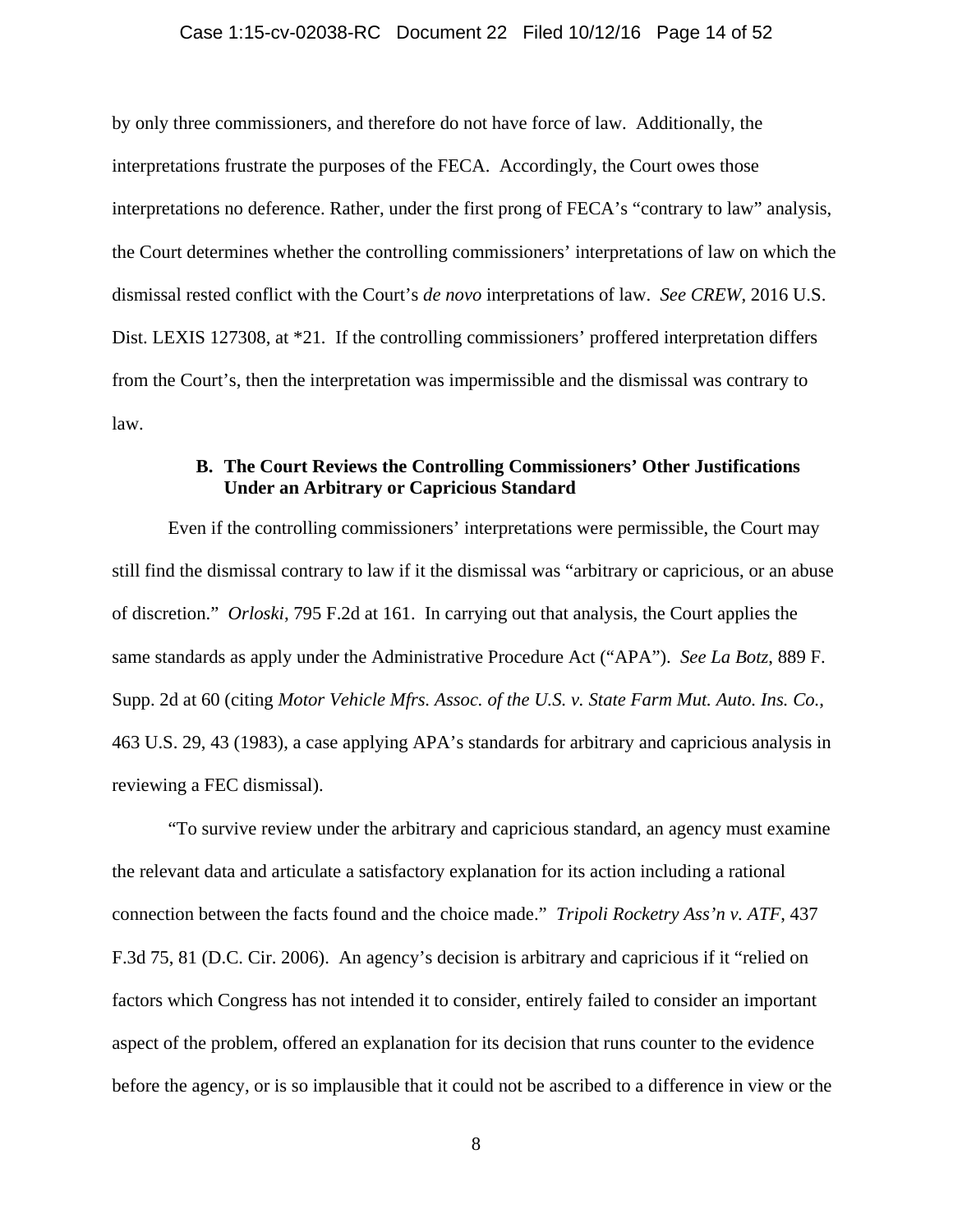#### Case 1:15-cv-02038-RC Document 22 Filed 10/12/16 Page 14 of 52

by only three commissioners, and therefore do not have force of law. Additionally, the interpretations frustrate the purposes of the FECA. Accordingly, the Court owes those interpretations no deference. Rather, under the first prong of FECA's "contrary to law" analysis, the Court determines whether the controlling commissioners' interpretations of law on which the dismissal rested conflict with the Court's *de novo* interpretations of law. *See CREW*, 2016 U.S. Dist. LEXIS 127308, at \*21*.* If the controlling commissioners' proffered interpretation differs from the Court's, then the interpretation was impermissible and the dismissal was contrary to law.

# **B. The Court Reviews the Controlling Commissioners' Other Justifications Under an Arbitrary or Capricious Standard**

Even if the controlling commissioners' interpretations were permissible, the Court may still find the dismissal contrary to law if it the dismissal was "arbitrary or capricious, or an abuse of discretion." *Orloski*, 795 F.2d at 161. In carrying out that analysis, the Court applies the same standards as apply under the Administrative Procedure Act ("APA"). *See La Botz*, 889 F. Supp. 2d at 60 (citing *Motor Vehicle Mfrs. Assoc. of the U.S. v. State Farm Mut. Auto. Ins. Co.*, 463 U.S. 29, 43 (1983), a case applying APA's standards for arbitrary and capricious analysis in reviewing a FEC dismissal).

"To survive review under the arbitrary and capricious standard, an agency must examine the relevant data and articulate a satisfactory explanation for its action including a rational connection between the facts found and the choice made." *Tripoli Rocketry Ass'n v. ATF*, 437 F.3d 75, 81 (D.C. Cir. 2006). An agency's decision is arbitrary and capricious if it "relied on factors which Congress has not intended it to consider, entirely failed to consider an important aspect of the problem, offered an explanation for its decision that runs counter to the evidence before the agency, or is so implausible that it could not be ascribed to a difference in view or the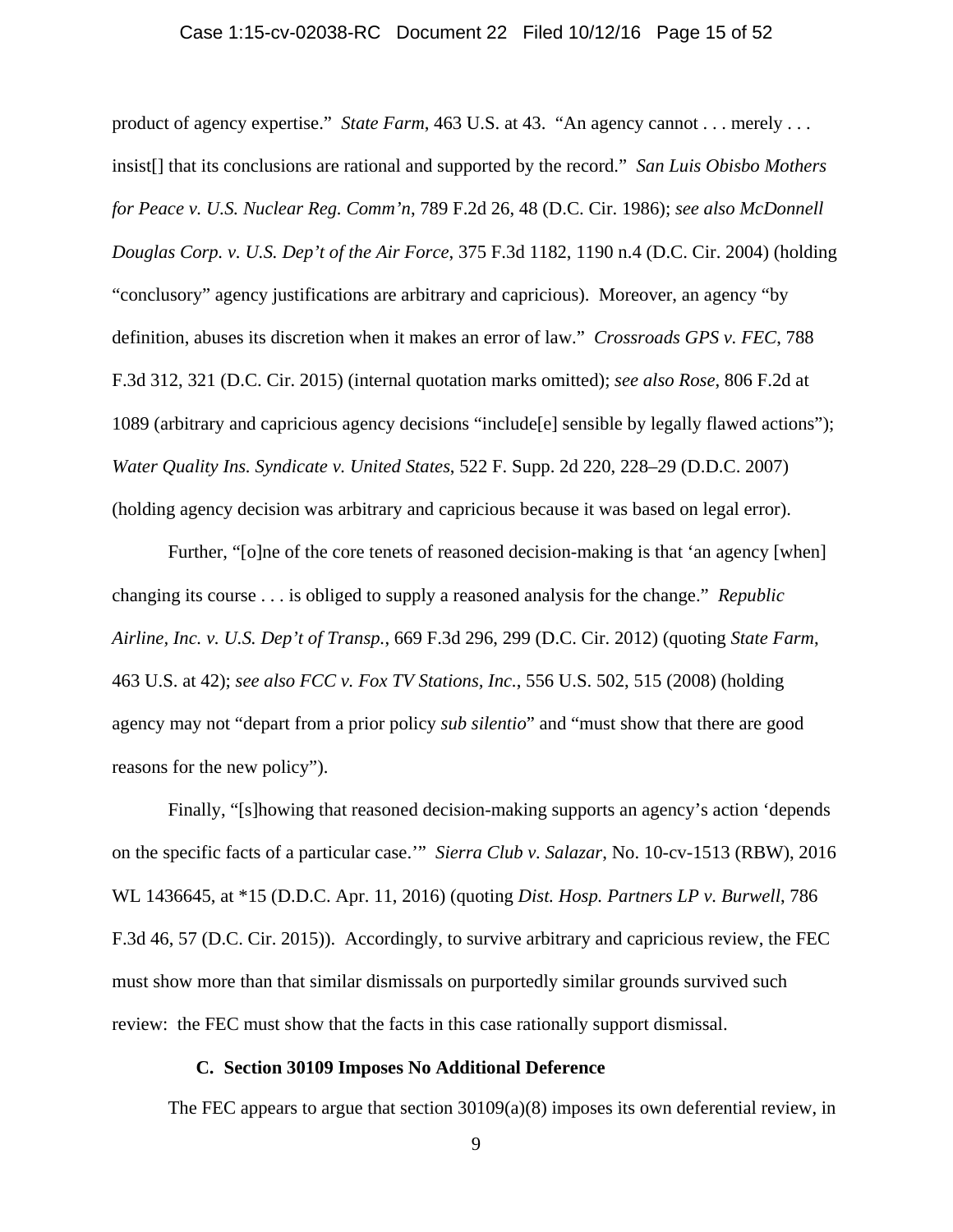#### Case 1:15-cv-02038-RC Document 22 Filed 10/12/16 Page 15 of 52

product of agency expertise." *State Farm*, 463 U.S. at 43. "An agency cannot . . . merely . . . insist[] that its conclusions are rational and supported by the record." *San Luis Obisbo Mothers for Peace v. U.S. Nuclear Reg. Comm'n*, 789 F.2d 26, 48 (D.C. Cir. 1986); *see also McDonnell Douglas Corp. v. U.S. Dep't of the Air Force*, 375 F.3d 1182, 1190 n.4 (D.C. Cir. 2004) (holding "conclusory" agency justifications are arbitrary and capricious). Moreover, an agency "by definition, abuses its discretion when it makes an error of law." *Crossroads GPS v. FEC*, 788 F.3d 312, 321 (D.C. Cir. 2015) (internal quotation marks omitted); *see also Rose*, 806 F.2d at 1089 (arbitrary and capricious agency decisions "include[e] sensible by legally flawed actions"); *Water Quality Ins. Syndicate v. United States*, 522 F. Supp. 2d 220, 228–29 (D.D.C. 2007) (holding agency decision was arbitrary and capricious because it was based on legal error).

Further, "[o]ne of the core tenets of reasoned decision-making is that 'an agency [when] changing its course . . . is obliged to supply a reasoned analysis for the change." *Republic Airline, Inc. v. U.S. Dep't of Transp.*, 669 F.3d 296, 299 (D.C. Cir. 2012) (quoting *State Farm*, 463 U.S. at 42); *see also FCC v. Fox TV Stations, Inc.*, 556 U.S. 502, 515 (2008) (holding agency may not "depart from a prior policy *sub silentio*" and "must show that there are good reasons for the new policy").

Finally, "[s]howing that reasoned decision-making supports an agency's action 'depends on the specific facts of a particular case.'" *Sierra Club v. Salazar*, No. 10-cv-1513 (RBW), 2016 WL 1436645, at \*15 (D.D.C. Apr. 11, 2016) (quoting *Dist. Hosp. Partners LP v. Burwell*, 786 F.3d 46, 57 (D.C. Cir. 2015)). Accordingly, to survive arbitrary and capricious review, the FEC must show more than that similar dismissals on purportedly similar grounds survived such review: the FEC must show that the facts in this case rationally support dismissal.

#### **C. Section 30109 Imposes No Additional Deference**

The FEC appears to argue that section  $30109(a)(8)$  imposes its own deferential review, in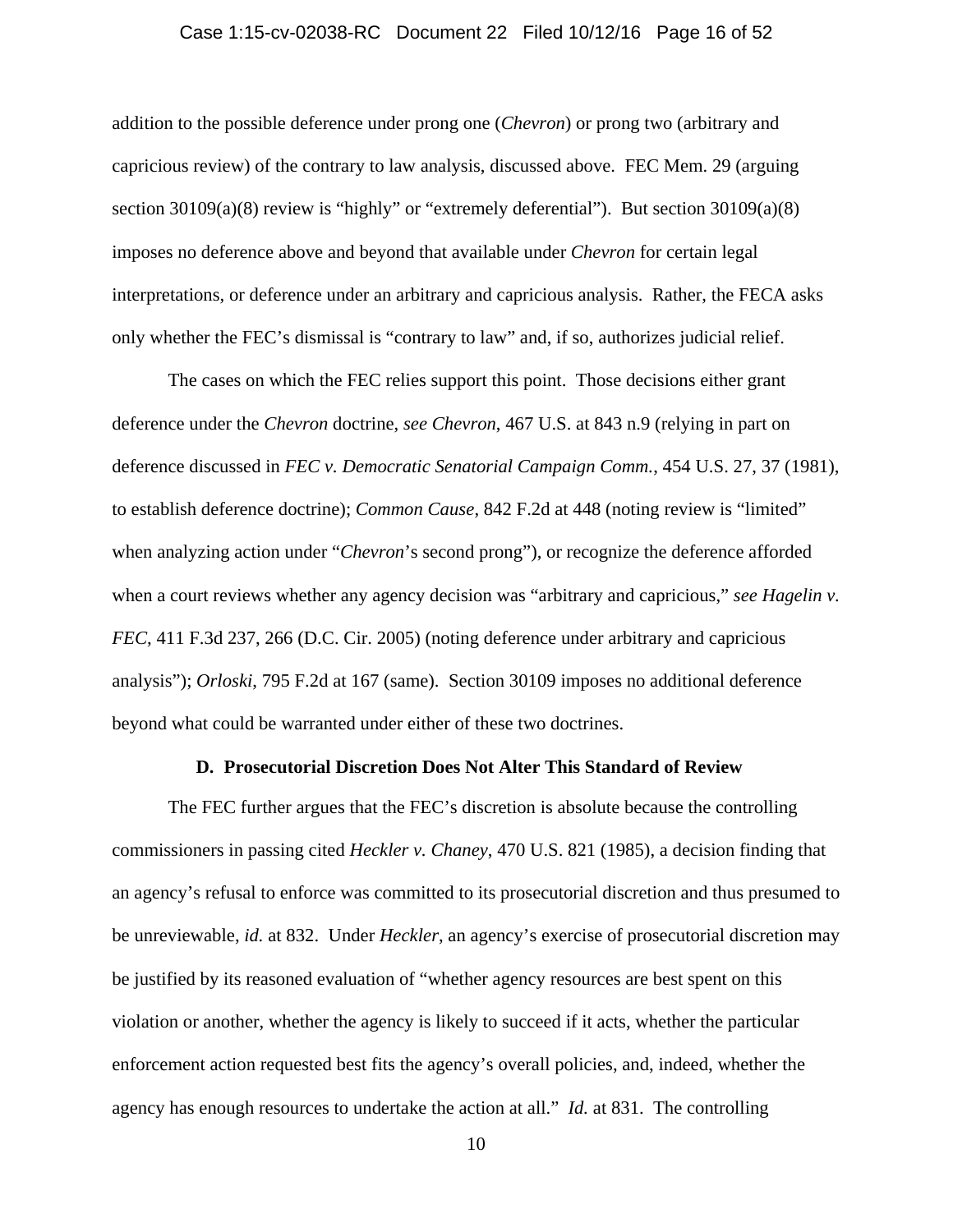#### Case 1:15-cv-02038-RC Document 22 Filed 10/12/16 Page 16 of 52

addition to the possible deference under prong one (*Chevron*) or prong two (arbitrary and capricious review) of the contrary to law analysis, discussed above. FEC Mem. 29 (arguing section 30109(a)(8) review is "highly" or "extremely deferential"). But section 30109(a)(8) imposes no deference above and beyond that available under *Chevron* for certain legal interpretations, or deference under an arbitrary and capricious analysis. Rather, the FECA asks only whether the FEC's dismissal is "contrary to law" and, if so, authorizes judicial relief.

The cases on which the FEC relies support this point. Those decisions either grant deference under the *Chevron* doctrine, *see Chevron*, 467 U.S. at 843 n.9 (relying in part on deference discussed in *FEC v. Democratic Senatorial Campaign Comm.*, 454 U.S. 27, 37 (1981), to establish deference doctrine); *Common Cause*, 842 F.2d at 448 (noting review is "limited" when analyzing action under "*Chevron*'s second prong"), or recognize the deference afforded when a court reviews whether any agency decision was "arbitrary and capricious," *see Hagelin v. FEC*, 411 F.3d 237, 266 (D.C. Cir. 2005) (noting deference under arbitrary and capricious analysis"); *Orloski*, 795 F.2d at 167 (same). Section 30109 imposes no additional deference beyond what could be warranted under either of these two doctrines.

#### **D. Prosecutorial Discretion Does Not Alter This Standard of Review**

The FEC further argues that the FEC's discretion is absolute because the controlling commissioners in passing cited *Heckler v. Chaney*, 470 U.S. 821 (1985), a decision finding that an agency's refusal to enforce was committed to its prosecutorial discretion and thus presumed to be unreviewable, *id.* at 832. Under *Heckler*, an agency's exercise of prosecutorial discretion may be justified by its reasoned evaluation of "whether agency resources are best spent on this violation or another, whether the agency is likely to succeed if it acts, whether the particular enforcement action requested best fits the agency's overall policies, and, indeed, whether the agency has enough resources to undertake the action at all." *Id.* at 831. The controlling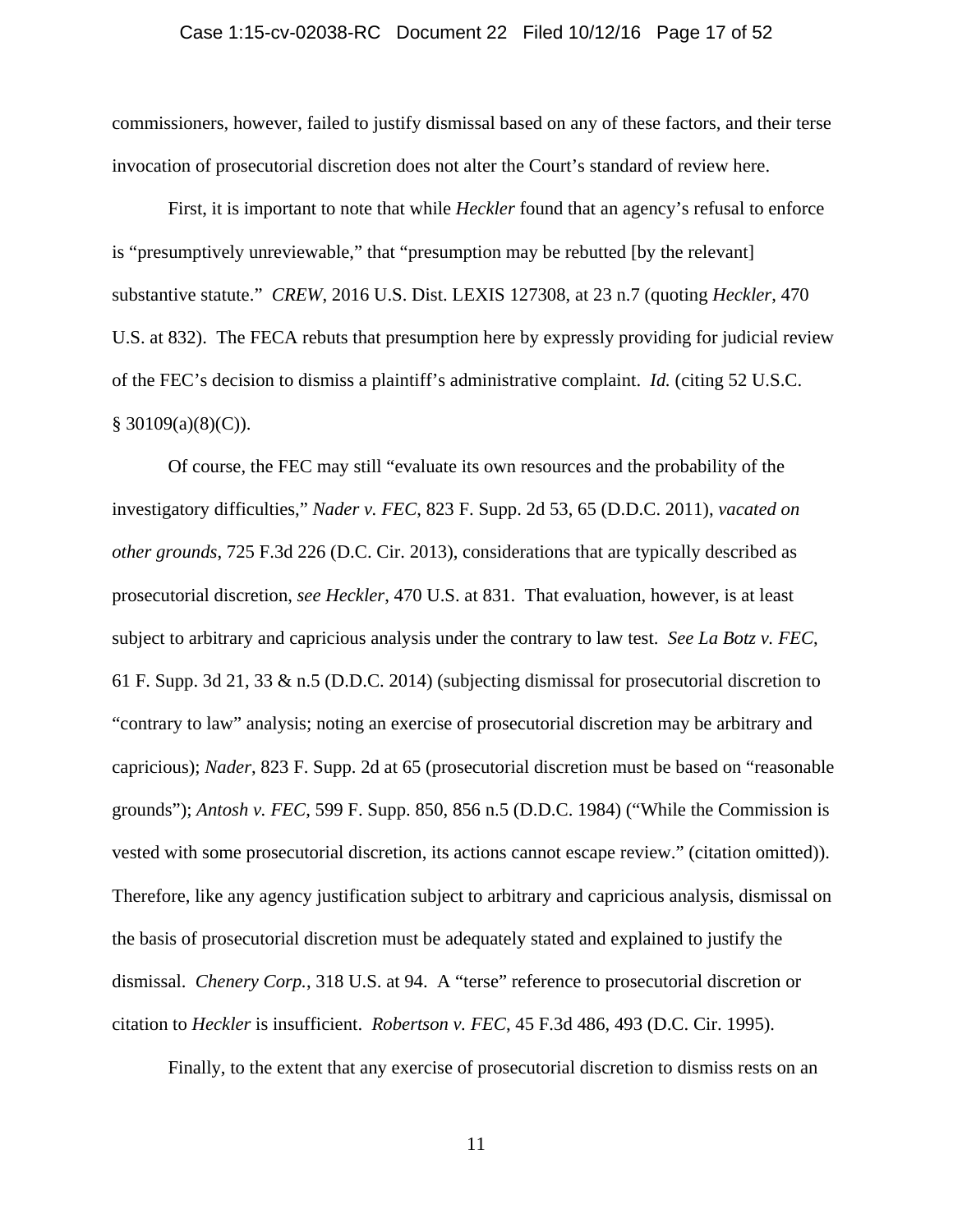#### Case 1:15-cv-02038-RC Document 22 Filed 10/12/16 Page 17 of 52

commissioners, however, failed to justify dismissal based on any of these factors, and their terse invocation of prosecutorial discretion does not alter the Court's standard of review here.

First, it is important to note that while *Heckler* found that an agency's refusal to enforce is "presumptively unreviewable," that "presumption may be rebutted [by the relevant] substantive statute." *CREW*, 2016 U.S. Dist. LEXIS 127308, at 23 n.7 (quoting *Heckler*, 470 U.S. at 832). The FECA rebuts that presumption here by expressly providing for judicial review of the FEC's decision to dismiss a plaintiff's administrative complaint. *Id.* (citing 52 U.S.C.  $§$  30109(a)(8)(C)).

Of course, the FEC may still "evaluate its own resources and the probability of the investigatory difficulties," *Nader v. FEC*, 823 F. Supp. 2d 53, 65 (D.D.C. 2011), *vacated on other grounds*, 725 F.3d 226 (D.C. Cir. 2013), considerations that are typically described as prosecutorial discretion, *see Heckler*, 470 U.S. at 831. That evaluation, however, is at least subject to arbitrary and capricious analysis under the contrary to law test. *See La Botz v. FEC*, 61 F. Supp. 3d 21, 33 & n.5 (D.D.C. 2014) (subjecting dismissal for prosecutorial discretion to "contrary to law" analysis; noting an exercise of prosecutorial discretion may be arbitrary and capricious); *Nader*, 823 F. Supp. 2d at 65 (prosecutorial discretion must be based on "reasonable grounds"); *Antosh v. FEC*, 599 F. Supp. 850, 856 n.5 (D.D.C. 1984) ("While the Commission is vested with some prosecutorial discretion, its actions cannot escape review." (citation omitted)). Therefore, like any agency justification subject to arbitrary and capricious analysis, dismissal on the basis of prosecutorial discretion must be adequately stated and explained to justify the dismissal. *Chenery Corp.*, 318 U.S. at 94. A "terse" reference to prosecutorial discretion or citation to *Heckler* is insufficient. *Robertson v. FEC*, 45 F.3d 486, 493 (D.C. Cir. 1995).

Finally, to the extent that any exercise of prosecutorial discretion to dismiss rests on an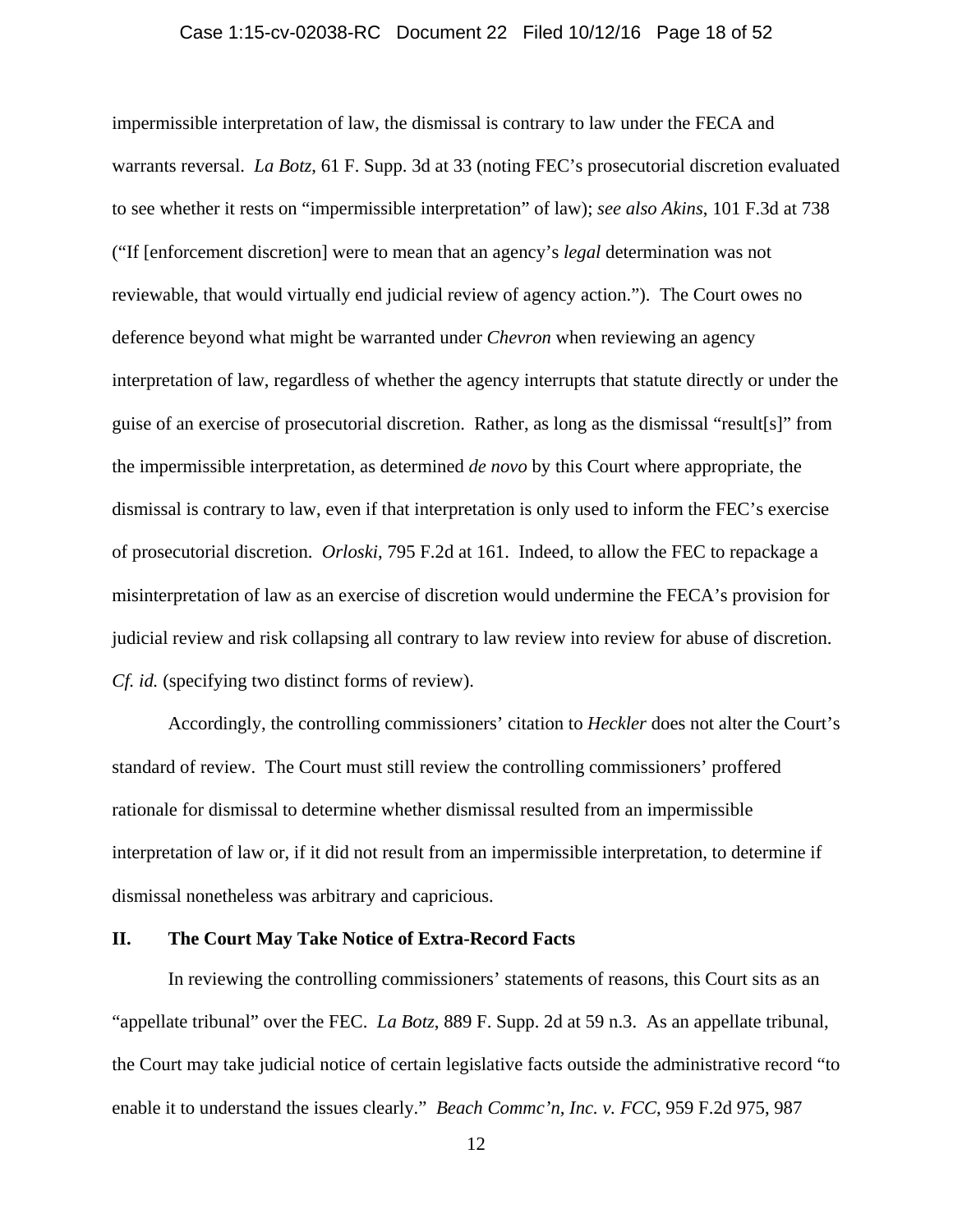#### Case 1:15-cv-02038-RC Document 22 Filed 10/12/16 Page 18 of 52

impermissible interpretation of law, the dismissal is contrary to law under the FECA and warrants reversal. *La Botz*, 61 F. Supp. 3d at 33 (noting FEC's prosecutorial discretion evaluated to see whether it rests on "impermissible interpretation" of law); *see also Akins*, 101 F.3d at 738 ("If [enforcement discretion] were to mean that an agency's *legal* determination was not reviewable, that would virtually end judicial review of agency action."). The Court owes no deference beyond what might be warranted under *Chevron* when reviewing an agency interpretation of law, regardless of whether the agency interrupts that statute directly or under the guise of an exercise of prosecutorial discretion. Rather, as long as the dismissal "result[s]" from the impermissible interpretation, as determined *de novo* by this Court where appropriate, the dismissal is contrary to law, even if that interpretation is only used to inform the FEC's exercise of prosecutorial discretion. *Orloski*, 795 F.2d at 161. Indeed, to allow the FEC to repackage a misinterpretation of law as an exercise of discretion would undermine the FECA's provision for judicial review and risk collapsing all contrary to law review into review for abuse of discretion. *Cf. id.* (specifying two distinct forms of review).

Accordingly, the controlling commissioners' citation to *Heckler* does not alter the Court's standard of review. The Court must still review the controlling commissioners' proffered rationale for dismissal to determine whether dismissal resulted from an impermissible interpretation of law or, if it did not result from an impermissible interpretation, to determine if dismissal nonetheless was arbitrary and capricious.

### **II. The Court May Take Notice of Extra-Record Facts**

In reviewing the controlling commissioners' statements of reasons, this Court sits as an "appellate tribunal" over the FEC. *La Botz*, 889 F. Supp. 2d at 59 n.3. As an appellate tribunal, the Court may take judicial notice of certain legislative facts outside the administrative record "to enable it to understand the issues clearly." *Beach Commc'n, Inc. v. FCC*, 959 F.2d 975, 987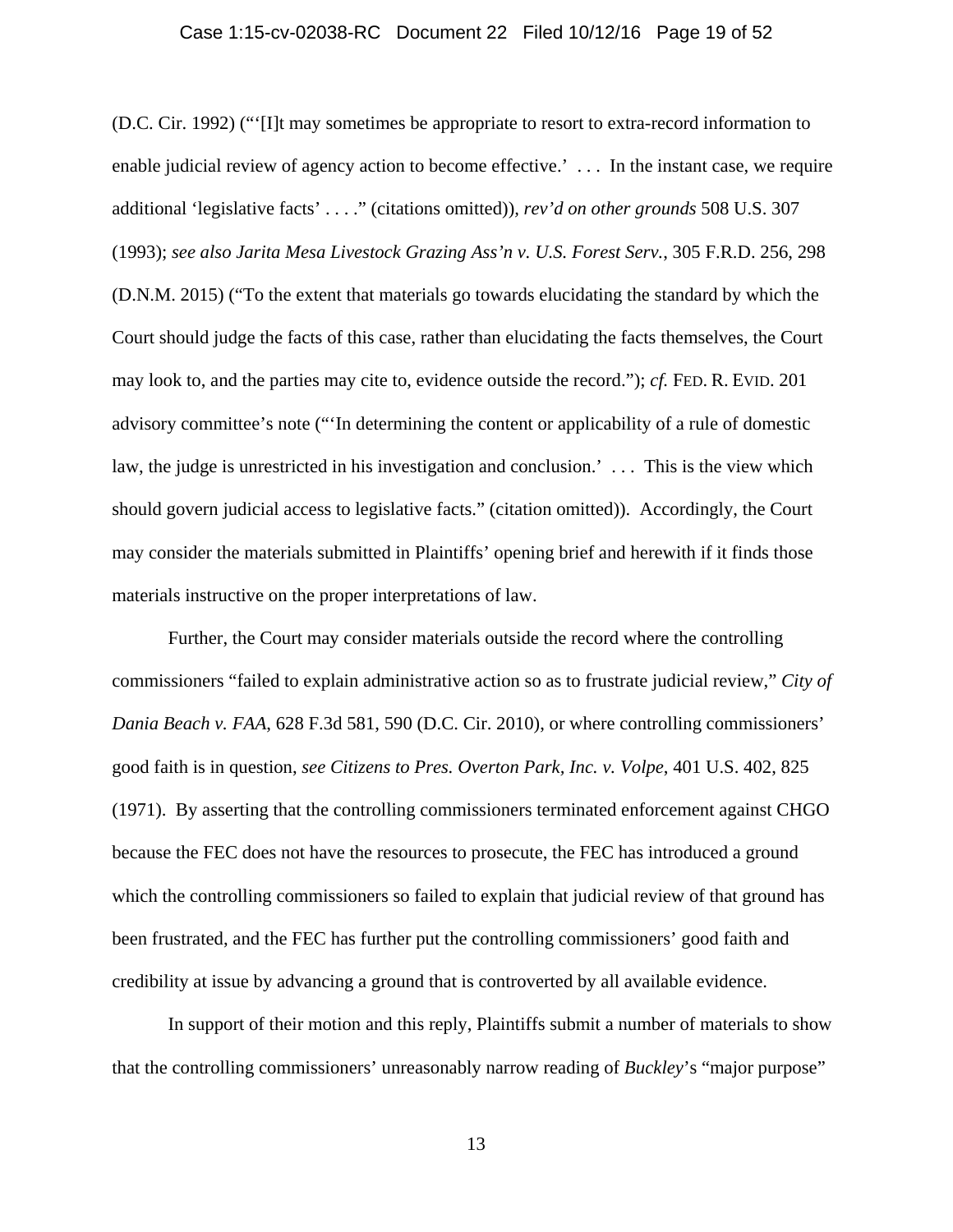#### Case 1:15-cv-02038-RC Document 22 Filed 10/12/16 Page 19 of 52

(D.C. Cir. 1992) ("'[I]t may sometimes be appropriate to resort to extra-record information to enable judicial review of agency action to become effective.'... In the instant case, we require additional 'legislative facts' . . . ." (citations omitted))*, rev'd on other grounds* 508 U.S. 307 (1993); *see also Jarita Mesa Livestock Grazing Ass'n v. U.S. Forest Serv.*, 305 F.R.D. 256, 298 (D.N.M. 2015) ("To the extent that materials go towards elucidating the standard by which the Court should judge the facts of this case, rather than elucidating the facts themselves, the Court may look to, and the parties may cite to, evidence outside the record."); *cf.* FED. R. EVID. 201 advisory committee's note ("'In determining the content or applicability of a rule of domestic law, the judge is unrestricted in his investigation and conclusion.' . . . This is the view which should govern judicial access to legislative facts." (citation omitted)). Accordingly, the Court may consider the materials submitted in Plaintiffs' opening brief and herewith if it finds those materials instructive on the proper interpretations of law.

Further, the Court may consider materials outside the record where the controlling commissioners "failed to explain administrative action so as to frustrate judicial review," *City of Dania Beach v. FAA*, 628 F.3d 581, 590 (D.C. Cir. 2010), or where controlling commissioners' good faith is in question, *see Citizens to Pres. Overton Park, Inc. v. Volpe*, 401 U.S. 402, 825 (1971). By asserting that the controlling commissioners terminated enforcement against CHGO because the FEC does not have the resources to prosecute, the FEC has introduced a ground which the controlling commissioners so failed to explain that judicial review of that ground has been frustrated, and the FEC has further put the controlling commissioners' good faith and credibility at issue by advancing a ground that is controverted by all available evidence.

In support of their motion and this reply, Plaintiffs submit a number of materials to show that the controlling commissioners' unreasonably narrow reading of *Buckley*'s "major purpose"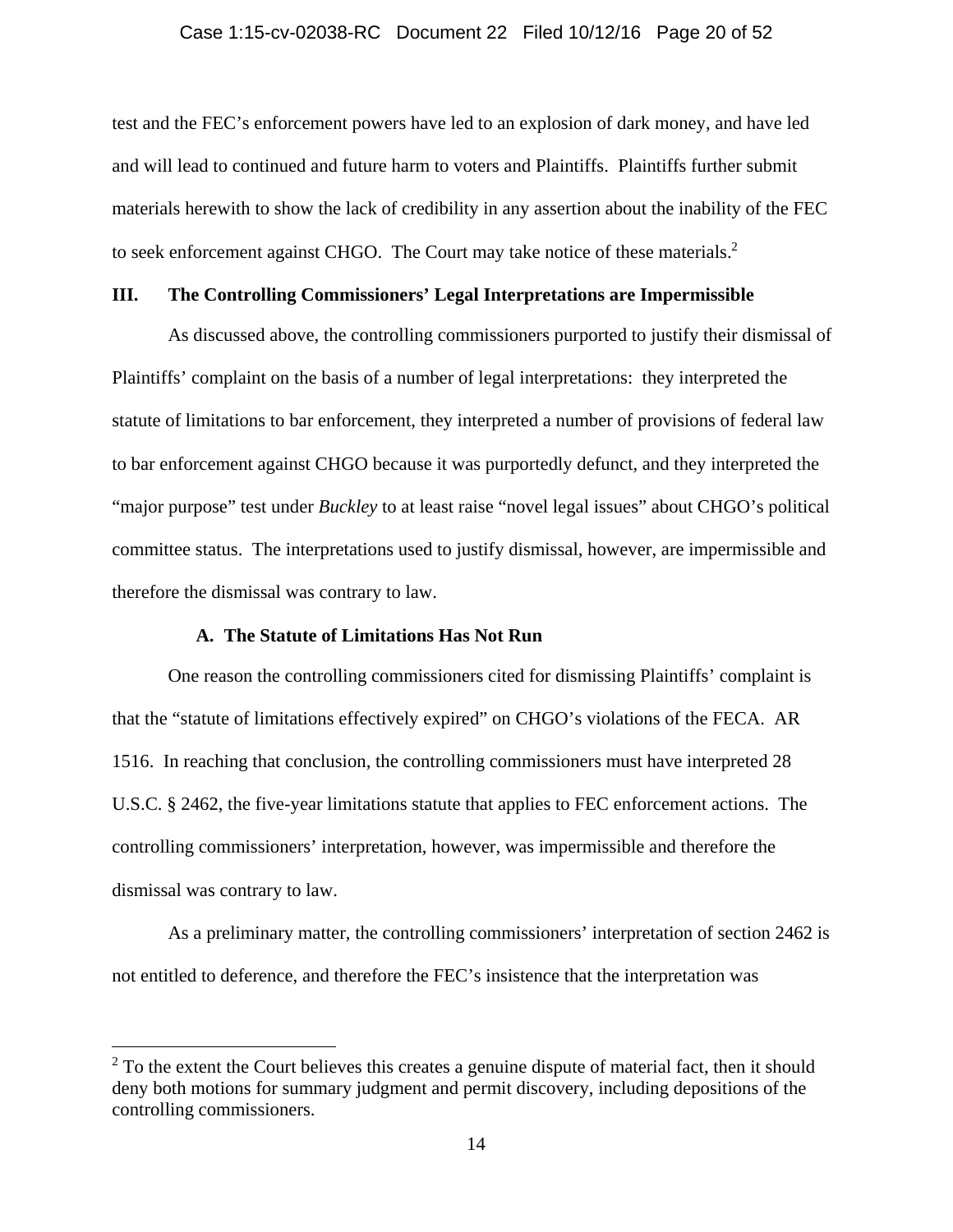#### Case 1:15-cv-02038-RC Document 22 Filed 10/12/16 Page 20 of 52

test and the FEC's enforcement powers have led to an explosion of dark money, and have led and will lead to continued and future harm to voters and Plaintiffs. Plaintiffs further submit materials herewith to show the lack of credibility in any assertion about the inability of the FEC to seek enforcement against CHGO. The Court may take notice of these materials. $2$ 

# **III. The Controlling Commissioners' Legal Interpretations are Impermissible**

As discussed above, the controlling commissioners purported to justify their dismissal of Plaintiffs' complaint on the basis of a number of legal interpretations: they interpreted the statute of limitations to bar enforcement, they interpreted a number of provisions of federal law to bar enforcement against CHGO because it was purportedly defunct, and they interpreted the "major purpose" test under *Buckley* to at least raise "novel legal issues" about CHGO's political committee status. The interpretations used to justify dismissal, however, are impermissible and therefore the dismissal was contrary to law.

## **A. The Statute of Limitations Has Not Run**

 $\overline{a}$ 

One reason the controlling commissioners cited for dismissing Plaintiffs' complaint is that the "statute of limitations effectively expired" on CHGO's violations of the FECA. AR 1516. In reaching that conclusion, the controlling commissioners must have interpreted 28 U.S.C. § 2462, the five-year limitations statute that applies to FEC enforcement actions. The controlling commissioners' interpretation, however, was impermissible and therefore the dismissal was contrary to law.

As a preliminary matter, the controlling commissioners' interpretation of section 2462 is not entitled to deference, and therefore the FEC's insistence that the interpretation was

 $2^2$  To the extent the Court believes this creates a genuine dispute of material fact, then it should deny both motions for summary judgment and permit discovery, including depositions of the controlling commissioners.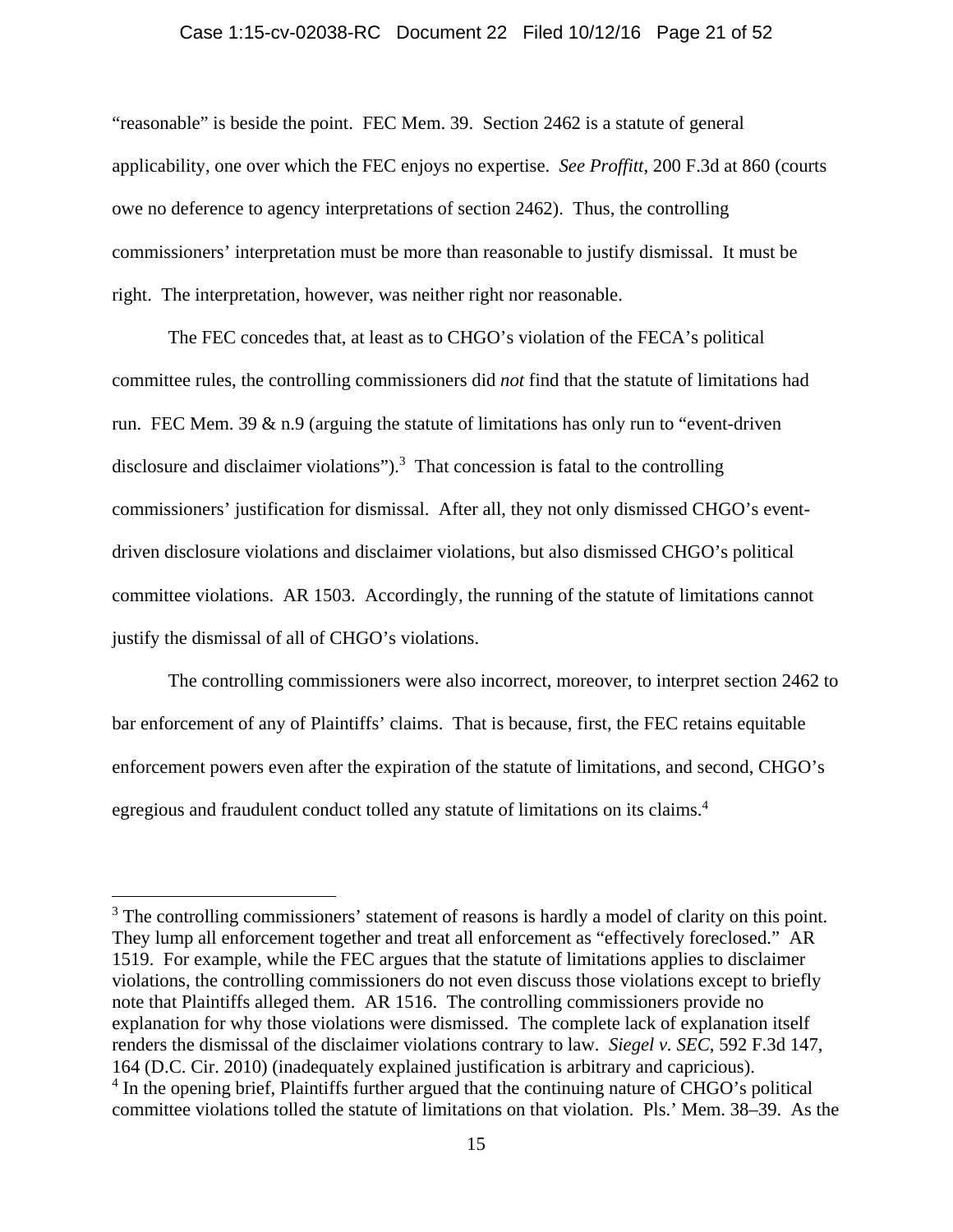#### Case 1:15-cv-02038-RC Document 22 Filed 10/12/16 Page 21 of 52

"reasonable" is beside the point. FEC Mem. 39. Section 2462 is a statute of general applicability, one over which the FEC enjoys no expertise. *See Proffitt*, 200 F.3d at 860 (courts owe no deference to agency interpretations of section 2462). Thus, the controlling commissioners' interpretation must be more than reasonable to justify dismissal. It must be right. The interpretation, however, was neither right nor reasonable.

The FEC concedes that, at least as to CHGO's violation of the FECA's political committee rules, the controlling commissioners did *not* find that the statute of limitations had run. FEC Mem. 39 & n.9 (arguing the statute of limitations has only run to "event-driven disclosure and disclaimer violations" $)^3$ . That concession is fatal to the controlling commissioners' justification for dismissal. After all, they not only dismissed CHGO's eventdriven disclosure violations and disclaimer violations, but also dismissed CHGO's political committee violations. AR 1503. Accordingly, the running of the statute of limitations cannot justify the dismissal of all of CHGO's violations.

The controlling commissioners were also incorrect, moreover, to interpret section 2462 to bar enforcement of any of Plaintiffs' claims. That is because, first, the FEC retains equitable enforcement powers even after the expiration of the statute of limitations, and second, CHGO's egregious and fraudulent conduct tolled any statute of limitations on its claims.<sup>4</sup>

<sup>&</sup>lt;sup>3</sup> The controlling commissioners' statement of reasons is hardly a model of clarity on this point. They lump all enforcement together and treat all enforcement as "effectively foreclosed." AR 1519. For example, while the FEC argues that the statute of limitations applies to disclaimer violations, the controlling commissioners do not even discuss those violations except to briefly note that Plaintiffs alleged them. AR 1516. The controlling commissioners provide no explanation for why those violations were dismissed. The complete lack of explanation itself renders the dismissal of the disclaimer violations contrary to law. *Siegel v. SEC*, 592 F.3d 147, 164 (D.C. Cir. 2010) (inadequately explained justification is arbitrary and capricious). <sup>4</sup> In the opening brief, Plaintiffs further argued that the continuing nature of CHGO's political

committee violations tolled the statute of limitations on that violation. Pls.' Mem. 38–39. As the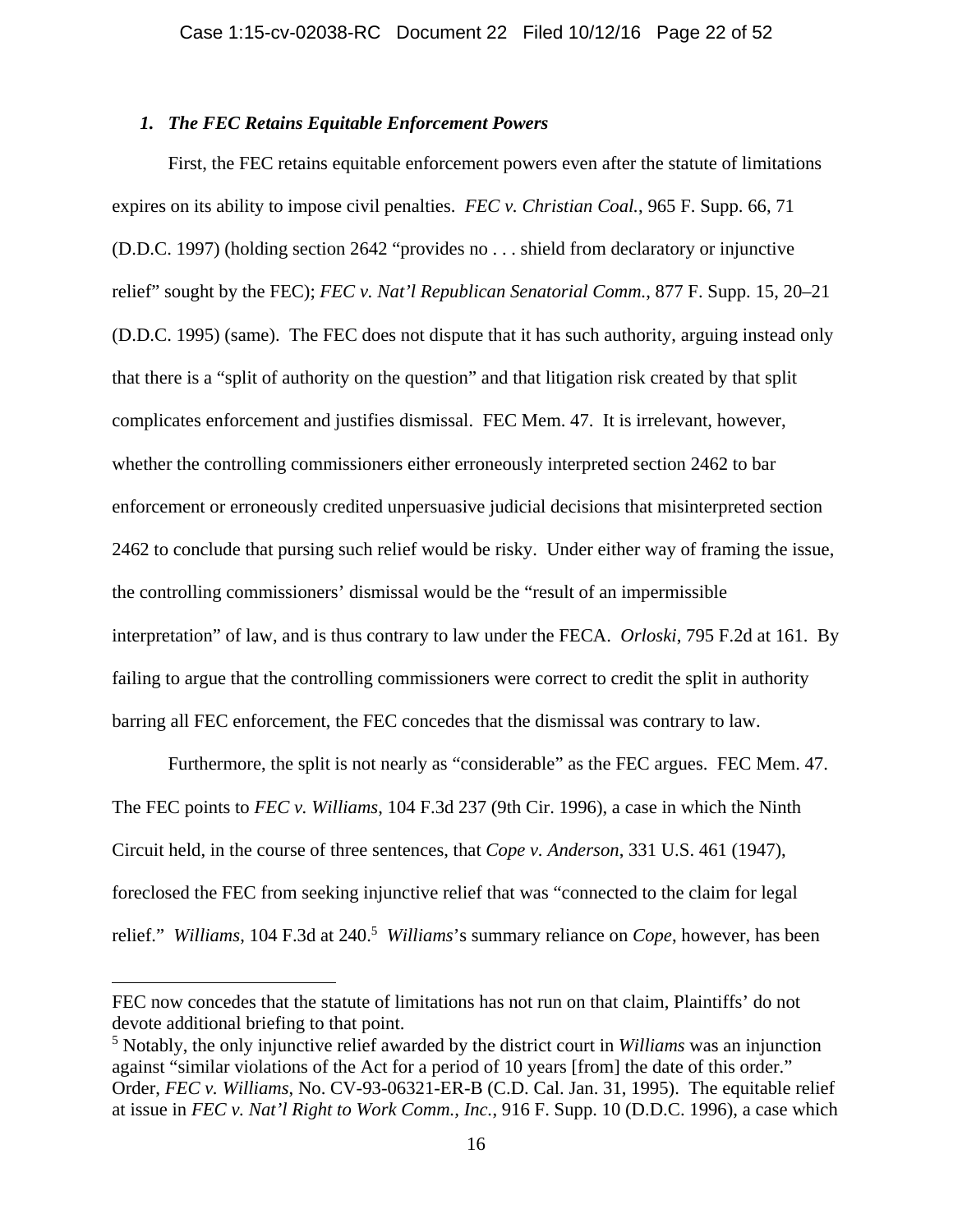### *1. The FEC Retains Equitable Enforcement Powers*

First, the FEC retains equitable enforcement powers even after the statute of limitations expires on its ability to impose civil penalties. *FEC v. Christian Coal.*, 965 F. Supp. 66, 71 (D.D.C. 1997) (holding section 2642 "provides no . . . shield from declaratory or injunctive relief" sought by the FEC); *FEC v. Nat'l Republican Senatorial Comm.*, 877 F. Supp. 15, 20–21 (D.D.C. 1995) (same). The FEC does not dispute that it has such authority, arguing instead only that there is a "split of authority on the question" and that litigation risk created by that split complicates enforcement and justifies dismissal. FEC Mem. 47. It is irrelevant, however, whether the controlling commissioners either erroneously interpreted section 2462 to bar enforcement or erroneously credited unpersuasive judicial decisions that misinterpreted section 2462 to conclude that pursing such relief would be risky. Under either way of framing the issue, the controlling commissioners' dismissal would be the "result of an impermissible interpretation" of law, and is thus contrary to law under the FECA. *Orloski*, 795 F.2d at 161. By failing to argue that the controlling commissioners were correct to credit the split in authority barring all FEC enforcement, the FEC concedes that the dismissal was contrary to law.

Furthermore, the split is not nearly as "considerable" as the FEC argues. FEC Mem. 47. The FEC points to *FEC v. Williams*, 104 F.3d 237 (9th Cir. 1996), a case in which the Ninth Circuit held, in the course of three sentences, that *Cope v. Anderson*, 331 U.S. 461 (1947), foreclosed the FEC from seeking injunctive relief that was "connected to the claim for legal relief." *Williams*, 104 F.3d at 240.<sup>5</sup> *Williams*'s summary reliance on *Cope*, however, has been

FEC now concedes that the statute of limitations has not run on that claim, Plaintiffs' do not devote additional briefing to that point.

<sup>5</sup> Notably, the only injunctive relief awarded by the district court in *Williams* was an injunction against "similar violations of the Act for a period of 10 years [from] the date of this order." Order, *FEC v. Williams*, No. CV-93-06321-ER-B (C.D. Cal. Jan. 31, 1995).The equitable relief at issue in *FEC v. Nat'l Right to Work Comm., Inc.*, 916 F. Supp. 10 (D.D.C. 1996), a case which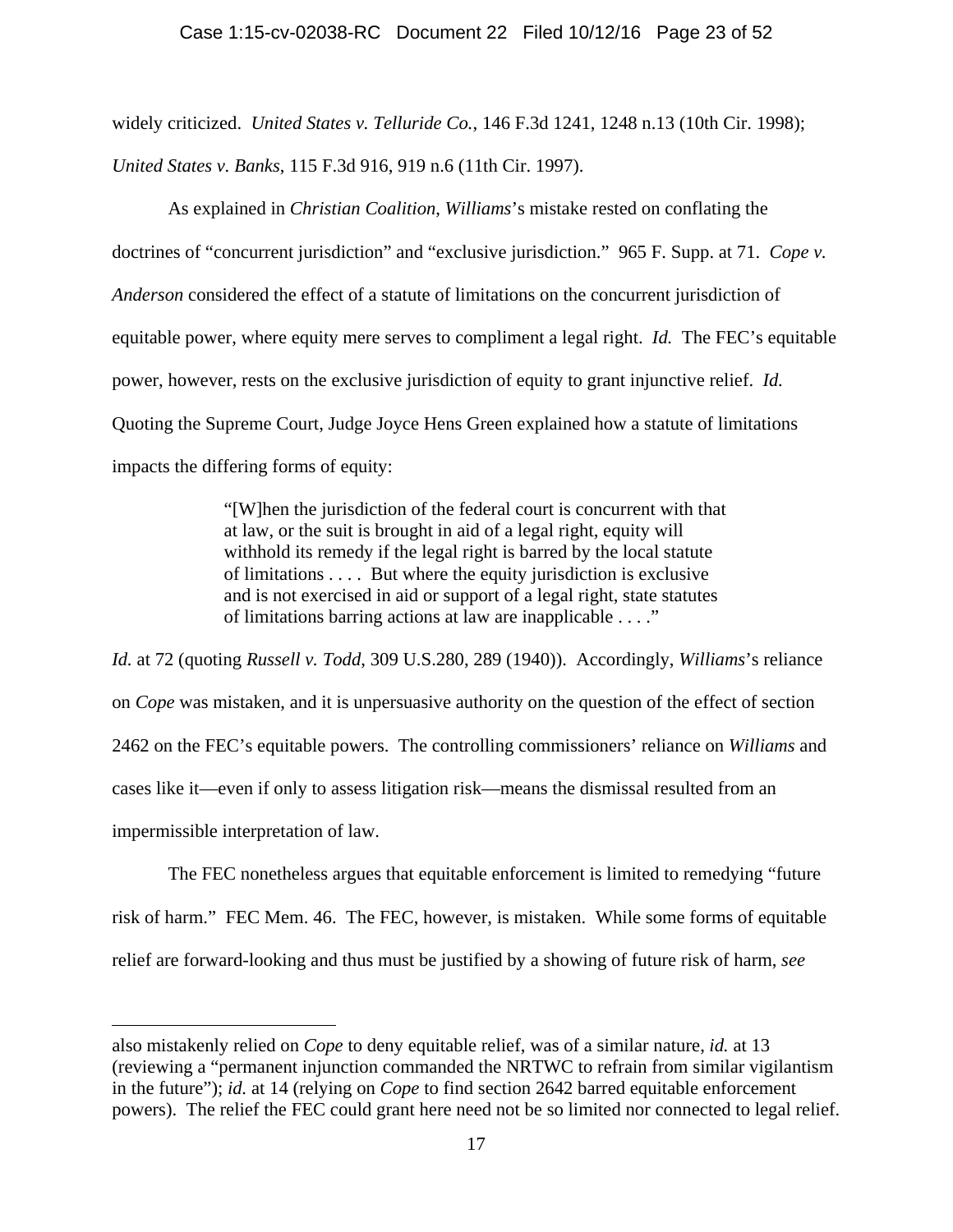### Case 1:15-cv-02038-RC Document 22 Filed 10/12/16 Page 23 of 52

widely criticized. *United States v. Telluride Co.*, 146 F.3d 1241, 1248 n.13 (10th Cir. 1998); *United States v. Banks*, 115 F.3d 916, 919 n.6 (11th Cir. 1997).

As explained in *Christian Coalition*, *Williams*'s mistake rested on conflating the doctrines of "concurrent jurisdiction" and "exclusive jurisdiction." 965 F. Supp. at 71. *Cope v. Anderson* considered the effect of a statute of limitations on the concurrent jurisdiction of equitable power, where equity mere serves to compliment a legal right. *Id.* The FEC's equitable power, however, rests on the exclusive jurisdiction of equity to grant injunctive relief. *Id.* Quoting the Supreme Court, Judge Joyce Hens Green explained how a statute of limitations impacts the differing forms of equity:

> "[W]hen the jurisdiction of the federal court is concurrent with that at law, or the suit is brought in aid of a legal right, equity will withhold its remedy if the legal right is barred by the local statute of limitations . . . . But where the equity jurisdiction is exclusive and is not exercised in aid or support of a legal right, state statutes of limitations barring actions at law are inapplicable . . . ."

*Id.* at 72 (quoting *Russell v. Todd*, 309 U.S.280, 289 (1940)). Accordingly, *Williams*'s reliance on *Cope* was mistaken, and it is unpersuasive authority on the question of the effect of section 2462 on the FEC's equitable powers. The controlling commissioners' reliance on *Williams* and cases like it—even if only to assess litigation risk—means the dismissal resulted from an impermissible interpretation of law.

The FEC nonetheless argues that equitable enforcement is limited to remedying "future risk of harm." FEC Mem. 46. The FEC, however, is mistaken. While some forms of equitable relief are forward-looking and thus must be justified by a showing of future risk of harm, *see* 

also mistakenly relied on *Cope* to deny equitable relief, was of a similar nature, *id.* at 13 (reviewing a "permanent injunction commanded the NRTWC to refrain from similar vigilantism in the future"); *id.* at 14 (relying on *Cope* to find section 2642 barred equitable enforcement powers). The relief the FEC could grant here need not be so limited nor connected to legal relief.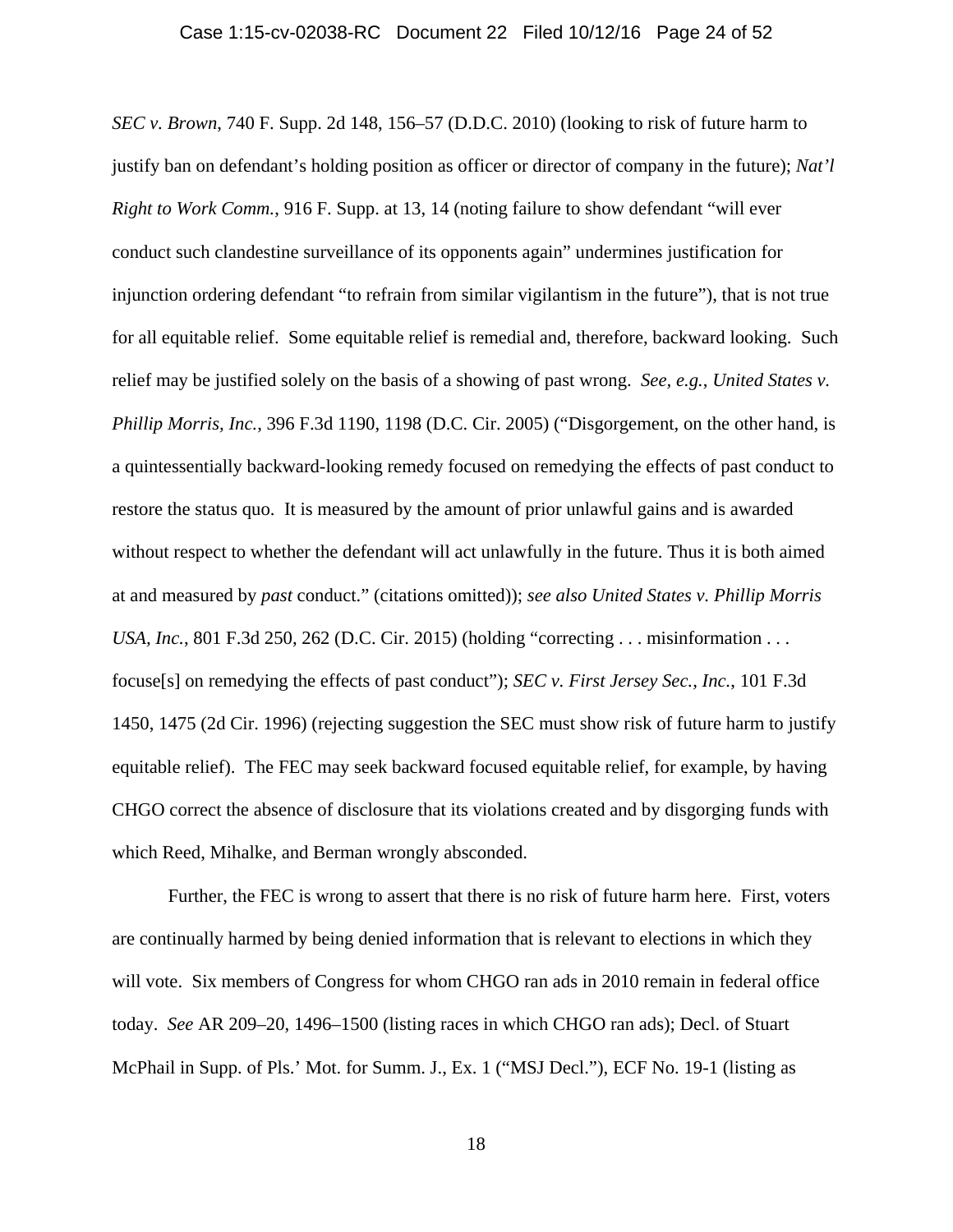*SEC v. Brown*, 740 F. Supp. 2d 148, 156–57 (D.D.C. 2010) (looking to risk of future harm to justify ban on defendant's holding position as officer or director of company in the future); *Nat'l Right to Work Comm.*, 916 F. Supp. at 13, 14 (noting failure to show defendant "will ever conduct such clandestine surveillance of its opponents again" undermines justification for injunction ordering defendant "to refrain from similar vigilantism in the future"), that is not true for all equitable relief. Some equitable relief is remedial and, therefore, backward looking. Such relief may be justified solely on the basis of a showing of past wrong. *See, e.g.*, *United States v. Phillip Morris, Inc.*, 396 F.3d 1190, 1198 (D.C. Cir. 2005) ("Disgorgement, on the other hand, is a quintessentially backward-looking remedy focused on remedying the effects of past conduct to restore the status quo. It is measured by the amount of prior unlawful gains and is awarded without respect to whether the defendant will act unlawfully in the future. Thus it is both aimed at and measured by *past* conduct." (citations omitted)); *see also United States v. Phillip Morris USA, Inc.*, 801 F.3d 250, 262 (D.C. Cir. 2015) (holding "correcting . . . misinformation . . . focuse[s] on remedying the effects of past conduct"); *SEC v. First Jersey Sec., Inc.*, 101 F.3d 1450, 1475 (2d Cir. 1996) (rejecting suggestion the SEC must show risk of future harm to justify equitable relief). The FEC may seek backward focused equitable relief, for example, by having CHGO correct the absence of disclosure that its violations created and by disgorging funds with which Reed, Mihalke, and Berman wrongly absconded.

Further, the FEC is wrong to assert that there is no risk of future harm here. First, voters are continually harmed by being denied information that is relevant to elections in which they will vote. Six members of Congress for whom CHGO ran ads in 2010 remain in federal office today. *See* AR 209–20, 1496–1500 (listing races in which CHGO ran ads); Decl. of Stuart McPhail in Supp. of Pls.' Mot. for Summ. J., Ex. 1 ("MSJ Decl."), ECF No. 19-1 (listing as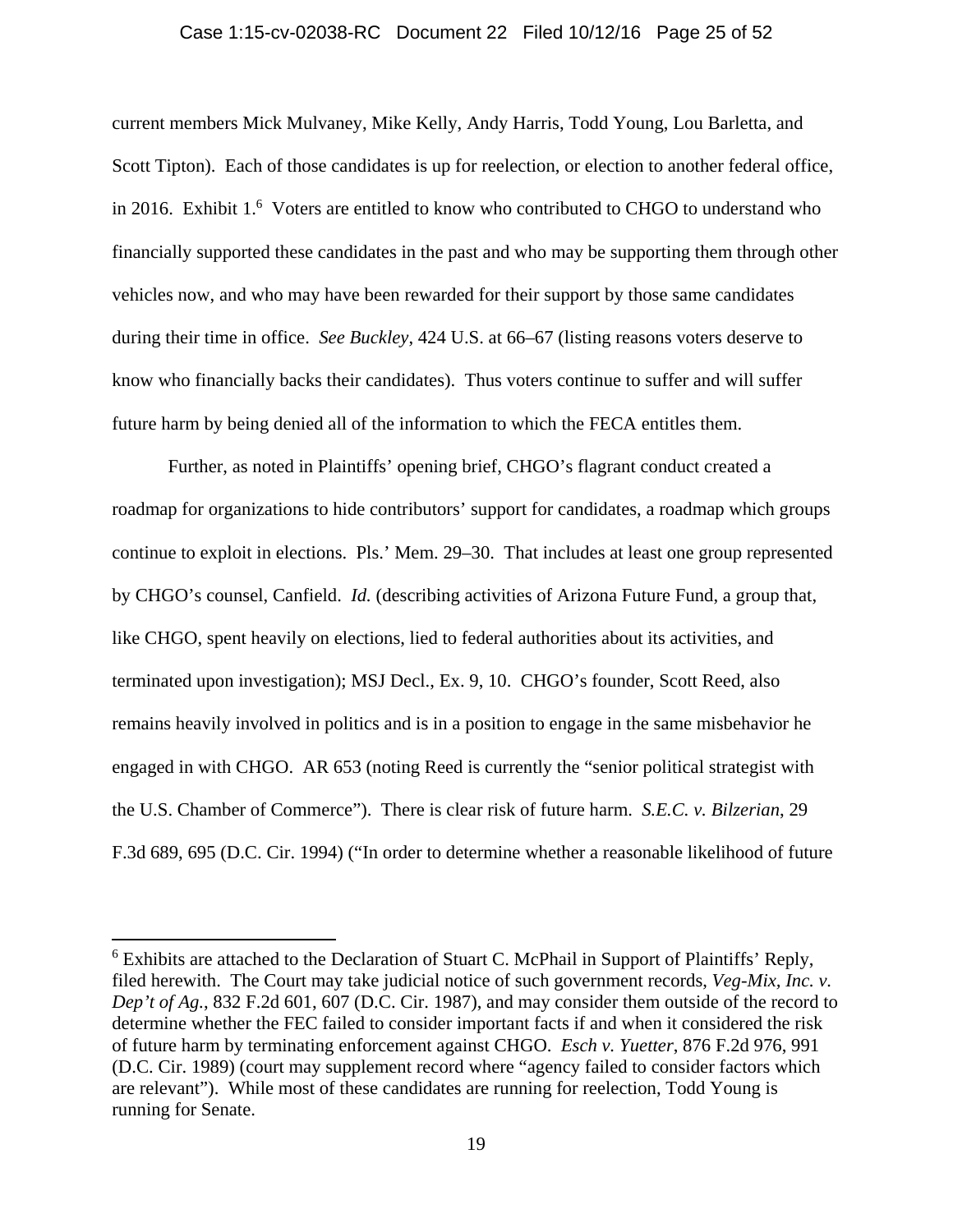#### Case 1:15-cv-02038-RC Document 22 Filed 10/12/16 Page 25 of 52

current members Mick Mulvaney, Mike Kelly, Andy Harris, Todd Young, Lou Barletta, and Scott Tipton). Each of those candidates is up for reelection, or election to another federal office, in 2016. Exhibit 1.<sup>6</sup> Voters are entitled to know who contributed to CHGO to understand who financially supported these candidates in the past and who may be supporting them through other vehicles now, and who may have been rewarded for their support by those same candidates during their time in office. *See Buckley*, 424 U.S. at 66–67 (listing reasons voters deserve to know who financially backs their candidates).Thus voters continue to suffer and will suffer future harm by being denied all of the information to which the FECA entitles them.

Further, as noted in Plaintiffs' opening brief, CHGO's flagrant conduct created a roadmap for organizations to hide contributors' support for candidates, a roadmap which groups continue to exploit in elections. Pls.' Mem. 29–30. That includes at least one group represented by CHGO's counsel, Canfield. *Id.* (describing activities of Arizona Future Fund, a group that, like CHGO, spent heavily on elections, lied to federal authorities about its activities, and terminated upon investigation); MSJ Decl., Ex. 9, 10. CHGO's founder, Scott Reed, also remains heavily involved in politics and is in a position to engage in the same misbehavior he engaged in with CHGO. AR 653 (noting Reed is currently the "senior political strategist with the U.S. Chamber of Commerce"). There is clear risk of future harm. *S.E.C. v. Bilzerian*, 29 F.3d 689, 695 (D.C. Cir. 1994) ("In order to determine whether a reasonable likelihood of future

<sup>&</sup>lt;sup>6</sup> Exhibits are attached to the Declaration of Stuart C. McPhail in Support of Plaintiffs' Reply, filed herewith. The Court may take judicial notice of such government records, *Veg-Mix, Inc. v. Dep't of Ag.*, 832 F.2d 601, 607 (D.C. Cir. 1987), and may consider them outside of the record to determine whether the FEC failed to consider important facts if and when it considered the risk of future harm by terminating enforcement against CHGO. *Esch v. Yuetter*, 876 F.2d 976, 991 (D.C. Cir. 1989) (court may supplement record where "agency failed to consider factors which are relevant"). While most of these candidates are running for reelection, Todd Young is running for Senate.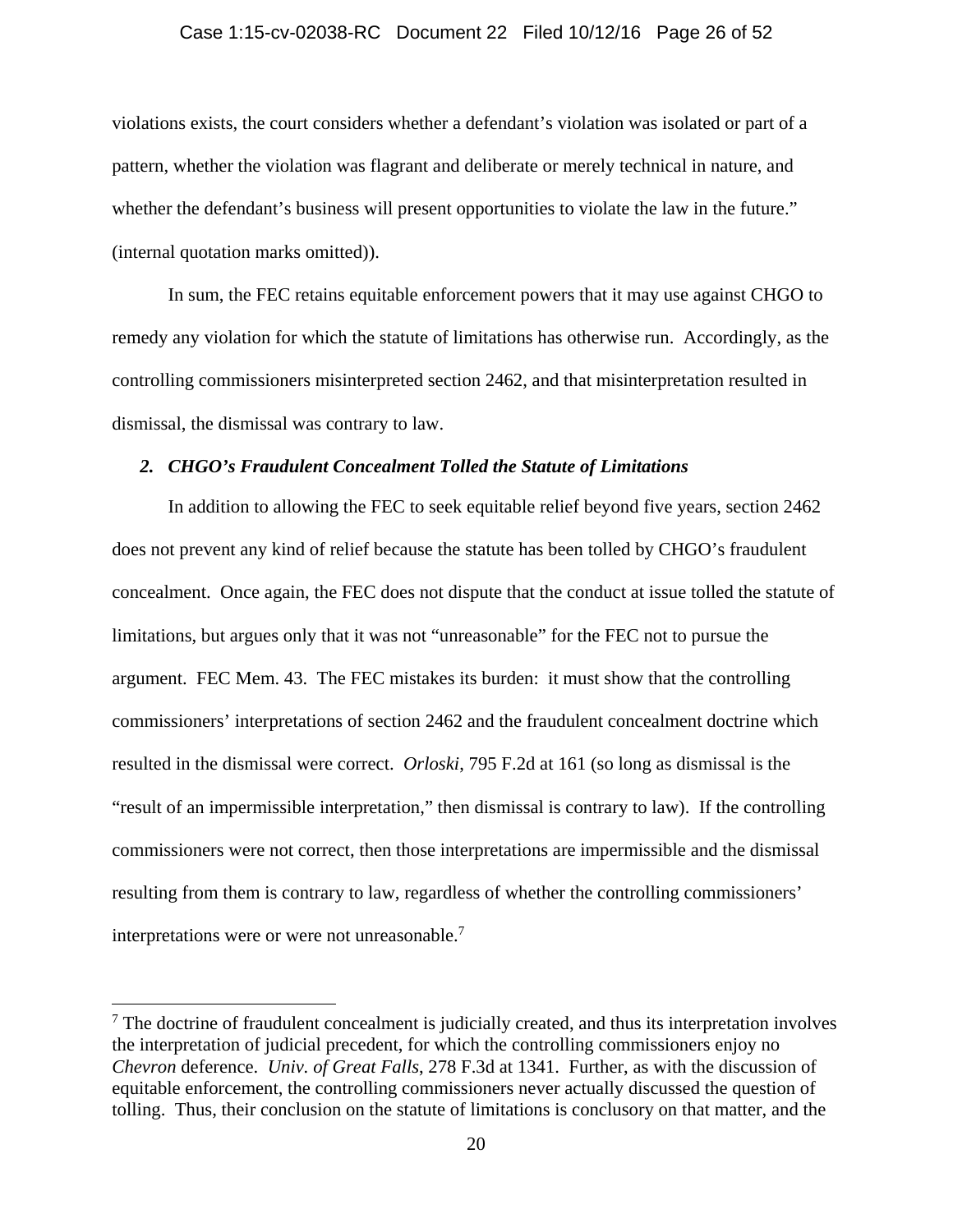#### Case 1:15-cv-02038-RC Document 22 Filed 10/12/16 Page 26 of 52

violations exists, the court considers whether a defendant's violation was isolated or part of a pattern, whether the violation was flagrant and deliberate or merely technical in nature, and whether the defendant's business will present opportunities to violate the law in the future." (internal quotation marks omitted)).

In sum, the FEC retains equitable enforcement powers that it may use against CHGO to remedy any violation for which the statute of limitations has otherwise run. Accordingly, as the controlling commissioners misinterpreted section 2462, and that misinterpretation resulted in dismissal, the dismissal was contrary to law.

#### *2. CHGO's Fraudulent Concealment Tolled the Statute of Limitations*

In addition to allowing the FEC to seek equitable relief beyond five years, section 2462 does not prevent any kind of relief because the statute has been tolled by CHGO's fraudulent concealment. Once again, the FEC does not dispute that the conduct at issue tolled the statute of limitations, but argues only that it was not "unreasonable" for the FEC not to pursue the argument. FEC Mem. 43. The FEC mistakes its burden: it must show that the controlling commissioners' interpretations of section 2462 and the fraudulent concealment doctrine which resulted in the dismissal were correct. *Orloski*, 795 F.2d at 161 (so long as dismissal is the "result of an impermissible interpretation," then dismissal is contrary to law). If the controlling commissioners were not correct, then those interpretations are impermissible and the dismissal resulting from them is contrary to law, regardless of whether the controlling commissioners' interpretations were or were not unreasonable.<sup>7</sup>

 $<sup>7</sup>$  The doctrine of fraudulent concealment is judicially created, and thus its interpretation involves</sup> the interpretation of judicial precedent, for which the controlling commissioners enjoy no *Chevron* deference. *Univ. of Great Falls*, 278 F.3d at 1341. Further, as with the discussion of equitable enforcement, the controlling commissioners never actually discussed the question of tolling. Thus, their conclusion on the statute of limitations is conclusory on that matter, and the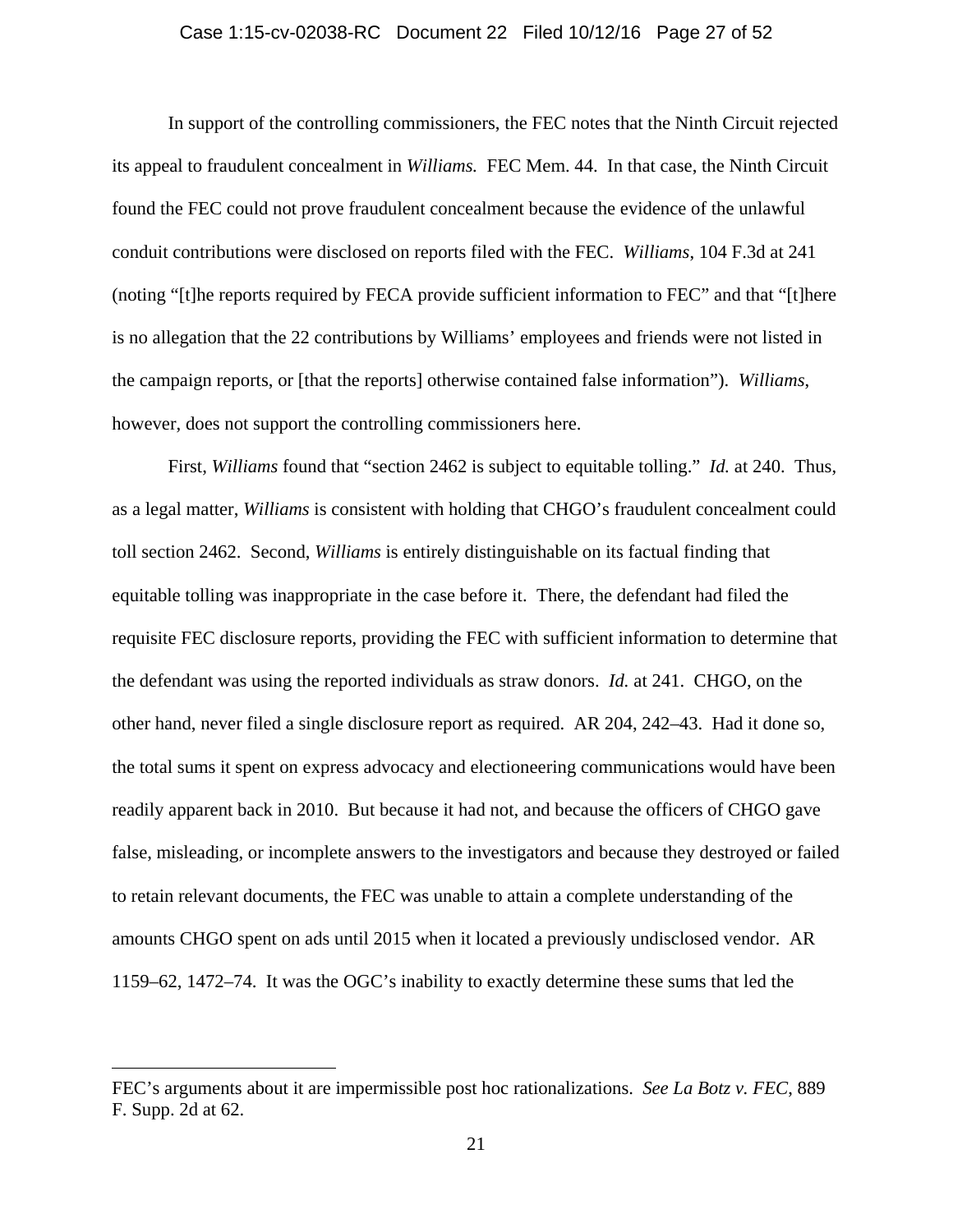#### Case 1:15-cv-02038-RC Document 22 Filed 10/12/16 Page 27 of 52

In support of the controlling commissioners, the FEC notes that the Ninth Circuit rejected its appeal to fraudulent concealment in *Williams.* FEC Mem. 44. In that case, the Ninth Circuit found the FEC could not prove fraudulent concealment because the evidence of the unlawful conduit contributions were disclosed on reports filed with the FEC. *Williams*, 104 F.3d at 241 (noting "[t]he reports required by FECA provide sufficient information to FEC" and that "[t]here is no allegation that the 22 contributions by Williams' employees and friends were not listed in the campaign reports, or [that the reports] otherwise contained false information"). *Williams*, however, does not support the controlling commissioners here.

First, *Williams* found that "section 2462 is subject to equitable tolling." *Id.* at 240. Thus, as a legal matter, *Williams* is consistent with holding that CHGO's fraudulent concealment could toll section 2462. Second, *Williams* is entirely distinguishable on its factual finding that equitable tolling was inappropriate in the case before it. There, the defendant had filed the requisite FEC disclosure reports, providing the FEC with sufficient information to determine that the defendant was using the reported individuals as straw donors. *Id.* at 241. CHGO, on the other hand, never filed a single disclosure report as required. AR 204, 242–43. Had it done so, the total sums it spent on express advocacy and electioneering communications would have been readily apparent back in 2010. But because it had not, and because the officers of CHGO gave false, misleading, or incomplete answers to the investigators and because they destroyed or failed to retain relevant documents, the FEC was unable to attain a complete understanding of the amounts CHGO spent on ads until 2015 when it located a previously undisclosed vendor. AR 1159–62, 1472–74. It was the OGC's inability to exactly determine these sums that led the

FEC's arguments about it are impermissible post hoc rationalizations. *See La Botz v. FEC*, 889 F. Supp. 2d at 62.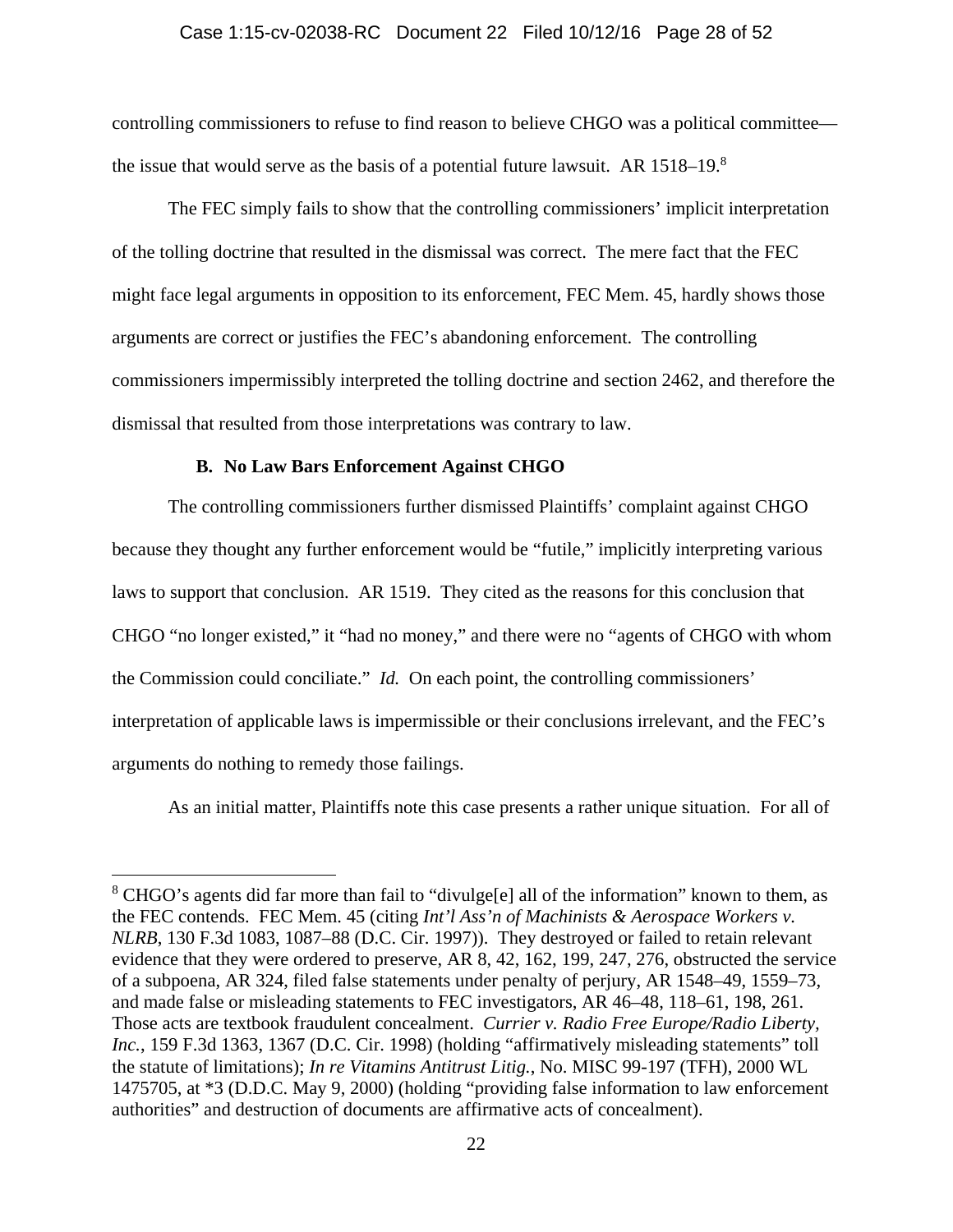#### Case 1:15-cv-02038-RC Document 22 Filed 10/12/16 Page 28 of 52

controlling commissioners to refuse to find reason to believe CHGO was a political committee the issue that would serve as the basis of a potential future lawsuit. AR  $1518-19$ .<sup>8</sup>

The FEC simply fails to show that the controlling commissioners' implicit interpretation of the tolling doctrine that resulted in the dismissal was correct. The mere fact that the FEC might face legal arguments in opposition to its enforcement, FEC Mem. 45, hardly shows those arguments are correct or justifies the FEC's abandoning enforcement. The controlling commissioners impermissibly interpreted the tolling doctrine and section 2462, and therefore the dismissal that resulted from those interpretations was contrary to law.

### **B. No Law Bars Enforcement Against CHGO**

 $\overline{a}$ 

The controlling commissioners further dismissed Plaintiffs' complaint against CHGO because they thought any further enforcement would be "futile," implicitly interpreting various laws to support that conclusion. AR 1519. They cited as the reasons for this conclusion that CHGO "no longer existed," it "had no money," and there were no "agents of CHGO with whom the Commission could conciliate." *Id.* On each point, the controlling commissioners' interpretation of applicable laws is impermissible or their conclusions irrelevant, and the FEC's arguments do nothing to remedy those failings.

As an initial matter, Plaintiffs note this case presents a rather unique situation. For all of

<sup>&</sup>lt;sup>8</sup> CHGO's agents did far more than fail to "divulge[e] all of the information" known to them, as the FEC contends. FEC Mem. 45 (citing *Int'l Ass'n of Machinists & Aerospace Workers v. NLRB*, 130 F.3d 1083, 1087–88 (D.C. Cir. 1997)). They destroyed or failed to retain relevant evidence that they were ordered to preserve, AR 8, 42, 162, 199, 247, 276, obstructed the service of a subpoena, AR 324, filed false statements under penalty of perjury, AR 1548–49, 1559–73, and made false or misleading statements to FEC investigators, AR 46–48, 118–61, 198, 261. Those acts are textbook fraudulent concealment. *Currier v. Radio Free Europe/Radio Liberty, Inc.*, 159 F.3d 1363, 1367 (D.C. Cir. 1998) (holding "affirmatively misleading statements" toll the statute of limitations); *In re Vitamins Antitrust Litig.*, No. MISC 99-197 (TFH), 2000 WL 1475705, at \*3 (D.D.C. May 9, 2000) (holding "providing false information to law enforcement authorities" and destruction of documents are affirmative acts of concealment).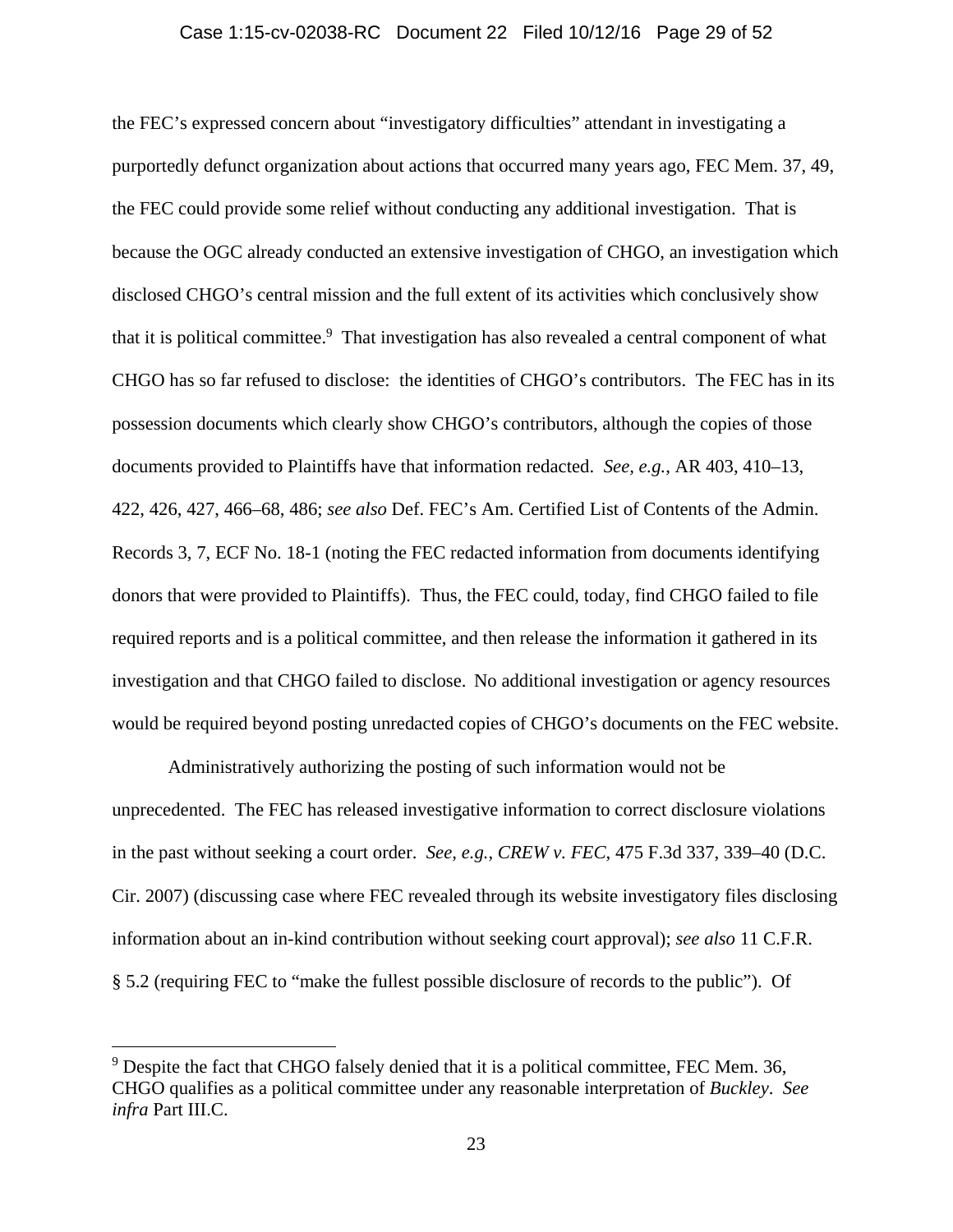#### Case 1:15-cv-02038-RC Document 22 Filed 10/12/16 Page 29 of 52

the FEC's expressed concern about "investigatory difficulties" attendant in investigating a purportedly defunct organization about actions that occurred many years ago, FEC Mem. 37, 49, the FEC could provide some relief without conducting any additional investigation. That is because the OGC already conducted an extensive investigation of CHGO, an investigation which disclosed CHGO's central mission and the full extent of its activities which conclusively show that it is political committee.<sup>9</sup> That investigation has also revealed a central component of what CHGO has so far refused to disclose: the identities of CHGO's contributors. The FEC has in its possession documents which clearly show CHGO's contributors, although the copies of those documents provided to Plaintiffs have that information redacted. *See, e.g.*, AR 403, 410–13, 422, 426, 427, 466–68, 486; *see also* Def. FEC's Am. Certified List of Contents of the Admin. Records 3, 7, ECF No. 18-1 (noting the FEC redacted information from documents identifying donors that were provided to Plaintiffs). Thus, the FEC could, today, find CHGO failed to file required reports and is a political committee, and then release the information it gathered in its investigation and that CHGO failed to disclose. No additional investigation or agency resources would be required beyond posting unredacted copies of CHGO's documents on the FEC website.

Administratively authorizing the posting of such information would not be unprecedented. The FEC has released investigative information to correct disclosure violations in the past without seeking a court order. *See, e.g.*, *CREW v. FEC*, 475 F.3d 337, 339–40 (D.C. Cir. 2007) (discussing case where FEC revealed through its website investigatory files disclosing information about an in-kind contribution without seeking court approval); *see also* 11 C.F.R. § 5.2 (requiring FEC to "make the fullest possible disclosure of records to the public"). Of

<sup>&</sup>lt;sup>9</sup> Despite the fact that CHGO falsely denied that it is a political committee, FEC Mem. 36, CHGO qualifies as a political committee under any reasonable interpretation of *Buckley*. *See infra* Part III.C.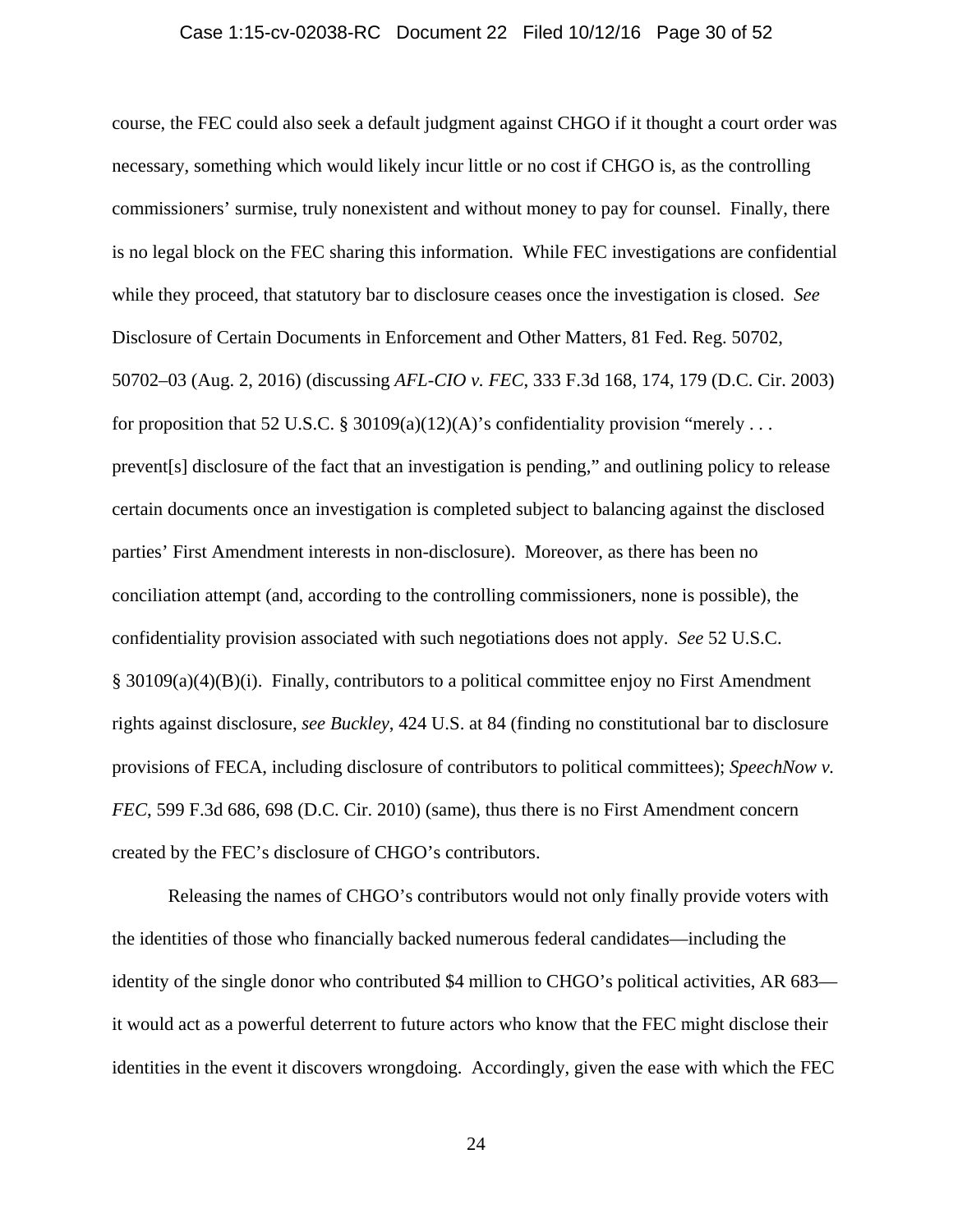#### Case 1:15-cv-02038-RC Document 22 Filed 10/12/16 Page 30 of 52

course, the FEC could also seek a default judgment against CHGO if it thought a court order was necessary, something which would likely incur little or no cost if CHGO is, as the controlling commissioners' surmise, truly nonexistent and without money to pay for counsel. Finally, there is no legal block on the FEC sharing this information. While FEC investigations are confidential while they proceed, that statutory bar to disclosure ceases once the investigation is closed. *See*  Disclosure of Certain Documents in Enforcement and Other Matters, 81 Fed. Reg. 50702, 50702–03 (Aug. 2, 2016) (discussing *AFL-CIO v. FEC*, 333 F.3d 168, 174, 179 (D.C. Cir. 2003) for proposition that 52 U.S.C. § 30109(a)(12)(A)'s confidentiality provision "merely ... prevent[s] disclosure of the fact that an investigation is pending," and outlining policy to release certain documents once an investigation is completed subject to balancing against the disclosed parties' First Amendment interests in non-disclosure). Moreover, as there has been no conciliation attempt (and, according to the controlling commissioners, none is possible), the confidentiality provision associated with such negotiations does not apply. *See* 52 U.S.C.  $\S$  30109(a)(4)(B)(i). Finally, contributors to a political committee enjoy no First Amendment rights against disclosure, *see Buckley*, 424 U.S. at 84 (finding no constitutional bar to disclosure provisions of FECA, including disclosure of contributors to political committees); *SpeechNow v. FEC*, 599 F.3d 686, 698 (D.C. Cir. 2010) (same), thus there is no First Amendment concern created by the FEC's disclosure of CHGO's contributors.

Releasing the names of CHGO's contributors would not only finally provide voters with the identities of those who financially backed numerous federal candidates—including the identity of the single donor who contributed \$4 million to CHGO's political activities, AR 683 it would act as a powerful deterrent to future actors who know that the FEC might disclose their identities in the event it discovers wrongdoing. Accordingly, given the ease with which the FEC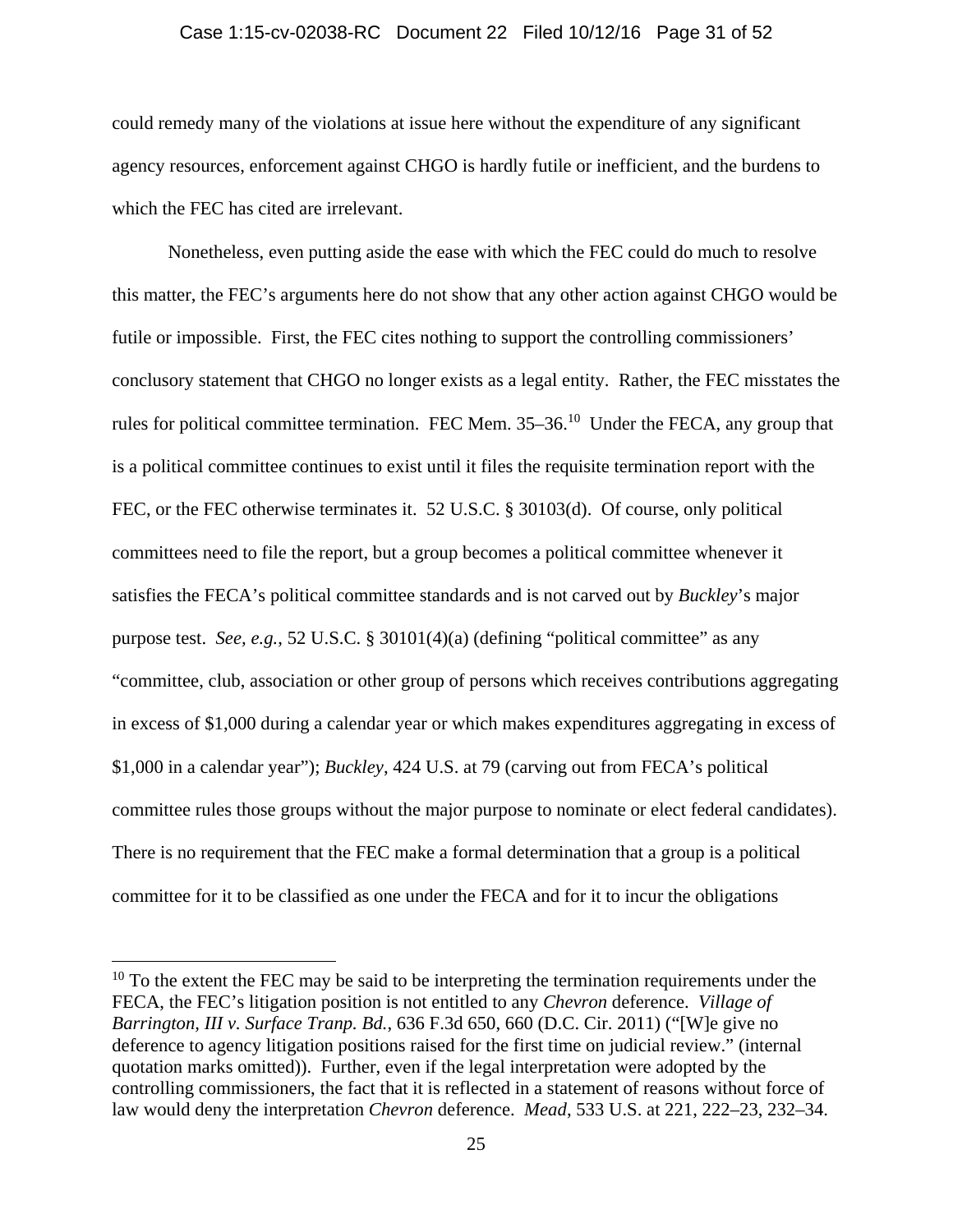#### Case 1:15-cv-02038-RC Document 22 Filed 10/12/16 Page 31 of 52

could remedy many of the violations at issue here without the expenditure of any significant agency resources, enforcement against CHGO is hardly futile or inefficient, and the burdens to which the FEC has cited are irrelevant.

Nonetheless, even putting aside the ease with which the FEC could do much to resolve this matter, the FEC's arguments here do not show that any other action against CHGO would be futile or impossible. First, the FEC cites nothing to support the controlling commissioners' conclusory statement that CHGO no longer exists as a legal entity. Rather, the FEC misstates the rules for political committee termination. FEC Mem. 35–36.10 Under the FECA, any group that is a political committee continues to exist until it files the requisite termination report with the FEC, or the FEC otherwise terminates it. 52 U.S.C. § 30103(d). Of course, only political committees need to file the report, but a group becomes a political committee whenever it satisfies the FECA's political committee standards and is not carved out by *Buckley*'s major purpose test. *See, e.g.*, 52 U.S.C. § 30101(4)(a) (defining "political committee" as any "committee, club, association or other group of persons which receives contributions aggregating in excess of \$1,000 during a calendar year or which makes expenditures aggregating in excess of \$1,000 in a calendar year"); *Buckley*, 424 U.S. at 79 (carving out from FECA's political committee rules those groups without the major purpose to nominate or elect federal candidates). There is no requirement that the FEC make a formal determination that a group is a political committee for it to be classified as one under the FECA and for it to incur the obligations

 $10$  To the extent the FEC may be said to be interpreting the termination requirements under the FECA, the FEC's litigation position is not entitled to any *Chevron* deference. *Village of Barrington, III v. Surface Tranp. Bd.*, 636 F.3d 650, 660 (D.C. Cir. 2011) ("[W]e give no deference to agency litigation positions raised for the first time on judicial review." (internal quotation marks omitted)). Further, even if the legal interpretation were adopted by the controlling commissioners, the fact that it is reflected in a statement of reasons without force of law would deny the interpretation *Chevron* deference. *Mead*, 533 U.S. at 221, 222–23, 232–34.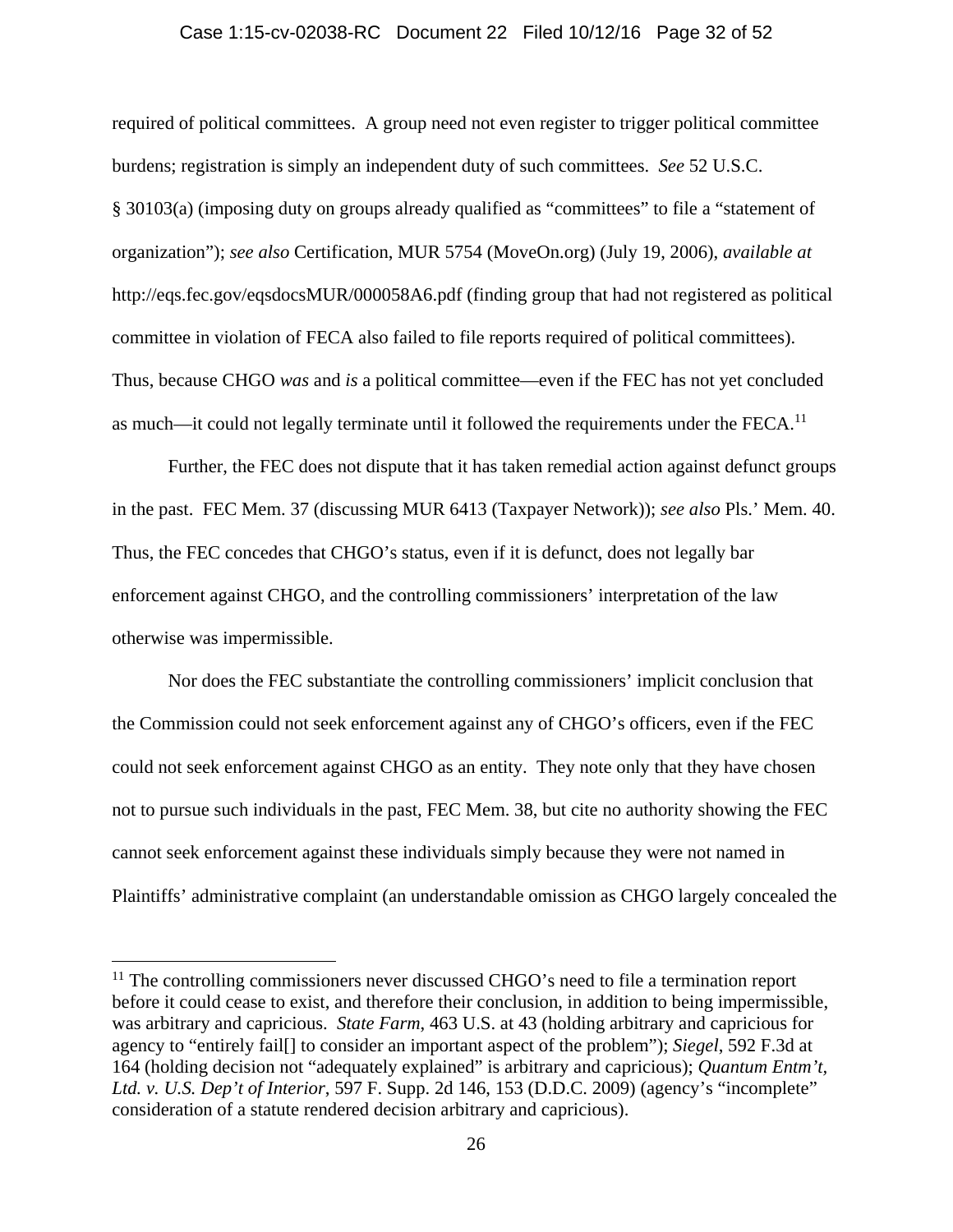#### Case 1:15-cv-02038-RC Document 22 Filed 10/12/16 Page 32 of 52

required of political committees. A group need not even register to trigger political committee burdens; registration is simply an independent duty of such committees. *See* 52 U.S.C. § 30103(a) (imposing duty on groups already qualified as "committees" to file a "statement of organization"); *see also* Certification, MUR 5754 (MoveOn.org) (July 19, 2006), *available at* http://eqs.fec.gov/eqsdocsMUR/000058A6.pdf (finding group that had not registered as political committee in violation of FECA also failed to file reports required of political committees). Thus, because CHGO *was* and *is* a political committee—even if the FEC has not yet concluded as much—it could not legally terminate until it followed the requirements under the FECA.<sup>11</sup>

Further, the FEC does not dispute that it has taken remedial action against defunct groups in the past. FEC Mem. 37 (discussing MUR 6413 (Taxpayer Network)); *see also* Pls.' Mem. 40. Thus, the FEC concedes that CHGO's status, even if it is defunct, does not legally bar enforcement against CHGO, and the controlling commissioners' interpretation of the law otherwise was impermissible.

Nor does the FEC substantiate the controlling commissioners' implicit conclusion that the Commission could not seek enforcement against any of CHGO's officers, even if the FEC could not seek enforcement against CHGO as an entity. They note only that they have chosen not to pursue such individuals in the past, FEC Mem. 38, but cite no authority showing the FEC cannot seek enforcement against these individuals simply because they were not named in Plaintiffs' administrative complaint (an understandable omission as CHGO largely concealed the

<sup>&</sup>lt;sup>11</sup> The controlling commissioners never discussed CHGO's need to file a termination report before it could cease to exist, and therefore their conclusion, in addition to being impermissible, was arbitrary and capricious. *State Farm*, 463 U.S. at 43 (holding arbitrary and capricious for agency to "entirely fail[] to consider an important aspect of the problem"); *Siegel*, 592 F.3d at 164 (holding decision not "adequately explained" is arbitrary and capricious); *Quantum Entm't, Ltd. v. U.S. Dep't of Interior*, 597 F. Supp. 2d 146, 153 (D.D.C. 2009) (agency's "incomplete" consideration of a statute rendered decision arbitrary and capricious).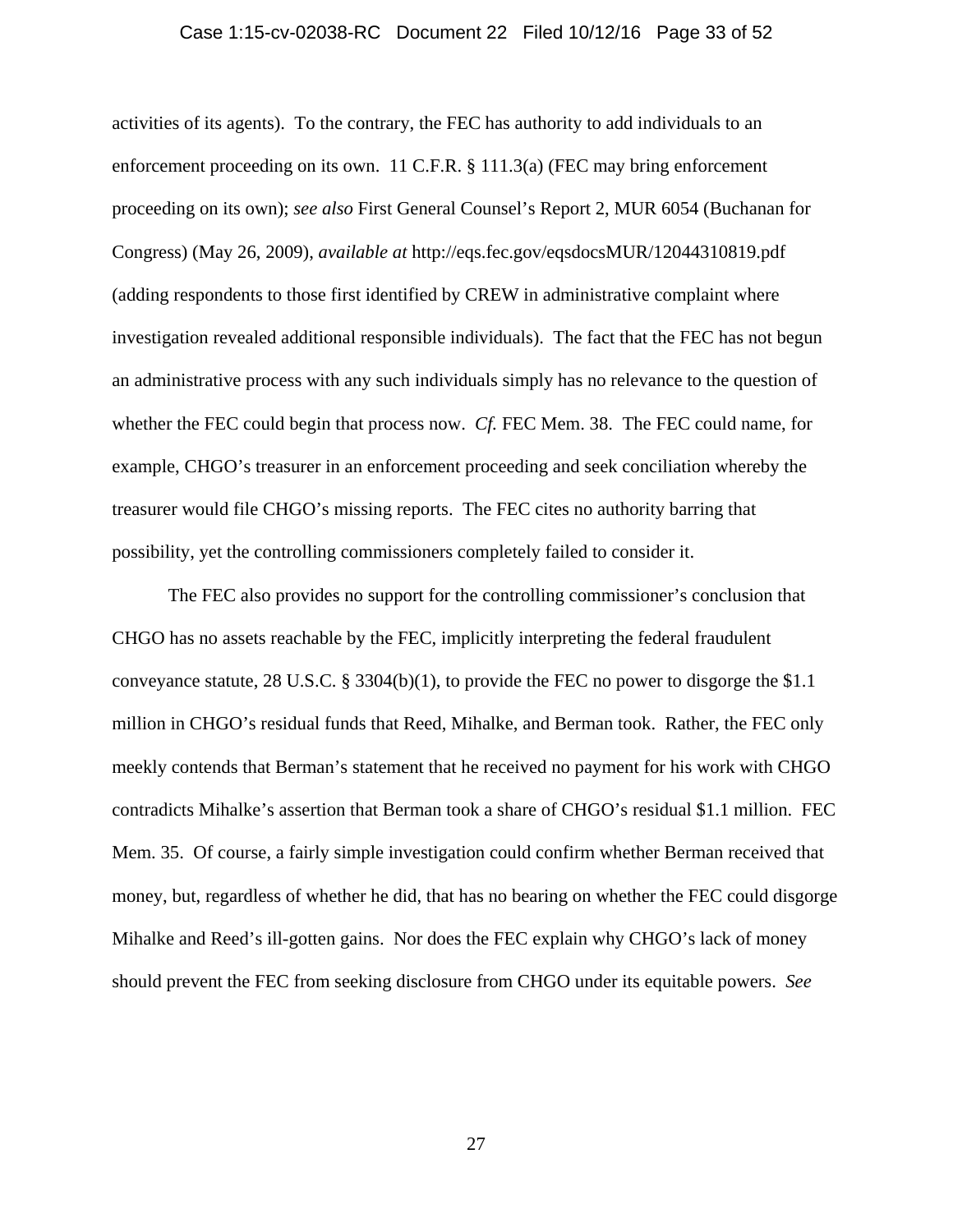### Case 1:15-cv-02038-RC Document 22 Filed 10/12/16 Page 33 of 52

activities of its agents). To the contrary, the FEC has authority to add individuals to an enforcement proceeding on its own. 11 C.F.R. § 111.3(a) (FEC may bring enforcement proceeding on its own); *see also* First General Counsel's Report 2, MUR 6054 (Buchanan for Congress) (May 26, 2009), *available at* http://eqs.fec.gov/eqsdocsMUR/12044310819.pdf (adding respondents to those first identified by CREW in administrative complaint where investigation revealed additional responsible individuals). The fact that the FEC has not begun an administrative process with any such individuals simply has no relevance to the question of whether the FEC could begin that process now. *Cf.* FEC Mem. 38. The FEC could name, for example, CHGO's treasurer in an enforcement proceeding and seek conciliation whereby the treasurer would file CHGO's missing reports. The FEC cites no authority barring that possibility, yet the controlling commissioners completely failed to consider it.

The FEC also provides no support for the controlling commissioner's conclusion that CHGO has no assets reachable by the FEC, implicitly interpreting the federal fraudulent conveyance statute, 28 U.S.C. § 3304(b)(1), to provide the FEC no power to disgorge the \$1.1 million in CHGO's residual funds that Reed, Mihalke, and Berman took. Rather, the FEC only meekly contends that Berman's statement that he received no payment for his work with CHGO contradicts Mihalke's assertion that Berman took a share of CHGO's residual \$1.1 million. FEC Mem. 35. Of course, a fairly simple investigation could confirm whether Berman received that money, but, regardless of whether he did, that has no bearing on whether the FEC could disgorge Mihalke and Reed's ill-gotten gains. Nor does the FEC explain why CHGO's lack of money should prevent the FEC from seeking disclosure from CHGO under its equitable powers. *See*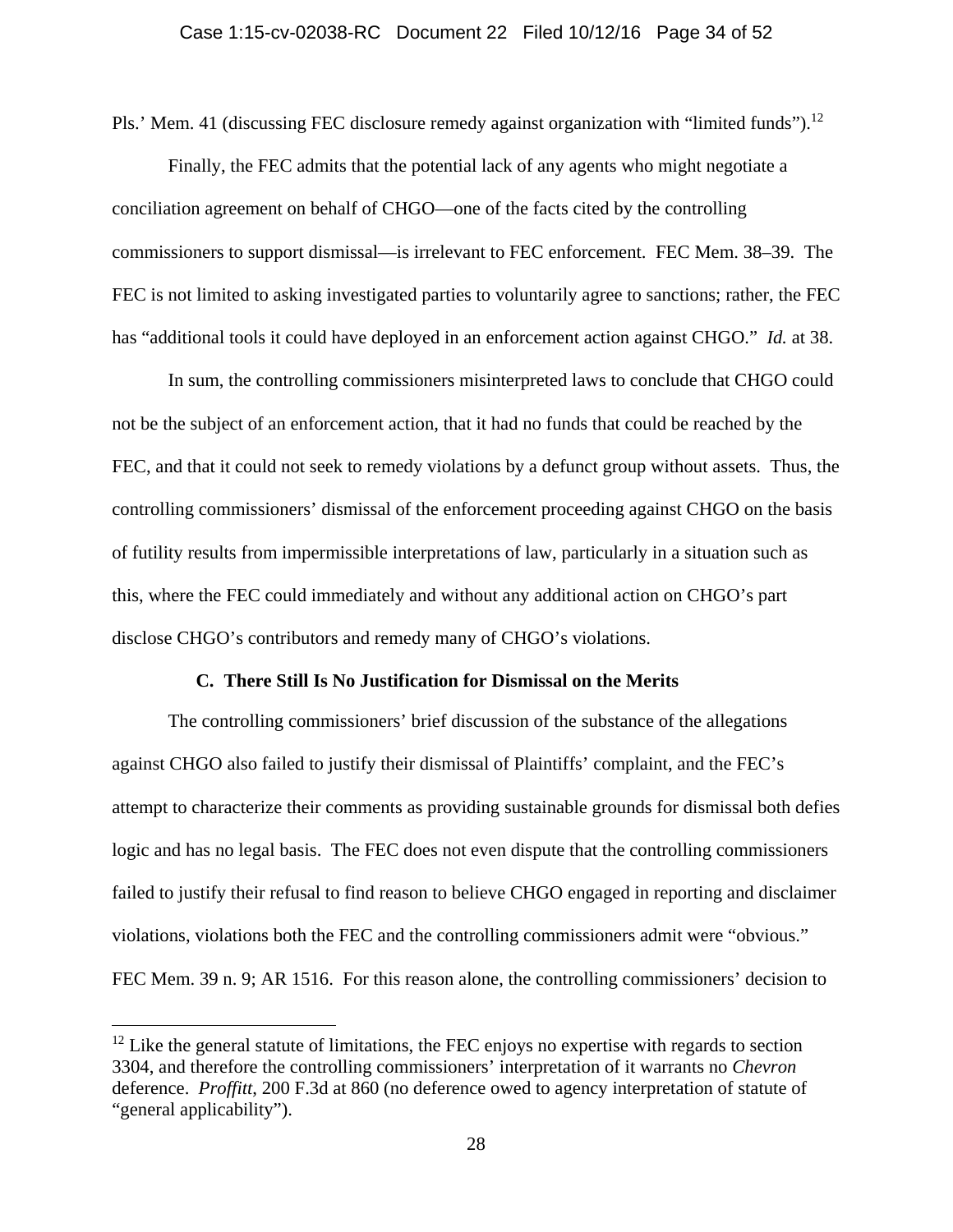Pls.' Mem. 41 (discussing FEC disclosure remedy against organization with "limited funds").<sup>12</sup>

Finally, the FEC admits that the potential lack of any agents who might negotiate a conciliation agreement on behalf of CHGO—one of the facts cited by the controlling commissioners to support dismissal—is irrelevant to FEC enforcement. FEC Mem. 38–39. The FEC is not limited to asking investigated parties to voluntarily agree to sanctions; rather, the FEC has "additional tools it could have deployed in an enforcement action against CHGO." *Id.* at 38.

In sum, the controlling commissioners misinterpreted laws to conclude that CHGO could not be the subject of an enforcement action, that it had no funds that could be reached by the FEC, and that it could not seek to remedy violations by a defunct group without assets. Thus, the controlling commissioners' dismissal of the enforcement proceeding against CHGO on the basis of futility results from impermissible interpretations of law, particularly in a situation such as this, where the FEC could immediately and without any additional action on CHGO's part disclose CHGO's contributors and remedy many of CHGO's violations.

### **C. There Still Is No Justification for Dismissal on the Merits**

The controlling commissioners' brief discussion of the substance of the allegations against CHGO also failed to justify their dismissal of Plaintiffs' complaint, and the FEC's attempt to characterize their comments as providing sustainable grounds for dismissal both defies logic and has no legal basis. The FEC does not even dispute that the controlling commissioners failed to justify their refusal to find reason to believe CHGO engaged in reporting and disclaimer violations, violations both the FEC and the controlling commissioners admit were "obvious." FEC Mem. 39 n. 9; AR 1516. For this reason alone, the controlling commissioners' decision to

 $12$  Like the general statute of limitations, the FEC enjoys no expertise with regards to section 3304, and therefore the controlling commissioners' interpretation of it warrants no *Chevron* deference. *Proffitt*, 200 F.3d at 860 (no deference owed to agency interpretation of statute of "general applicability").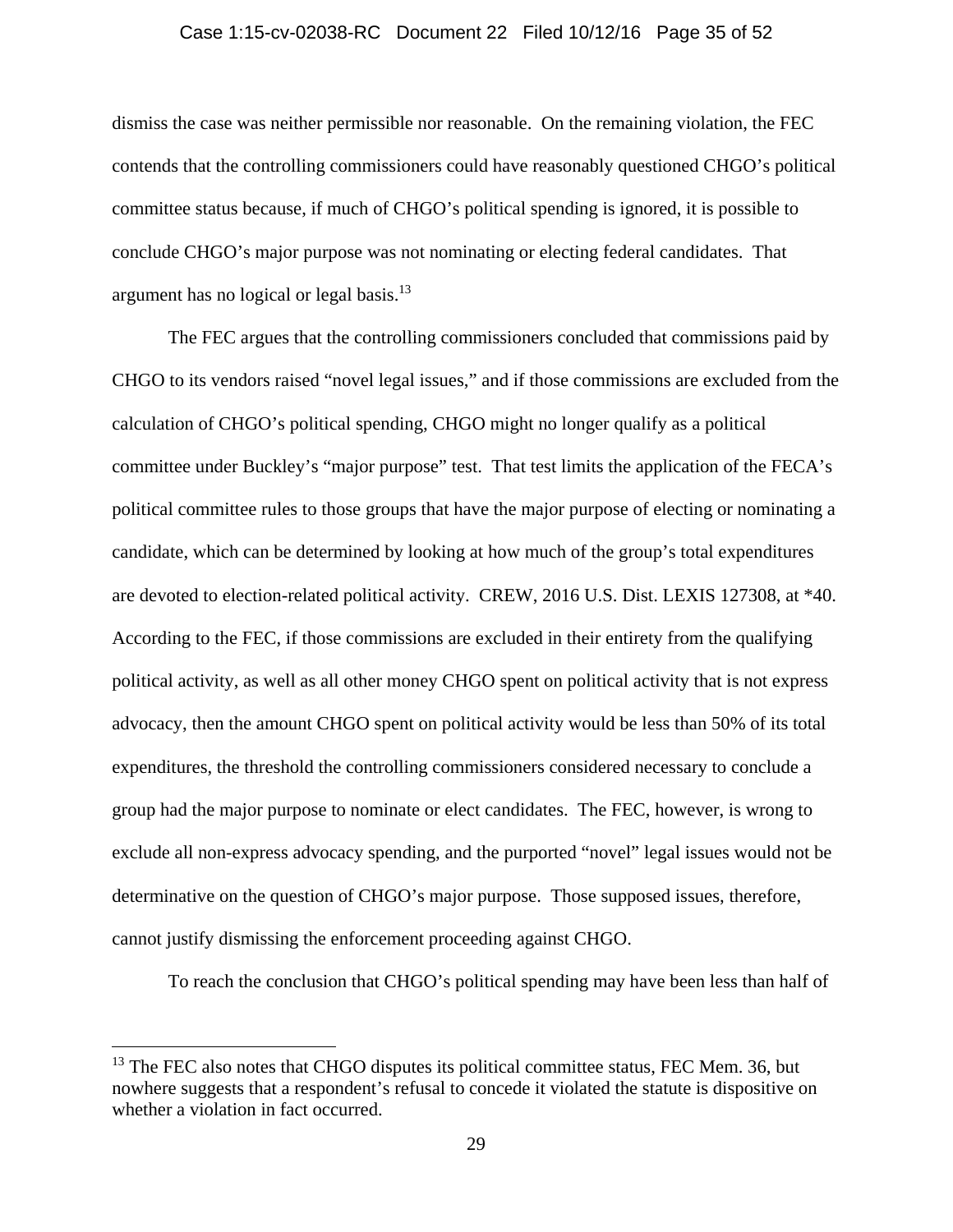#### Case 1:15-cv-02038-RC Document 22 Filed 10/12/16 Page 35 of 52

dismiss the case was neither permissible nor reasonable. On the remaining violation, the FEC contends that the controlling commissioners could have reasonably questioned CHGO's political committee status because, if much of CHGO's political spending is ignored, it is possible to conclude CHGO's major purpose was not nominating or electing federal candidates. That argument has no logical or legal basis.<sup>13</sup>

The FEC argues that the controlling commissioners concluded that commissions paid by CHGO to its vendors raised "novel legal issues," and if those commissions are excluded from the calculation of CHGO's political spending, CHGO might no longer qualify as a political committee under Buckley's "major purpose" test. That test limits the application of the FECA's political committee rules to those groups that have the major purpose of electing or nominating a candidate, which can be determined by looking at how much of the group's total expenditures are devoted to election-related political activity. CREW, 2016 U.S. Dist. LEXIS 127308, at \*40. According to the FEC, if those commissions are excluded in their entirety from the qualifying political activity, as well as all other money CHGO spent on political activity that is not express advocacy, then the amount CHGO spent on political activity would be less than 50% of its total expenditures, the threshold the controlling commissioners considered necessary to conclude a group had the major purpose to nominate or elect candidates. The FEC, however, is wrong to exclude all non-express advocacy spending, and the purported "novel" legal issues would not be determinative on the question of CHGO's major purpose. Those supposed issues, therefore, cannot justify dismissing the enforcement proceeding against CHGO.

To reach the conclusion that CHGO's political spending may have been less than half of

<sup>&</sup>lt;sup>13</sup> The FEC also notes that CHGO disputes its political committee status, FEC Mem. 36, but nowhere suggests that a respondent's refusal to concede it violated the statute is dispositive on whether a violation in fact occurred.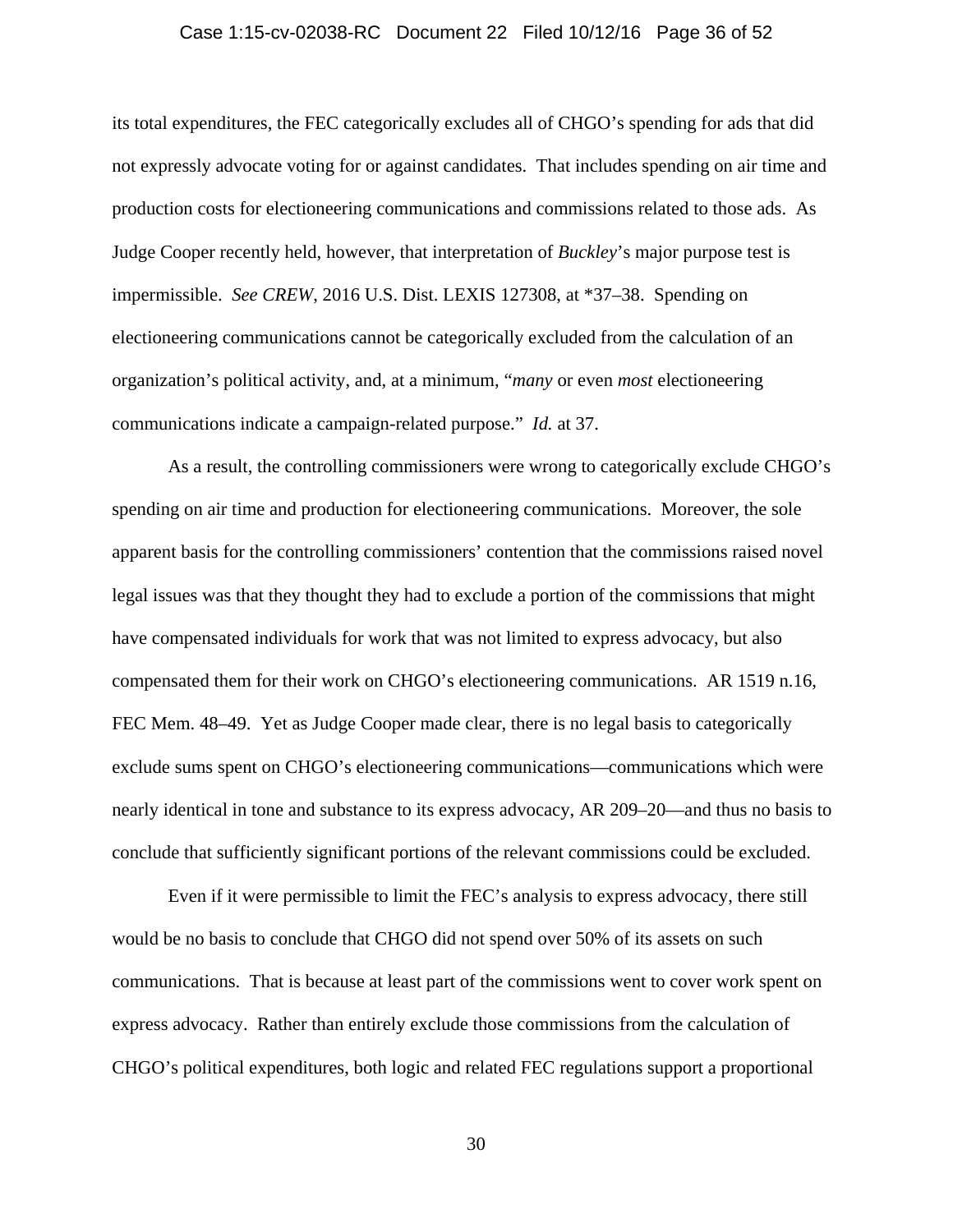#### Case 1:15-cv-02038-RC Document 22 Filed 10/12/16 Page 36 of 52

its total expenditures, the FEC categorically excludes all of CHGO's spending for ads that did not expressly advocate voting for or against candidates. That includes spending on air time and production costs for electioneering communications and commissions related to those ads. As Judge Cooper recently held, however, that interpretation of *Buckley*'s major purpose test is impermissible. *See CREW*, 2016 U.S. Dist. LEXIS 127308, at \*37–38. Spending on electioneering communications cannot be categorically excluded from the calculation of an organization's political activity, and, at a minimum, "*many* or even *most* electioneering communications indicate a campaign-related purpose." *Id.* at 37.

As a result, the controlling commissioners were wrong to categorically exclude CHGO's spending on air time and production for electioneering communications. Moreover, the sole apparent basis for the controlling commissioners' contention that the commissions raised novel legal issues was that they thought they had to exclude a portion of the commissions that might have compensated individuals for work that was not limited to express advocacy, but also compensated them for their work on CHGO's electioneering communications. AR 1519 n.16, FEC Mem. 48–49. Yet as Judge Cooper made clear, there is no legal basis to categorically exclude sums spent on CHGO's electioneering communications—communications which were nearly identical in tone and substance to its express advocacy, AR 209–20—and thus no basis to conclude that sufficiently significant portions of the relevant commissions could be excluded.

Even if it were permissible to limit the FEC's analysis to express advocacy, there still would be no basis to conclude that CHGO did not spend over 50% of its assets on such communications. That is because at least part of the commissions went to cover work spent on express advocacy. Rather than entirely exclude those commissions from the calculation of CHGO's political expenditures, both logic and related FEC regulations support a proportional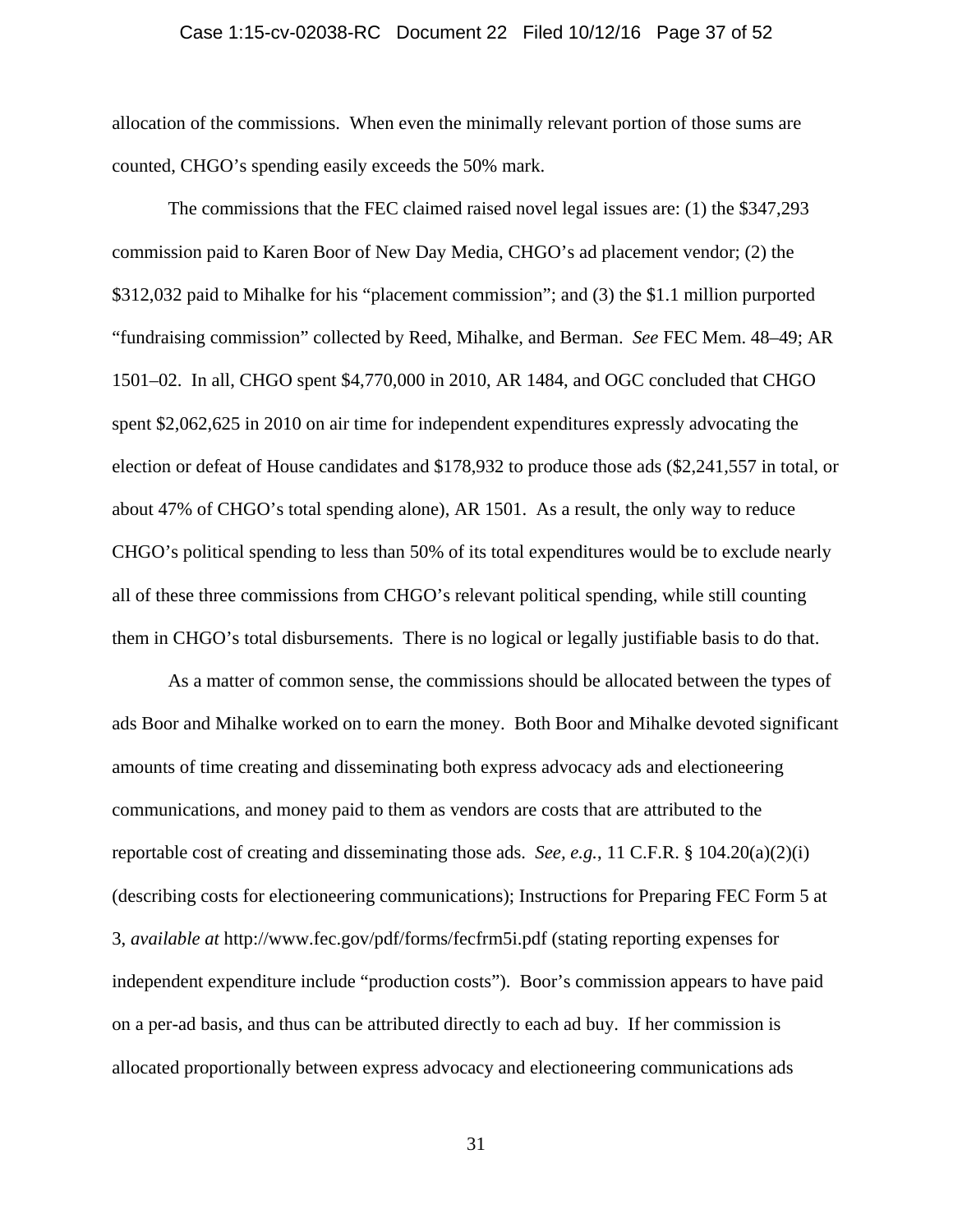#### Case 1:15-cv-02038-RC Document 22 Filed 10/12/16 Page 37 of 52

allocation of the commissions. When even the minimally relevant portion of those sums are counted, CHGO's spending easily exceeds the 50% mark.

The commissions that the FEC claimed raised novel legal issues are: (1) the \$347,293 commission paid to Karen Boor of New Day Media, CHGO's ad placement vendor; (2) the \$312,032 paid to Mihalke for his "placement commission"; and (3) the \$1.1 million purported "fundraising commission" collected by Reed, Mihalke, and Berman. *See* FEC Mem. 48–49; AR 1501–02. In all, CHGO spent \$4,770,000 in 2010, AR 1484, and OGC concluded that CHGO spent \$2,062,625 in 2010 on air time for independent expenditures expressly advocating the election or defeat of House candidates and \$178,932 to produce those ads (\$2,241,557 in total, or about 47% of CHGO's total spending alone), AR 1501. As a result, the only way to reduce CHGO's political spending to less than 50% of its total expenditures would be to exclude nearly all of these three commissions from CHGO's relevant political spending, while still counting them in CHGO's total disbursements. There is no logical or legally justifiable basis to do that.

As a matter of common sense, the commissions should be allocated between the types of ads Boor and Mihalke worked on to earn the money. Both Boor and Mihalke devoted significant amounts of time creating and disseminating both express advocacy ads and electioneering communications, and money paid to them as vendors are costs that are attributed to the reportable cost of creating and disseminating those ads. *See, e.g.*, 11 C.F.R. § 104.20(a)(2)(i) (describing costs for electioneering communications); Instructions for Preparing FEC Form 5 at 3, *available at* http://www.fec.gov/pdf/forms/fecfrm5i.pdf (stating reporting expenses for independent expenditure include "production costs"). Boor's commission appears to have paid on a per-ad basis, and thus can be attributed directly to each ad buy. If her commission is allocated proportionally between express advocacy and electioneering communications ads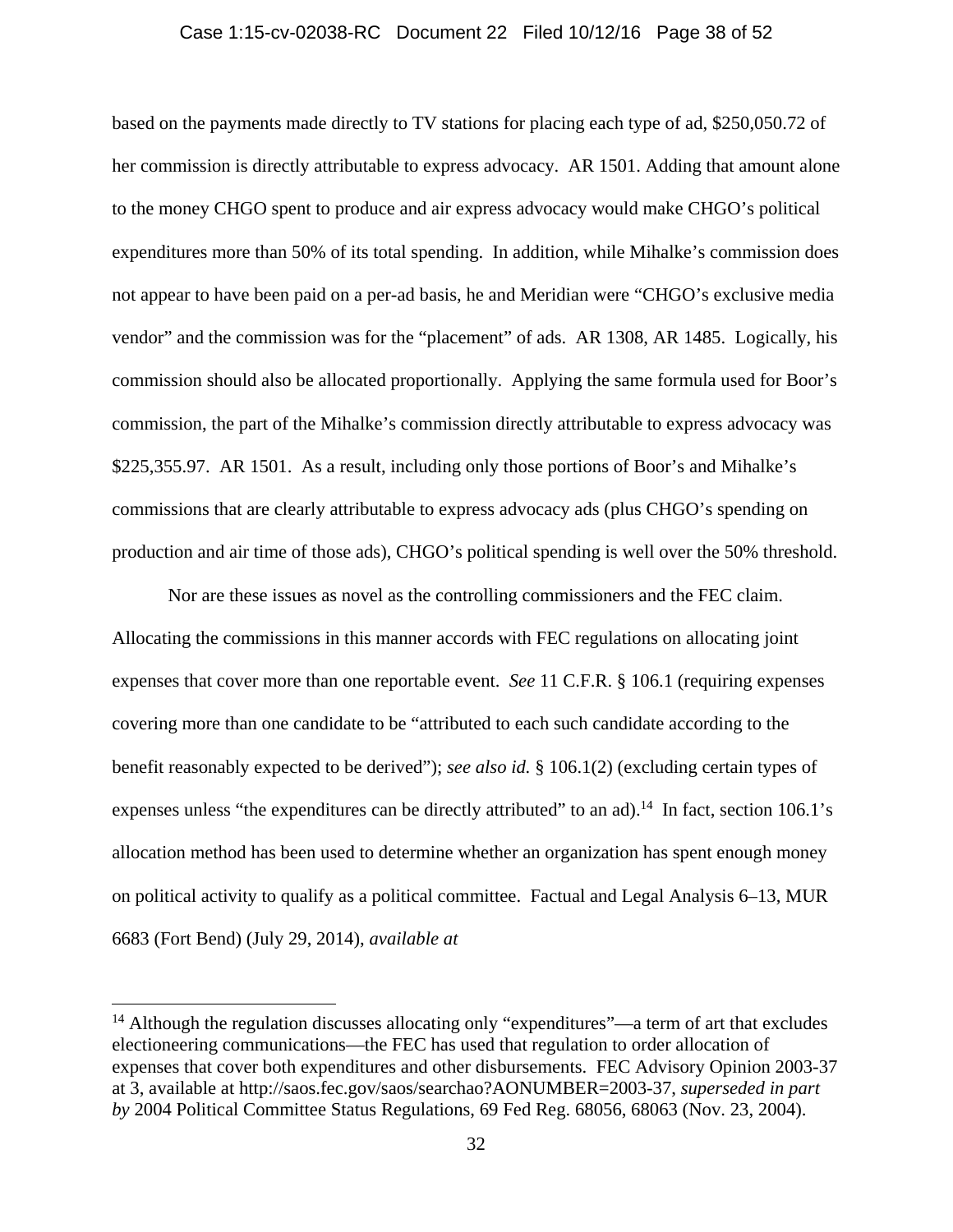#### Case 1:15-cv-02038-RC Document 22 Filed 10/12/16 Page 38 of 52

based on the payments made directly to TV stations for placing each type of ad, \$250,050.72 of her commission is directly attributable to express advocacy. AR 1501. Adding that amount alone to the money CHGO spent to produce and air express advocacy would make CHGO's political expenditures more than 50% of its total spending. In addition, while Mihalke's commission does not appear to have been paid on a per-ad basis, he and Meridian were "CHGO's exclusive media vendor" and the commission was for the "placement" of ads. AR 1308, AR 1485. Logically, his commission should also be allocated proportionally. Applying the same formula used for Boor's commission, the part of the Mihalke's commission directly attributable to express advocacy was \$225,355.97. AR 1501. As a result, including only those portions of Boor's and Mihalke's commissions that are clearly attributable to express advocacy ads (plus CHGO's spending on production and air time of those ads), CHGO's political spending is well over the 50% threshold.

Nor are these issues as novel as the controlling commissioners and the FEC claim. Allocating the commissions in this manner accords with FEC regulations on allocating joint expenses that cover more than one reportable event. *See* 11 C.F.R. § 106.1 (requiring expenses covering more than one candidate to be "attributed to each such candidate according to the benefit reasonably expected to be derived"); *see also id.* § 106.1(2) (excluding certain types of expenses unless "the expenditures can be directly attributed" to an ad).<sup>14</sup> In fact, section 106.1's allocation method has been used to determine whether an organization has spent enough money on political activity to qualify as a political committee. Factual and Legal Analysis 6–13, MUR 6683 (Fort Bend) (July 29, 2014), *available at*

 $14$  Although the regulation discusses allocating only "expenditures"—a term of art that excludes electioneering communications—the FEC has used that regulation to order allocation of expenses that cover both expenditures and other disbursements. FEC Advisory Opinion 2003-37 at 3, available at http://saos.fec.gov/saos/searchao?AONUMBER=2003-37, *superseded in part by* 2004 Political Committee Status Regulations, 69 Fed Reg. 68056, 68063 (Nov. 23, 2004).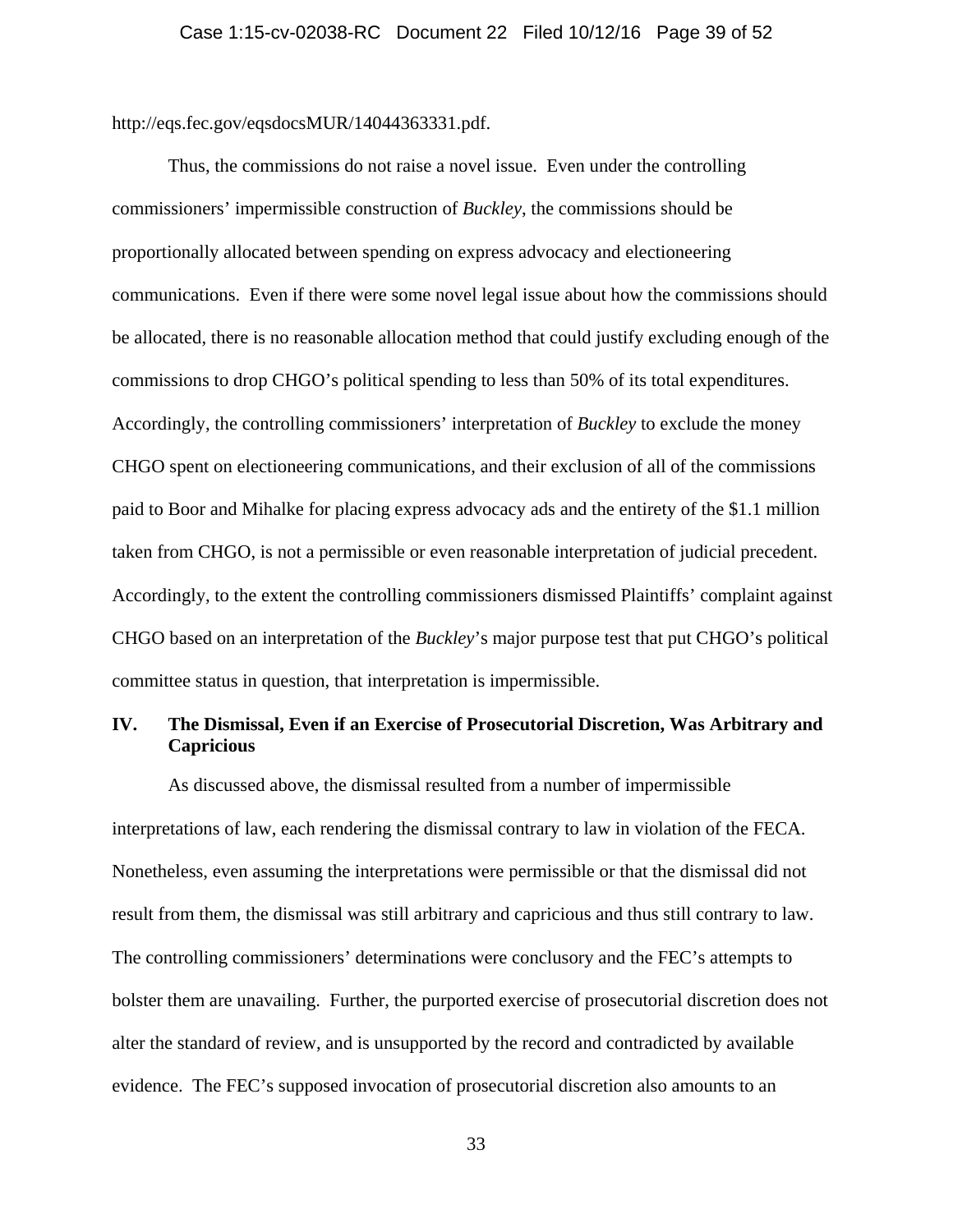http://eqs.fec.gov/eqsdocsMUR/14044363331.pdf.

Thus, the commissions do not raise a novel issue. Even under the controlling commissioners' impermissible construction of *Buckley*, the commissions should be proportionally allocated between spending on express advocacy and electioneering communications. Even if there were some novel legal issue about how the commissions should be allocated, there is no reasonable allocation method that could justify excluding enough of the commissions to drop CHGO's political spending to less than 50% of its total expenditures. Accordingly, the controlling commissioners' interpretation of *Buckley* to exclude the money CHGO spent on electioneering communications, and their exclusion of all of the commissions paid to Boor and Mihalke for placing express advocacy ads and the entirety of the \$1.1 million taken from CHGO, is not a permissible or even reasonable interpretation of judicial precedent. Accordingly, to the extent the controlling commissioners dismissed Plaintiffs' complaint against CHGO based on an interpretation of the *Buckley*'s major purpose test that put CHGO's political committee status in question, that interpretation is impermissible.

# **IV. The Dismissal, Even if an Exercise of Prosecutorial Discretion, Was Arbitrary and Capricious**

As discussed above, the dismissal resulted from a number of impermissible interpretations of law, each rendering the dismissal contrary to law in violation of the FECA. Nonetheless, even assuming the interpretations were permissible or that the dismissal did not result from them, the dismissal was still arbitrary and capricious and thus still contrary to law. The controlling commissioners' determinations were conclusory and the FEC's attempts to bolster them are unavailing. Further, the purported exercise of prosecutorial discretion does not alter the standard of review, and is unsupported by the record and contradicted by available evidence. The FEC's supposed invocation of prosecutorial discretion also amounts to an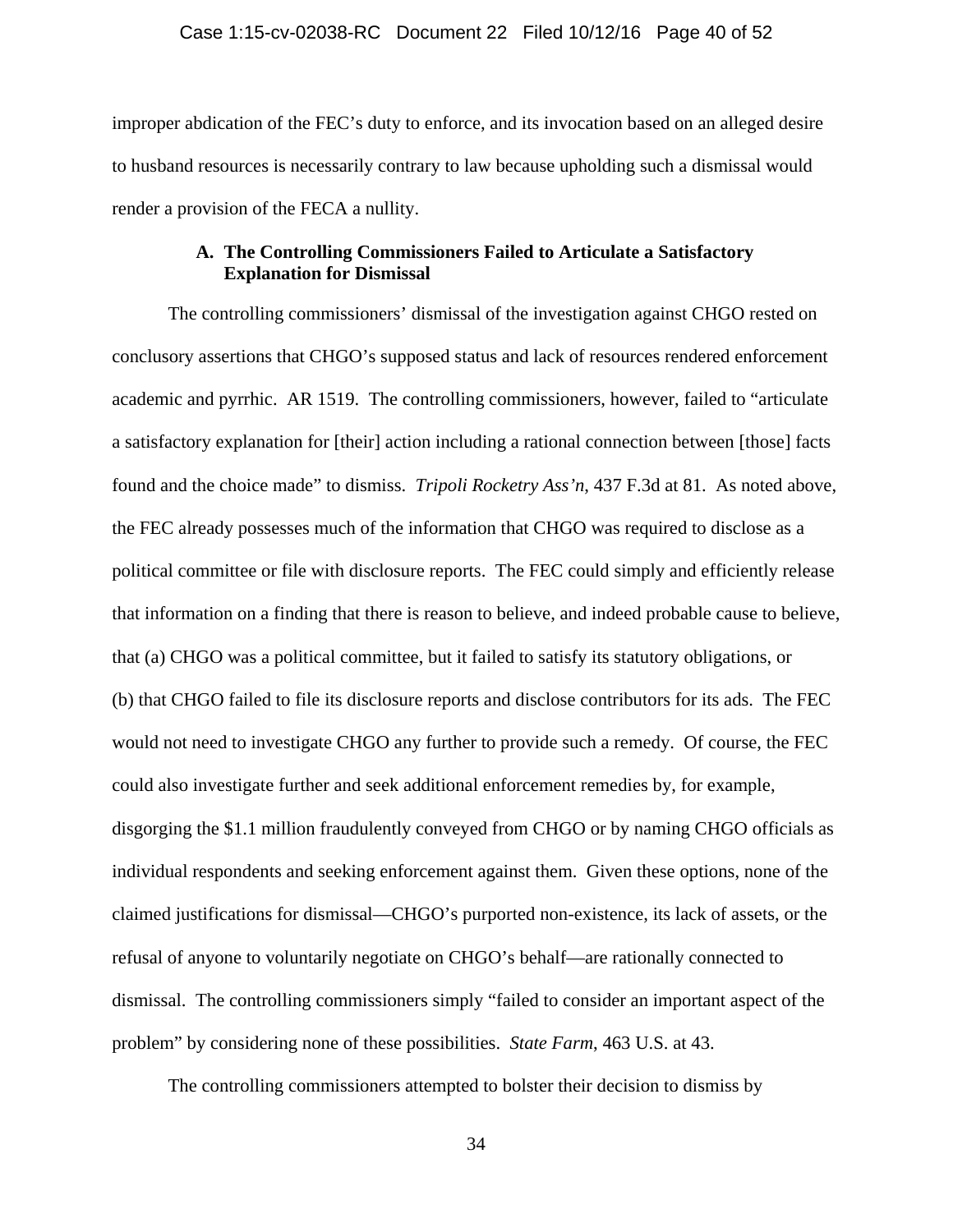improper abdication of the FEC's duty to enforce, and its invocation based on an alleged desire to husband resources is necessarily contrary to law because upholding such a dismissal would render a provision of the FECA a nullity.

# **A. The Controlling Commissioners Failed to Articulate a Satisfactory Explanation for Dismissal**

The controlling commissioners' dismissal of the investigation against CHGO rested on conclusory assertions that CHGO's supposed status and lack of resources rendered enforcement academic and pyrrhic. AR 1519. The controlling commissioners, however, failed to "articulate a satisfactory explanation for [their] action including a rational connection between [those] facts found and the choice made" to dismiss. *Tripoli Rocketry Ass'n*, 437 F.3d at 81. As noted above, the FEC already possesses much of the information that CHGO was required to disclose as a political committee or file with disclosure reports. The FEC could simply and efficiently release that information on a finding that there is reason to believe, and indeed probable cause to believe, that (a) CHGO was a political committee, but it failed to satisfy its statutory obligations, or (b) that CHGO failed to file its disclosure reports and disclose contributors for its ads. The FEC would not need to investigate CHGO any further to provide such a remedy. Of course, the FEC could also investigate further and seek additional enforcement remedies by, for example, disgorging the \$1.1 million fraudulently conveyed from CHGO or by naming CHGO officials as individual respondents and seeking enforcement against them. Given these options, none of the claimed justifications for dismissal—CHGO's purported non-existence, its lack of assets, or the refusal of anyone to voluntarily negotiate on CHGO's behalf—are rationally connected to dismissal. The controlling commissioners simply "failed to consider an important aspect of the problem" by considering none of these possibilities. *State Farm*, 463 U.S. at 43.

The controlling commissioners attempted to bolster their decision to dismiss by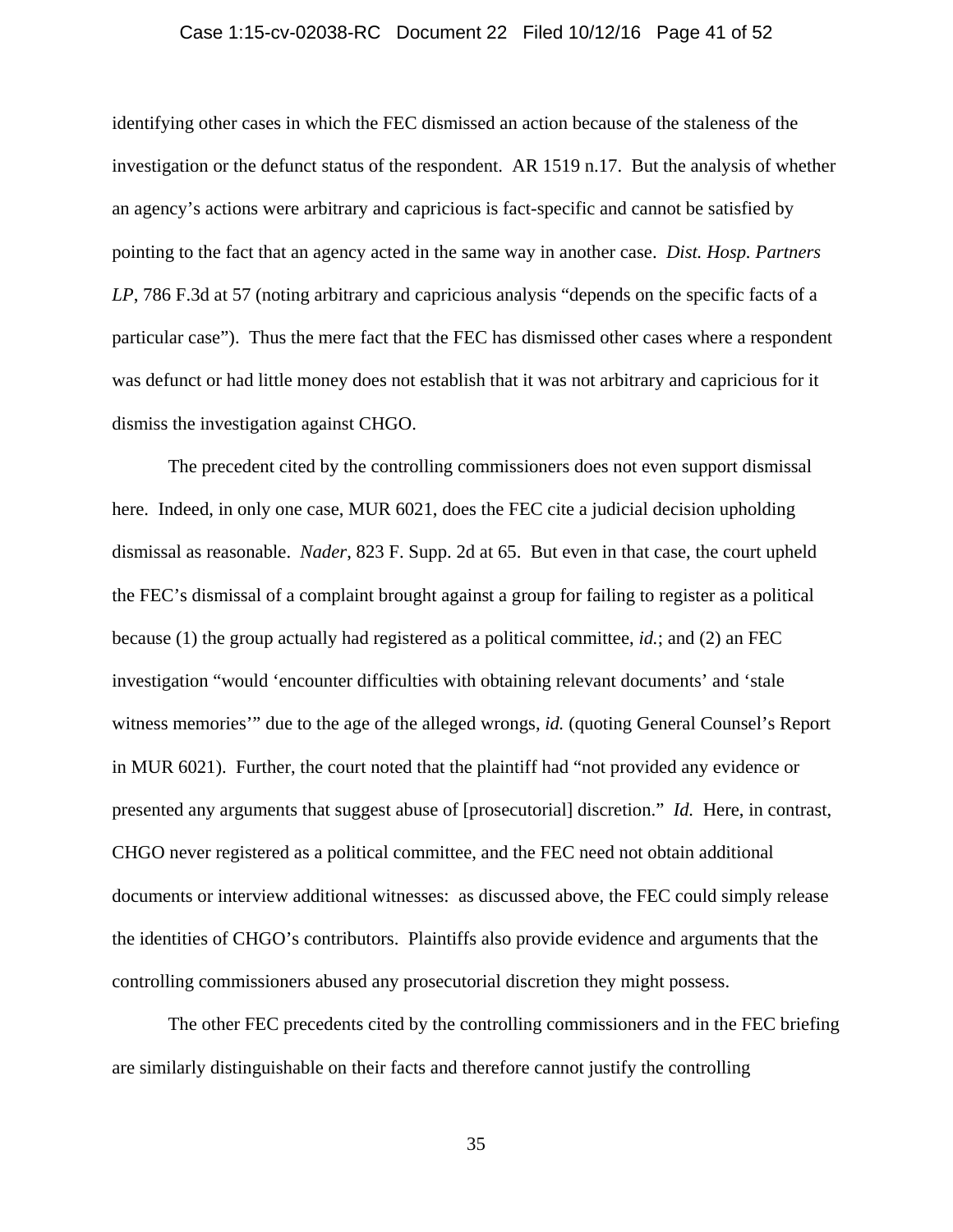#### Case 1:15-cv-02038-RC Document 22 Filed 10/12/16 Page 41 of 52

identifying other cases in which the FEC dismissed an action because of the staleness of the investigation or the defunct status of the respondent. AR 1519 n.17. But the analysis of whether an agency's actions were arbitrary and capricious is fact-specific and cannot be satisfied by pointing to the fact that an agency acted in the same way in another case. *Dist. Hosp. Partners LP*, 786 F.3d at 57 (noting arbitrary and capricious analysis "depends on the specific facts of a particular case"). Thus the mere fact that the FEC has dismissed other cases where a respondent was defunct or had little money does not establish that it was not arbitrary and capricious for it dismiss the investigation against CHGO.

The precedent cited by the controlling commissioners does not even support dismissal here. Indeed, in only one case, MUR 6021, does the FEC cite a judicial decision upholding dismissal as reasonable. *Nader*, 823 F. Supp. 2d at 65. But even in that case, the court upheld the FEC's dismissal of a complaint brought against a group for failing to register as a political because (1) the group actually had registered as a political committee, *id.*; and (2) an FEC investigation "would 'encounter difficulties with obtaining relevant documents' and 'stale witness memories'" due to the age of the alleged wrongs, *id.* (quoting General Counsel's Report in MUR 6021). Further, the court noted that the plaintiff had "not provided any evidence or presented any arguments that suggest abuse of [prosecutorial] discretion." *Id.* Here, in contrast, CHGO never registered as a political committee, and the FEC need not obtain additional documents or interview additional witnesses: as discussed above, the FEC could simply release the identities of CHGO's contributors. Plaintiffs also provide evidence and arguments that the controlling commissioners abused any prosecutorial discretion they might possess.

The other FEC precedents cited by the controlling commissioners and in the FEC briefing are similarly distinguishable on their facts and therefore cannot justify the controlling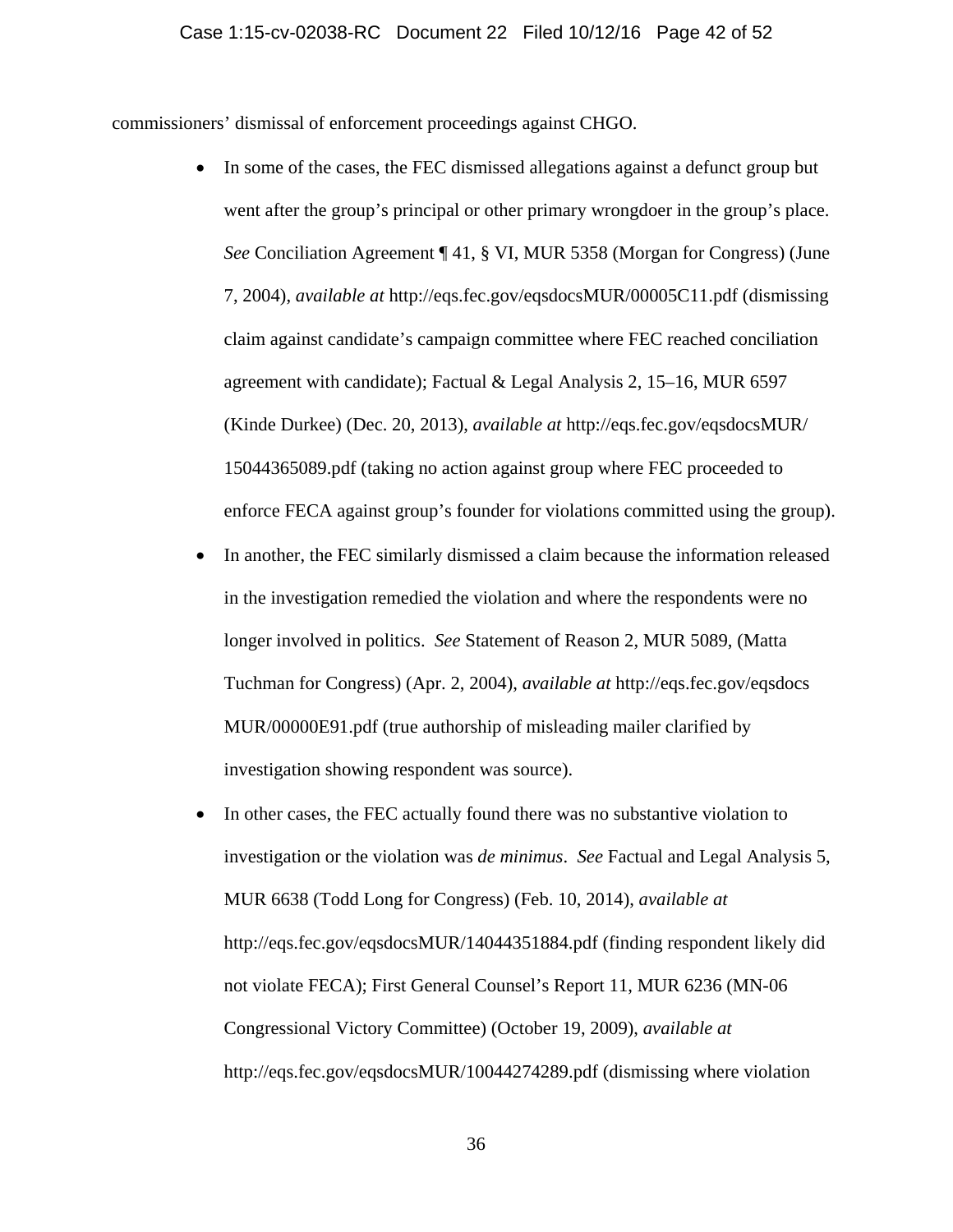commissioners' dismissal of enforcement proceedings against CHGO.

- In some of the cases, the FEC dismissed allegations against a defunct group but went after the group's principal or other primary wrongdoer in the group's place. *See* Conciliation Agreement ¶ 41, § VI, MUR 5358 (Morgan for Congress) (June 7, 2004), *available at* http://eqs.fec.gov/eqsdocsMUR/00005C11.pdf (dismissing claim against candidate's campaign committee where FEC reached conciliation agreement with candidate); Factual & Legal Analysis 2, 15–16, MUR 6597 (Kinde Durkee) (Dec. 20, 2013), *available at* http://eqs.fec.gov/eqsdocsMUR/ 15044365089.pdf (taking no action against group where FEC proceeded to enforce FECA against group's founder for violations committed using the group).
- In another, the FEC similarly dismissed a claim because the information released in the investigation remedied the violation and where the respondents were no longer involved in politics. *See* Statement of Reason 2, MUR 5089, (Matta Tuchman for Congress) (Apr. 2, 2004), *available at* http://eqs.fec.gov/eqsdocs MUR/00000E91.pdf (true authorship of misleading mailer clarified by investigation showing respondent was source).
- In other cases, the FEC actually found there was no substantive violation to investigation or the violation was *de minimus*. *See* Factual and Legal Analysis 5, MUR 6638 (Todd Long for Congress) (Feb. 10, 2014), *available at*  http://eqs.fec.gov/eqsdocsMUR/14044351884.pdf (finding respondent likely did not violate FECA); First General Counsel's Report 11, MUR 6236 (MN-06 Congressional Victory Committee) (October 19, 2009), *available at* http://eqs.fec.gov/eqsdocsMUR/10044274289.pdf (dismissing where violation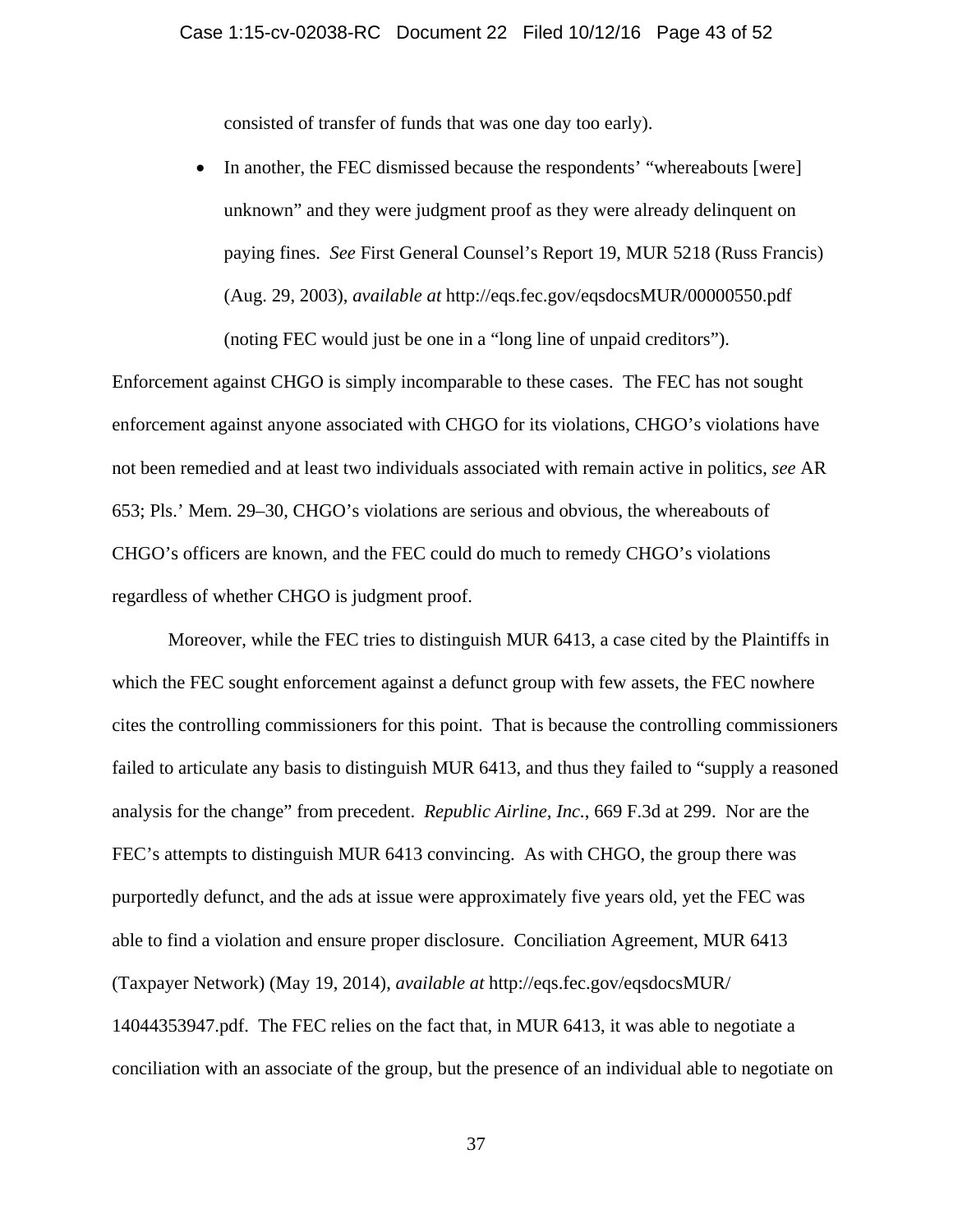consisted of transfer of funds that was one day too early).

• In another, the FEC dismissed because the respondents' "whereabouts [were] unknown" and they were judgment proof as they were already delinquent on paying fines. *See* First General Counsel's Report 19, MUR 5218 (Russ Francis) (Aug. 29, 2003), *available at* http://eqs.fec.gov/eqsdocsMUR/00000550.pdf (noting FEC would just be one in a "long line of unpaid creditors").

Enforcement against CHGO is simply incomparable to these cases. The FEC has not sought enforcement against anyone associated with CHGO for its violations, CHGO's violations have not been remedied and at least two individuals associated with remain active in politics, *see* AR 653; Pls.' Mem. 29–30, CHGO's violations are serious and obvious, the whereabouts of CHGO's officers are known, and the FEC could do much to remedy CHGO's violations regardless of whether CHGO is judgment proof.

Moreover, while the FEC tries to distinguish MUR 6413, a case cited by the Plaintiffs in which the FEC sought enforcement against a defunct group with few assets, the FEC nowhere cites the controlling commissioners for this point. That is because the controlling commissioners failed to articulate any basis to distinguish MUR 6413, and thus they failed to "supply a reasoned analysis for the change" from precedent. *Republic Airline, Inc.*, 669 F.3d at 299. Nor are the FEC's attempts to distinguish MUR 6413 convincing. As with CHGO, the group there was purportedly defunct, and the ads at issue were approximately five years old, yet the FEC was able to find a violation and ensure proper disclosure. Conciliation Agreement, MUR 6413 (Taxpayer Network) (May 19, 2014), *available at* http://eqs.fec.gov/eqsdocsMUR/ 14044353947.pdf. The FEC relies on the fact that, in MUR 6413, it was able to negotiate a conciliation with an associate of the group, but the presence of an individual able to negotiate on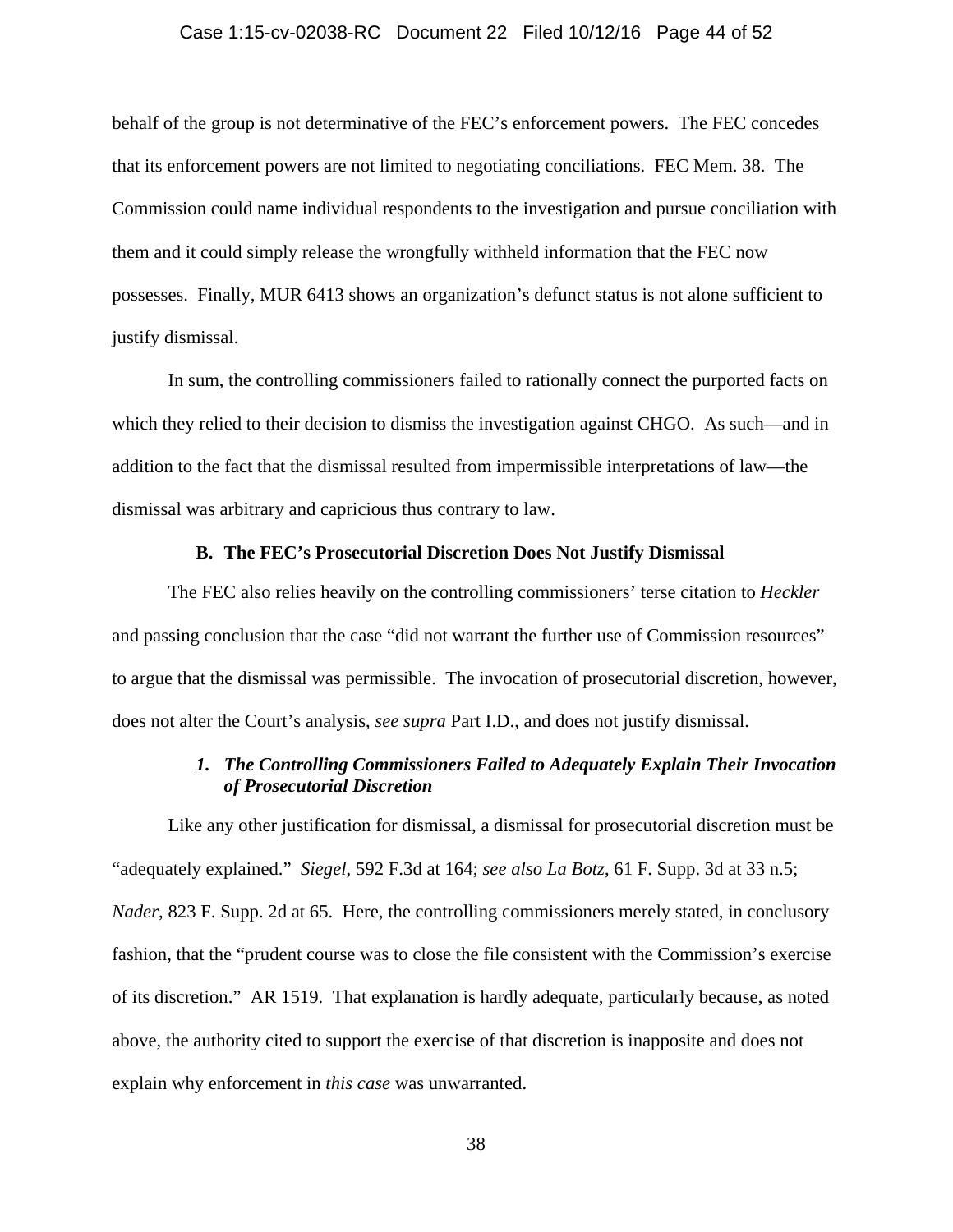#### Case 1:15-cv-02038-RC Document 22 Filed 10/12/16 Page 44 of 52

behalf of the group is not determinative of the FEC's enforcement powers. The FEC concedes that its enforcement powers are not limited to negotiating conciliations. FEC Mem. 38. The Commission could name individual respondents to the investigation and pursue conciliation with them and it could simply release the wrongfully withheld information that the FEC now possesses. Finally, MUR 6413 shows an organization's defunct status is not alone sufficient to justify dismissal.

In sum, the controlling commissioners failed to rationally connect the purported facts on which they relied to their decision to dismiss the investigation against CHGO. As such—and in addition to the fact that the dismissal resulted from impermissible interpretations of law—the dismissal was arbitrary and capricious thus contrary to law.

#### **B. The FEC's Prosecutorial Discretion Does Not Justify Dismissal**

The FEC also relies heavily on the controlling commissioners' terse citation to *Heckler* and passing conclusion that the case "did not warrant the further use of Commission resources" to argue that the dismissal was permissible. The invocation of prosecutorial discretion, however, does not alter the Court's analysis, *see supra* Part I.D., and does not justify dismissal.

# *1. The Controlling Commissioners Failed to Adequately Explain Their Invocation of Prosecutorial Discretion*

Like any other justification for dismissal, a dismissal for prosecutorial discretion must be "adequately explained." *Siegel*, 592 F.3d at 164; *see also La Botz*, 61 F. Supp. 3d at 33 n.5; *Nader*, 823 F. Supp. 2d at 65. Here, the controlling commissioners merely stated, in conclusory fashion, that the "prudent course was to close the file consistent with the Commission's exercise of its discretion." AR 1519. That explanation is hardly adequate, particularly because, as noted above, the authority cited to support the exercise of that discretion is inapposite and does not explain why enforcement in *this case* was unwarranted.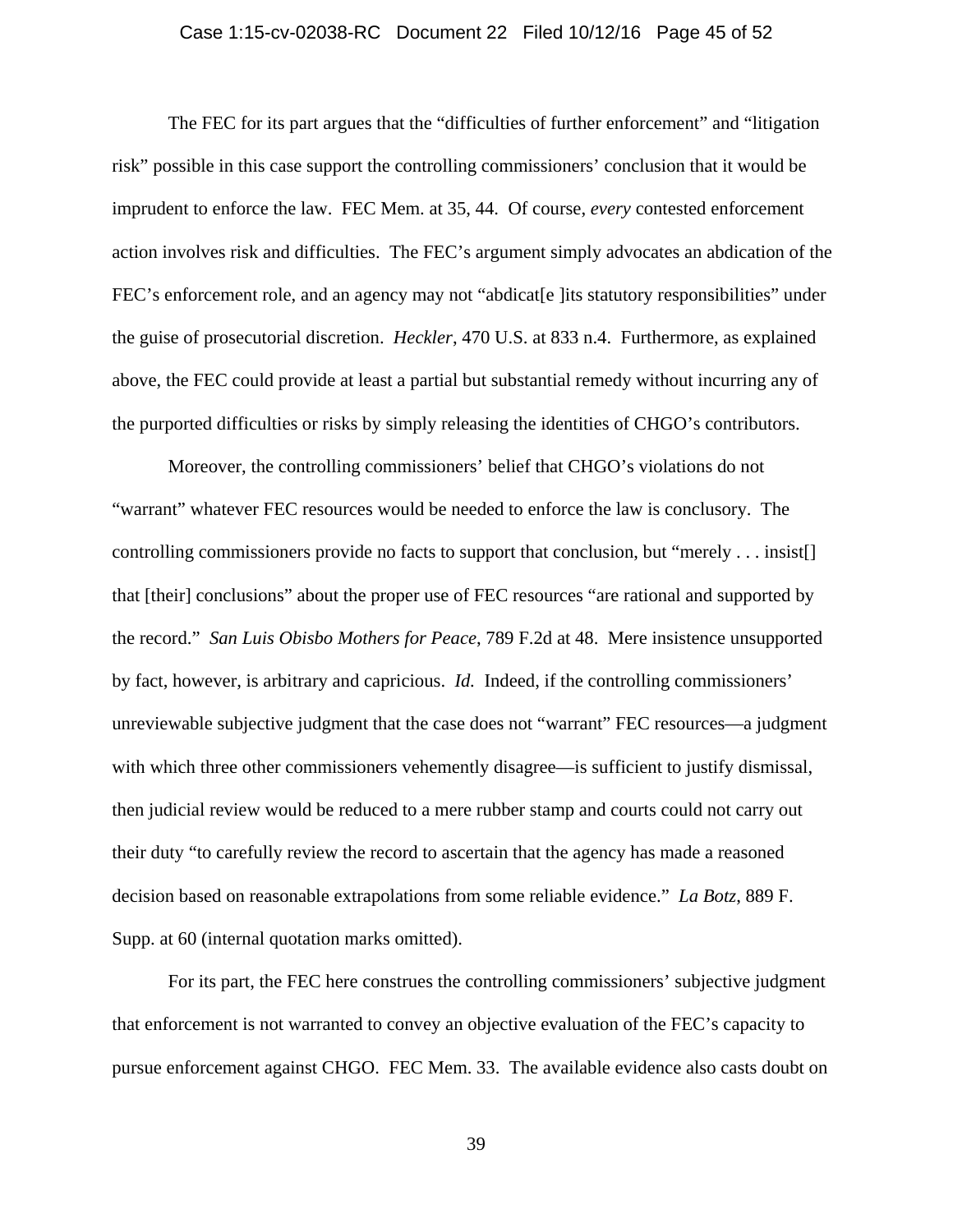#### Case 1:15-cv-02038-RC Document 22 Filed 10/12/16 Page 45 of 52

The FEC for its part argues that the "difficulties of further enforcement" and "litigation risk" possible in this case support the controlling commissioners' conclusion that it would be imprudent to enforce the law. FEC Mem. at 35, 44. Of course, *every* contested enforcement action involves risk and difficulties. The FEC's argument simply advocates an abdication of the FEC's enforcement role, and an agency may not "abdicatell" its statutory responsibilities" under the guise of prosecutorial discretion. *Heckler*, 470 U.S. at 833 n.4. Furthermore, as explained above, the FEC could provide at least a partial but substantial remedy without incurring any of the purported difficulties or risks by simply releasing the identities of CHGO's contributors.

Moreover, the controlling commissioners' belief that CHGO's violations do not "warrant" whatever FEC resources would be needed to enforce the law is conclusory. The controlling commissioners provide no facts to support that conclusion, but "merely . . . insist[] that [their] conclusions" about the proper use of FEC resources "are rational and supported by the record." *San Luis Obisbo Mothers for Peace*, 789 F.2d at 48. Mere insistence unsupported by fact, however, is arbitrary and capricious. *Id.* Indeed, if the controlling commissioners' unreviewable subjective judgment that the case does not "warrant" FEC resources—a judgment with which three other commissioners vehemently disagree—is sufficient to justify dismissal, then judicial review would be reduced to a mere rubber stamp and courts could not carry out their duty "to carefully review the record to ascertain that the agency has made a reasoned decision based on reasonable extrapolations from some reliable evidence." *La Botz*, 889 F. Supp. at 60 (internal quotation marks omitted).

For its part, the FEC here construes the controlling commissioners' subjective judgment that enforcement is not warranted to convey an objective evaluation of the FEC's capacity to pursue enforcement against CHGO. FEC Mem. 33. The available evidence also casts doubt on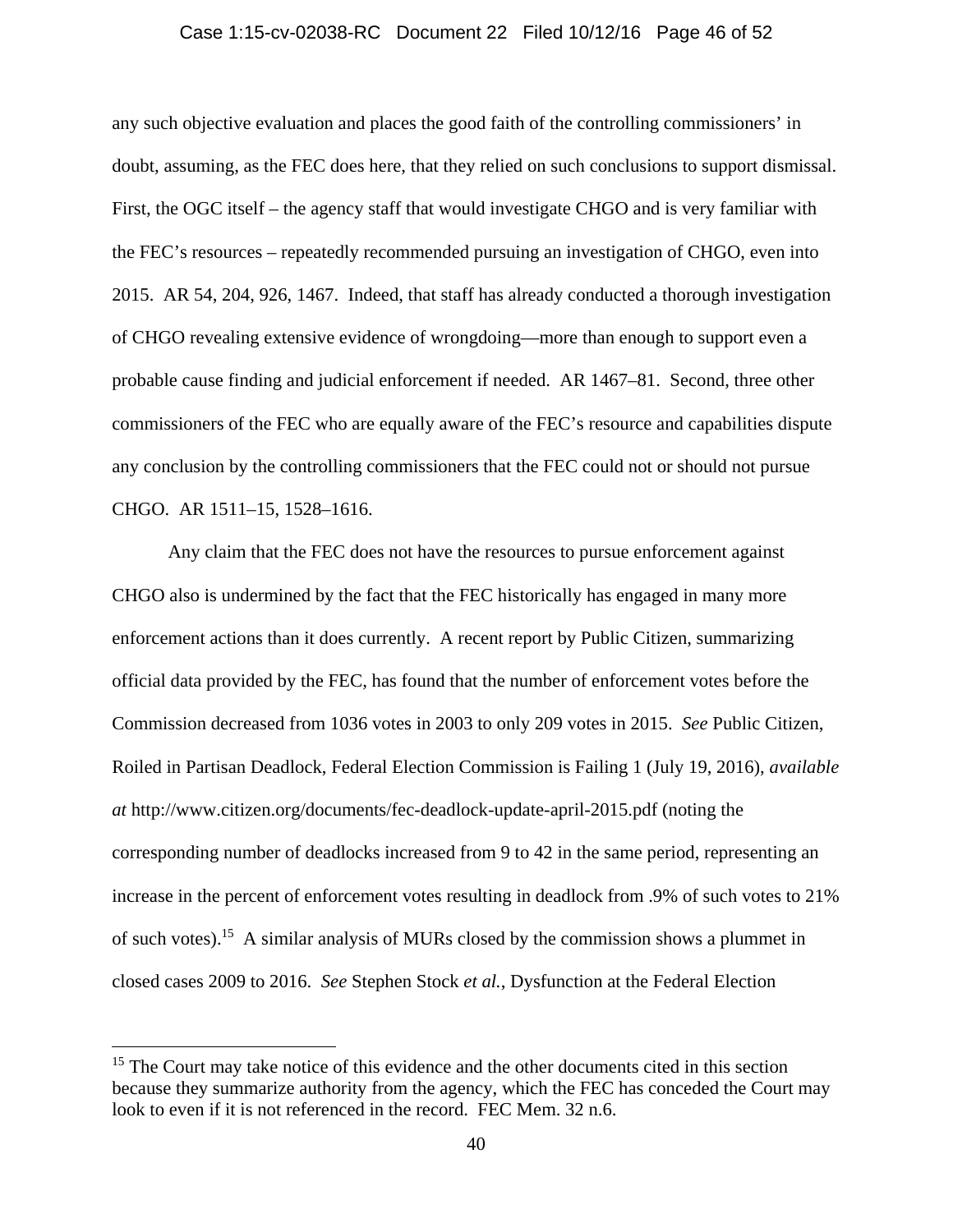#### Case 1:15-cv-02038-RC Document 22 Filed 10/12/16 Page 46 of 52

any such objective evaluation and places the good faith of the controlling commissioners' in doubt, assuming, as the FEC does here, that they relied on such conclusions to support dismissal. First, the OGC itself – the agency staff that would investigate CHGO and is very familiar with the FEC's resources – repeatedly recommended pursuing an investigation of CHGO, even into 2015. AR 54, 204, 926, 1467. Indeed, that staff has already conducted a thorough investigation of CHGO revealing extensive evidence of wrongdoing—more than enough to support even a probable cause finding and judicial enforcement if needed. AR 1467–81. Second, three other commissioners of the FEC who are equally aware of the FEC's resource and capabilities dispute any conclusion by the controlling commissioners that the FEC could not or should not pursue CHGO. AR 1511–15, 1528–1616.

Any claim that the FEC does not have the resources to pursue enforcement against CHGO also is undermined by the fact that the FEC historically has engaged in many more enforcement actions than it does currently. A recent report by Public Citizen, summarizing official data provided by the FEC, has found that the number of enforcement votes before the Commission decreased from 1036 votes in 2003 to only 209 votes in 2015. *See* Public Citizen, Roiled in Partisan Deadlock, Federal Election Commission is Failing 1 (July 19, 2016), *available at* http://www.citizen.org/documents/fec-deadlock-update-april-2015.pdf (noting the corresponding number of deadlocks increased from 9 to 42 in the same period, representing an increase in the percent of enforcement votes resulting in deadlock from .9% of such votes to 21% of such votes).15 A similar analysis of MURs closed by the commission shows a plummet in closed cases 2009 to 2016. *See* Stephen Stock *et al.*, Dysfunction at the Federal Election

<sup>&</sup>lt;sup>15</sup> The Court may take notice of this evidence and the other documents cited in this section because they summarize authority from the agency, which the FEC has conceded the Court may look to even if it is not referenced in the record. FEC Mem. 32 n.6.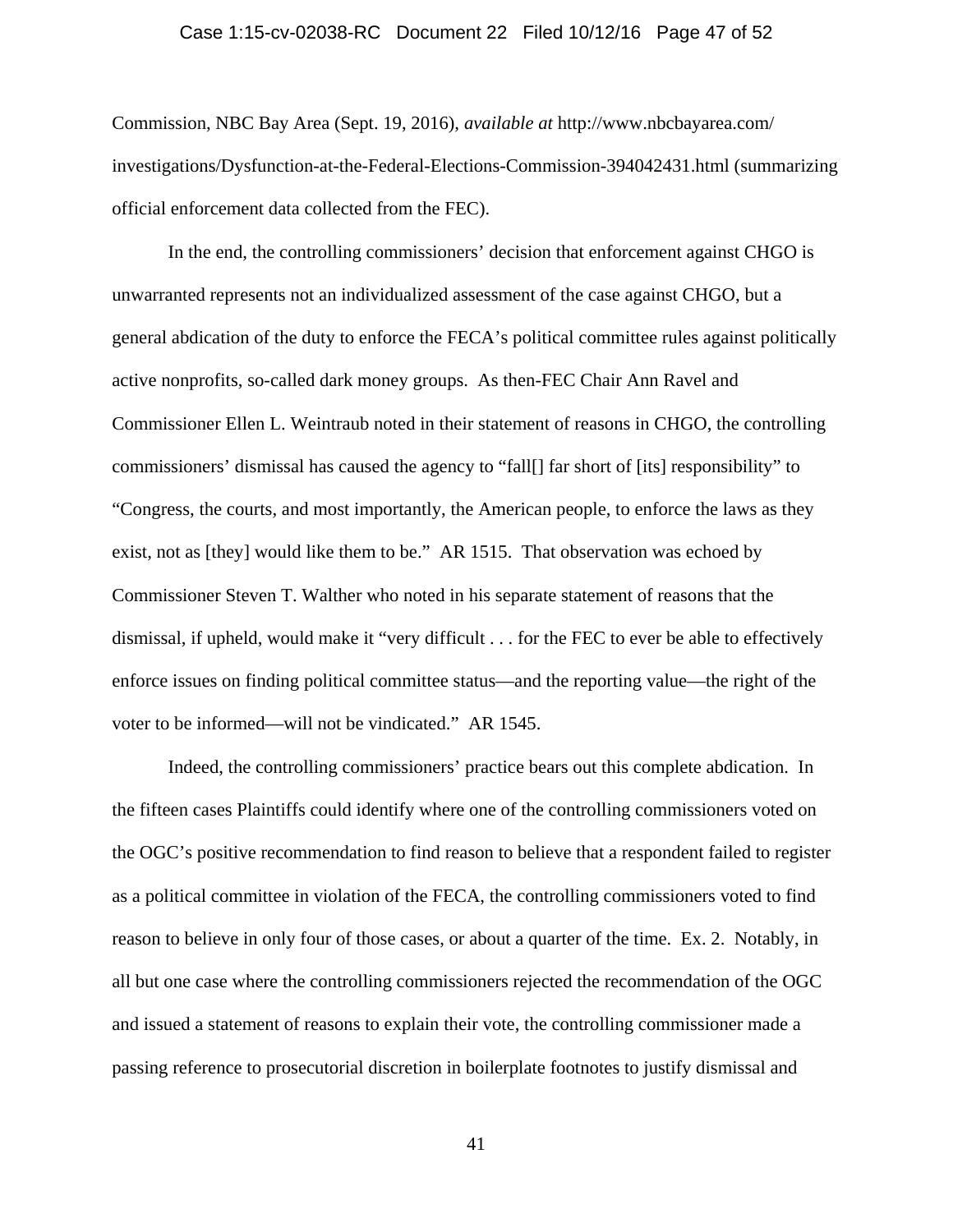#### Case 1:15-cv-02038-RC Document 22 Filed 10/12/16 Page 47 of 52

Commission, NBC Bay Area (Sept. 19, 2016), *available at* http://www.nbcbayarea.com/ investigations/Dysfunction-at-the-Federal-Elections-Commission-394042431.html (summarizing official enforcement data collected from the FEC).

In the end, the controlling commissioners' decision that enforcement against CHGO is unwarranted represents not an individualized assessment of the case against CHGO, but a general abdication of the duty to enforce the FECA's political committee rules against politically active nonprofits, so-called dark money groups. As then-FEC Chair Ann Ravel and Commissioner Ellen L. Weintraub noted in their statement of reasons in CHGO, the controlling commissioners' dismissal has caused the agency to "fall[] far short of [its] responsibility" to "Congress, the courts, and most importantly, the American people, to enforce the laws as they exist, not as [they] would like them to be." AR 1515. That observation was echoed by Commissioner Steven T. Walther who noted in his separate statement of reasons that the dismissal, if upheld, would make it "very difficult . . . for the FEC to ever be able to effectively enforce issues on finding political committee status—and the reporting value—the right of the voter to be informed—will not be vindicated." AR 1545.

Indeed, the controlling commissioners' practice bears out this complete abdication. In the fifteen cases Plaintiffs could identify where one of the controlling commissioners voted on the OGC's positive recommendation to find reason to believe that a respondent failed to register as a political committee in violation of the FECA, the controlling commissioners voted to find reason to believe in only four of those cases, or about a quarter of the time. Ex. 2. Notably, in all but one case where the controlling commissioners rejected the recommendation of the OGC and issued a statement of reasons to explain their vote, the controlling commissioner made a passing reference to prosecutorial discretion in boilerplate footnotes to justify dismissal and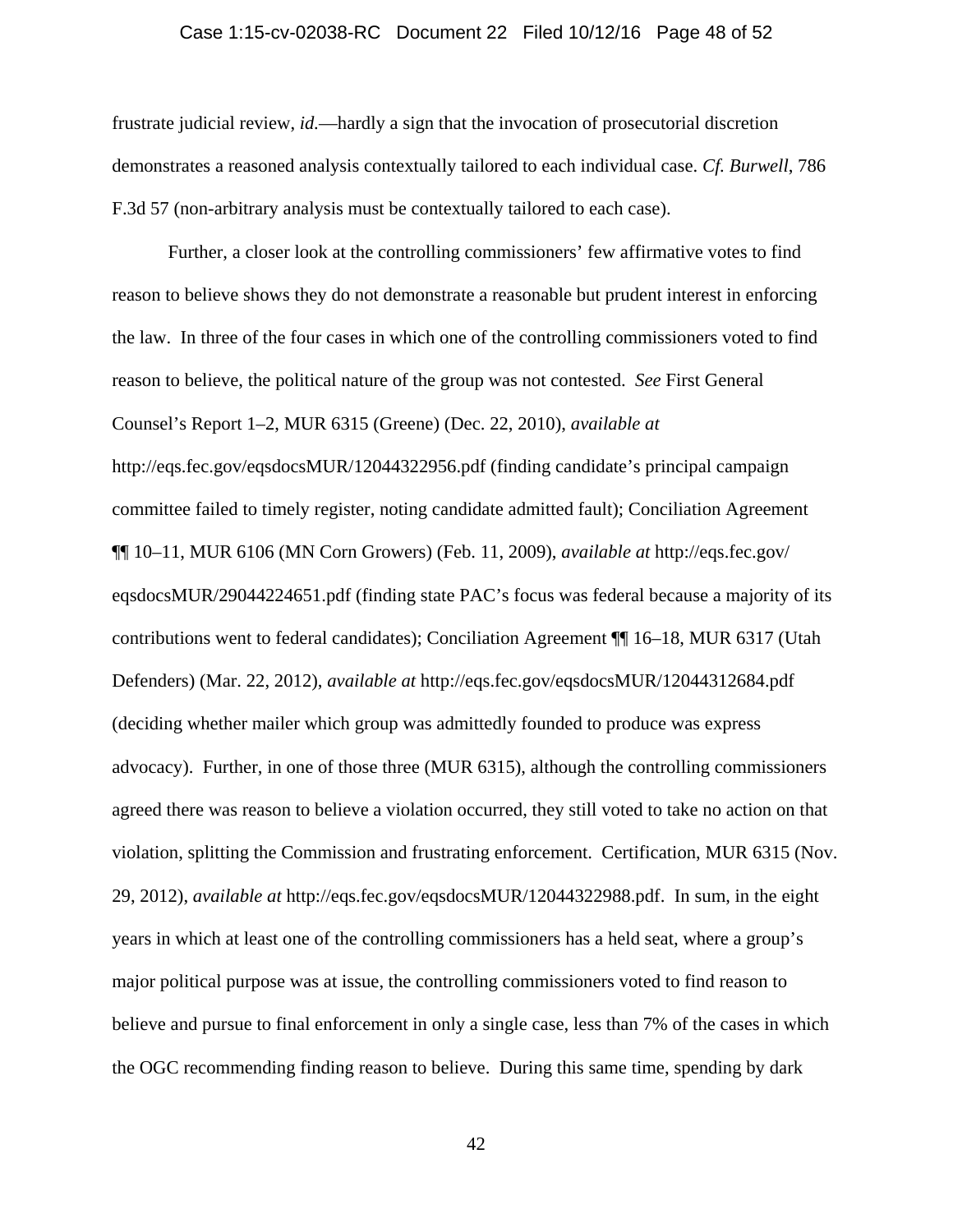#### Case 1:15-cv-02038-RC Document 22 Filed 10/12/16 Page 48 of 52

frustrate judicial review, *id.*—hardly a sign that the invocation of prosecutorial discretion demonstrates a reasoned analysis contextually tailored to each individual case. *Cf. Burwell*, 786 F.3d 57 (non-arbitrary analysis must be contextually tailored to each case).

Further, a closer look at the controlling commissioners' few affirmative votes to find reason to believe shows they do not demonstrate a reasonable but prudent interest in enforcing the law. In three of the four cases in which one of the controlling commissioners voted to find reason to believe, the political nature of the group was not contested. *See* First General Counsel's Report 1–2, MUR 6315 (Greene) (Dec. 22, 2010), *available at* http://eqs.fec.gov/eqsdocsMUR/12044322956.pdf (finding candidate's principal campaign committee failed to timely register, noting candidate admitted fault); Conciliation Agreement ¶¶ 10–11, MUR 6106 (MN Corn Growers) (Feb. 11, 2009), *available at* http://eqs.fec.gov/ eqsdocsMUR/29044224651.pdf (finding state PAC's focus was federal because a majority of its contributions went to federal candidates); Conciliation Agreement ¶¶ 16–18, MUR 6317 (Utah Defenders) (Mar. 22, 2012), *available at* http://eqs.fec.gov/eqsdocsMUR/12044312684.pdf (deciding whether mailer which group was admittedly founded to produce was express advocacy). Further, in one of those three (MUR 6315), although the controlling commissioners agreed there was reason to believe a violation occurred, they still voted to take no action on that violation, splitting the Commission and frustrating enforcement. Certification, MUR 6315 (Nov. 29, 2012), *available at* http://eqs.fec.gov/eqsdocsMUR/12044322988.pdf. In sum, in the eight years in which at least one of the controlling commissioners has a held seat, where a group's major political purpose was at issue, the controlling commissioners voted to find reason to believe and pursue to final enforcement in only a single case, less than 7% of the cases in which the OGC recommending finding reason to believe. During this same time, spending by dark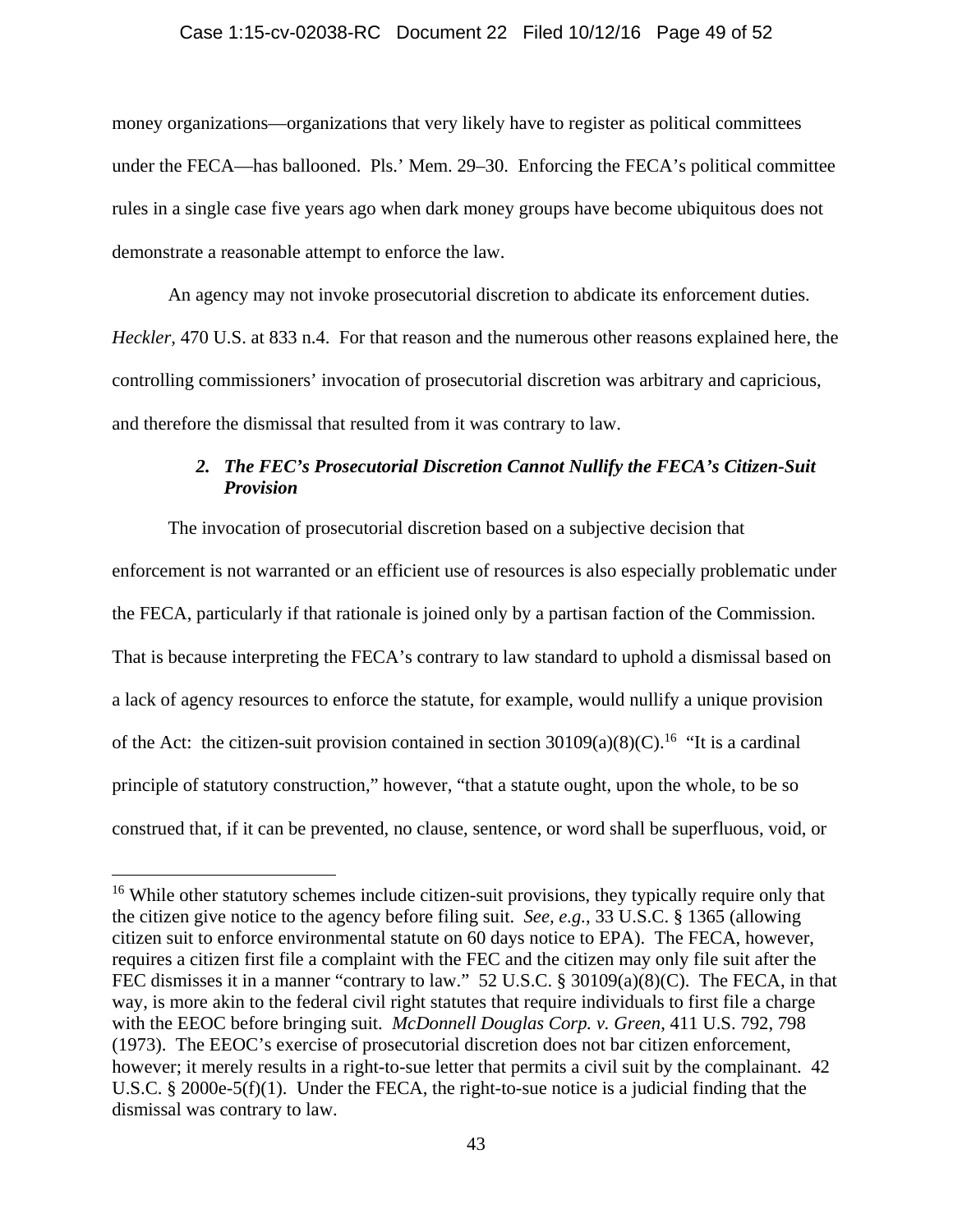#### Case 1:15-cv-02038-RC Document 22 Filed 10/12/16 Page 49 of 52

money organizations—organizations that very likely have to register as political committees under the FECA—has ballooned. Pls.' Mem. 29–30. Enforcing the FECA's political committee rules in a single case five years ago when dark money groups have become ubiquitous does not demonstrate a reasonable attempt to enforce the law.

An agency may not invoke prosecutorial discretion to abdicate its enforcement duties. *Heckler,* 470 U.S. at 833 n.4. For that reason and the numerous other reasons explained here, the controlling commissioners' invocation of prosecutorial discretion was arbitrary and capricious, and therefore the dismissal that resulted from it was contrary to law.

# *2. The FEC's Prosecutorial Discretion Cannot Nullify the FECA's Citizen-Suit Provision*

The invocation of prosecutorial discretion based on a subjective decision that enforcement is not warranted or an efficient use of resources is also especially problematic under the FECA, particularly if that rationale is joined only by a partisan faction of the Commission. That is because interpreting the FECA's contrary to law standard to uphold a dismissal based on a lack of agency resources to enforce the statute, for example, would nullify a unique provision of the Act: the citizen-suit provision contained in section  $30109(a)(8)(C)$ .<sup>16</sup> "It is a cardinal" principle of statutory construction," however, "that a statute ought, upon the whole, to be so construed that, if it can be prevented, no clause, sentence, or word shall be superfluous, void, or

<sup>&</sup>lt;sup>16</sup> While other statutory schemes include citizen-suit provisions, they typically require only that the citizen give notice to the agency before filing suit. *See, e.g.*, 33 U.S.C. § 1365 (allowing citizen suit to enforce environmental statute on 60 days notice to EPA). The FECA, however, requires a citizen first file a complaint with the FEC and the citizen may only file suit after the FEC dismisses it in a manner "contrary to law." 52 U.S.C. § 30109(a)(8)(C). The FECA, in that way, is more akin to the federal civil right statutes that require individuals to first file a charge with the EEOC before bringing suit. *McDonnell Douglas Corp. v. Green*, 411 U.S. 792, 798 (1973). The EEOC's exercise of prosecutorial discretion does not bar citizen enforcement, however; it merely results in a right-to-sue letter that permits a civil suit by the complainant. 42 U.S.C. § 2000e-5(f)(1). Under the FECA, the right-to-sue notice is a judicial finding that the dismissal was contrary to law.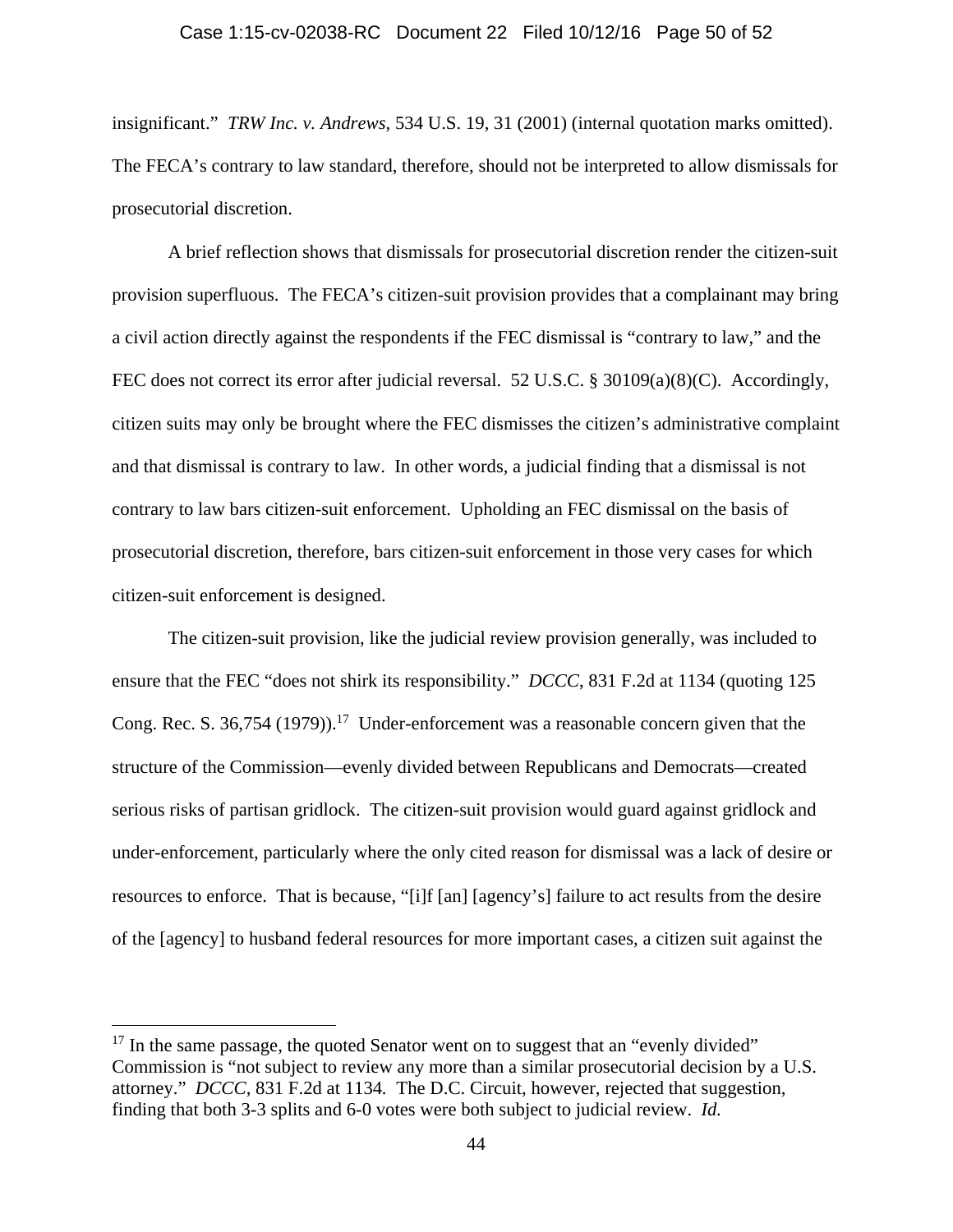#### Case 1:15-cv-02038-RC Document 22 Filed 10/12/16 Page 50 of 52

insignificant." *TRW Inc. v. Andrews*, 534 U.S. 19, 31 (2001) (internal quotation marks omitted). The FECA's contrary to law standard, therefore, should not be interpreted to allow dismissals for prosecutorial discretion.

A brief reflection shows that dismissals for prosecutorial discretion render the citizen-suit provision superfluous. The FECA's citizen-suit provision provides that a complainant may bring a civil action directly against the respondents if the FEC dismissal is "contrary to law," and the FEC does not correct its error after judicial reversal. 52 U.S.C. § 30109(a)(8)(C). Accordingly, citizen suits may only be brought where the FEC dismisses the citizen's administrative complaint and that dismissal is contrary to law. In other words, a judicial finding that a dismissal is not contrary to law bars citizen-suit enforcement. Upholding an FEC dismissal on the basis of prosecutorial discretion, therefore, bars citizen-suit enforcement in those very cases for which citizen-suit enforcement is designed.

The citizen-suit provision, like the judicial review provision generally, was included to ensure that the FEC "does not shirk its responsibility." *DCCC*, 831 F.2d at 1134 (quoting 125 Cong. Rec. S. 36,754 (1979)).<sup>17</sup> Under-enforcement was a reasonable concern given that the structure of the Commission—evenly divided between Republicans and Democrats—created serious risks of partisan gridlock. The citizen-suit provision would guard against gridlock and under-enforcement, particularly where the only cited reason for dismissal was a lack of desire or resources to enforce. That is because, "[i]f [an] [agency's] failure to act results from the desire of the [agency] to husband federal resources for more important cases, a citizen suit against the

 $17$  In the same passage, the quoted Senator went on to suggest that an "evenly divided" Commission is "not subject to review any more than a similar prosecutorial decision by a U.S. attorney." *DCCC*, 831 F.2d at 1134*.* The D.C. Circuit, however, rejected that suggestion, finding that both 3-3 splits and 6-0 votes were both subject to judicial review. *Id.*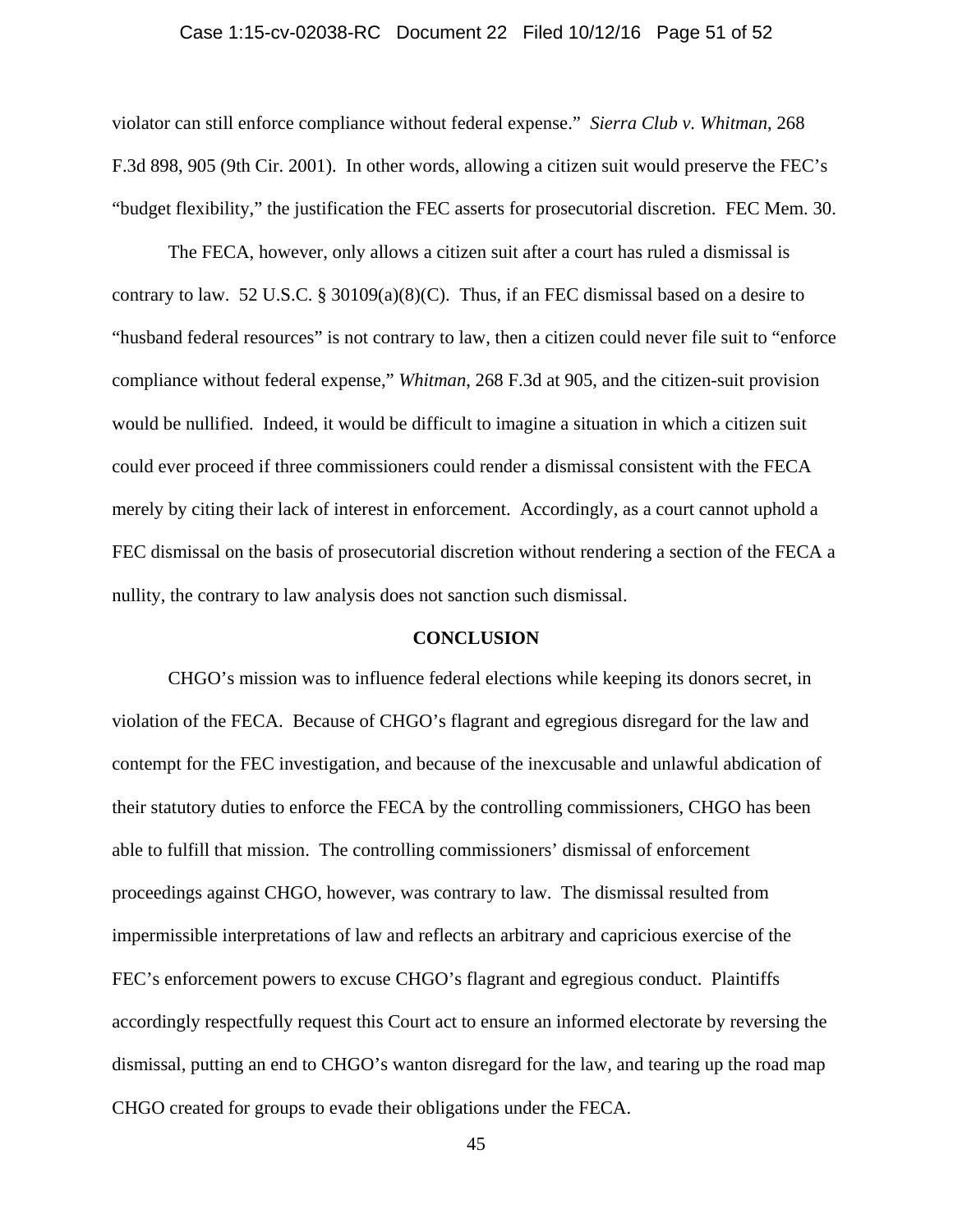#### Case 1:15-cv-02038-RC Document 22 Filed 10/12/16 Page 51 of 52

violator can still enforce compliance without federal expense." *Sierra Club v. Whitman*, 268 F.3d 898, 905 (9th Cir. 2001). In other words, allowing a citizen suit would preserve the FEC's "budget flexibility," the justification the FEC asserts for prosecutorial discretion. FEC Mem. 30.

The FECA, however, only allows a citizen suit after a court has ruled a dismissal is contrary to law. 52 U.S.C. § 30109(a)(8)(C). Thus, if an FEC dismissal based on a desire to "husband federal resources" is not contrary to law, then a citizen could never file suit to "enforce compliance without federal expense," *Whitman*, 268 F.3d at 905, and the citizen-suit provision would be nullified. Indeed, it would be difficult to imagine a situation in which a citizen suit could ever proceed if three commissioners could render a dismissal consistent with the FECA merely by citing their lack of interest in enforcement. Accordingly, as a court cannot uphold a FEC dismissal on the basis of prosecutorial discretion without rendering a section of the FECA a nullity, the contrary to law analysis does not sanction such dismissal.

#### **CONCLUSION**

CHGO's mission was to influence federal elections while keeping its donors secret, in violation of the FECA. Because of CHGO's flagrant and egregious disregard for the law and contempt for the FEC investigation, and because of the inexcusable and unlawful abdication of their statutory duties to enforce the FECA by the controlling commissioners, CHGO has been able to fulfill that mission. The controlling commissioners' dismissal of enforcement proceedings against CHGO, however, was contrary to law. The dismissal resulted from impermissible interpretations of law and reflects an arbitrary and capricious exercise of the FEC's enforcement powers to excuse CHGO's flagrant and egregious conduct. Plaintiffs accordingly respectfully request this Court act to ensure an informed electorate by reversing the dismissal, putting an end to CHGO's wanton disregard for the law, and tearing up the road map CHGO created for groups to evade their obligations under the FECA.